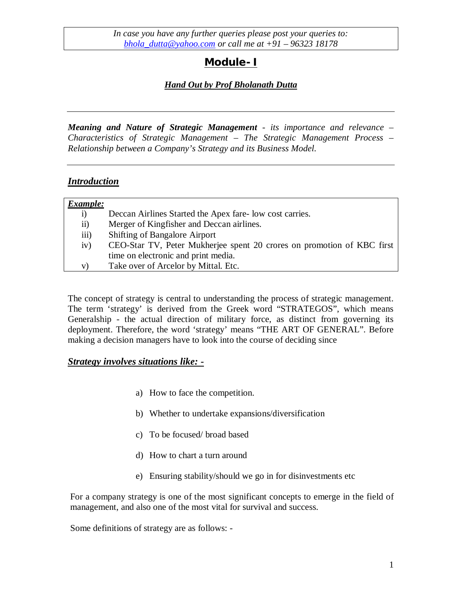# **Module- I**

## *Hand Out by Prof Bholanath Dutta*

*Meaning and Nature of Strategic Management - its importance and relevance – Characteristics of Strategic Management – The Strategic Management Process – Relationship between a Company's Strategy and its Business Model.*

## *Introduction*

| Example:          |                                                                        |
|-------------------|------------------------------------------------------------------------|
| 1)                | Deccan Airlines Started the Apex fare-low cost carries.                |
| $\ddot{\text{1}}$ | Merger of Kingfisher and Deccan airlines.                              |
| $\overline{iii}$  | <b>Shifting of Bangalore Airport</b>                                   |
| iv)               | CEO-Star TV, Peter Mukherjee spent 20 crores on promotion of KBC first |
|                   | time on electronic and print media.                                    |
| V)                | Take over of Arcelor by Mittal. Etc.                                   |

The concept of strategy is central to understanding the process of strategic management. The term 'strategy' is derived from the Greek word "STRATEGOS", which means Generalship - the actual direction of military force, as distinct from governing its deployment. Therefore, the word 'strategy' means "THE ART OF GENERAL". Before making a decision managers have to look into the course of deciding since

### *Strategy involves situations like: -*

- a) How to face the competition.
- b) Whether to undertake expansions/diversification
- c) To be focused/ broad based
- d) How to chart a turn around
- e) Ensuring stability/should we go in for disinvestments etc

For a company strategy is one of the most significant concepts to emerge in the field of management, and also one of the most vital for survival and success.

Some definitions of strategy are as follows: -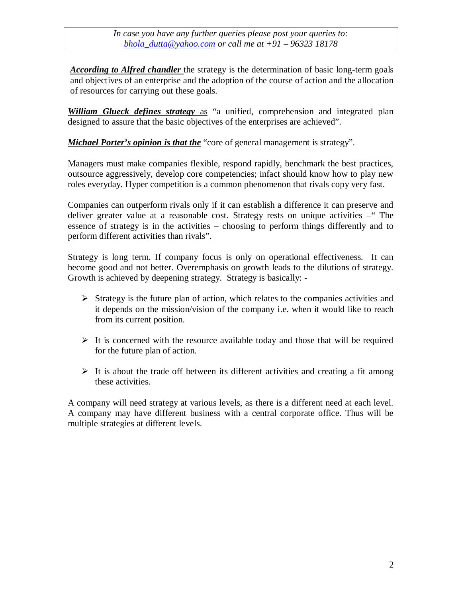*According to Alfred chandler* the strategy is the determination of basic long-term goals and objectives of an enterprise and the adoption of the course of action and the allocation of resources for carrying out these goals.

*William Glueck defines strategy* as "a unified, comprehension and integrated plan designed to assure that the basic objectives of the enterprises are achieved".

*Michael Porter's opinion is that the* "core of general management is strategy".

Managers must make companies flexible, respond rapidly, benchmark the best practices, outsource aggressively, develop core competencies; infact should know how to play new roles everyday. Hyper competition is a common phenomenon that rivals copy very fast.

Companies can outperform rivals only if it can establish a difference it can preserve and deliver greater value at a reasonable cost. Strategy rests on unique activities – "The essence of strategy is in the activities – choosing to perform things differently and to perform different activities than rivals".

Strategy is long term. If company focus is only on operational effectiveness. It can become good and not better. Overemphasis on growth leads to the dilutions of strategy. Growth is achieved by deepening strategy. Strategy is basically: -

- $\triangleright$  Strategy is the future plan of action, which relates to the companies activities and it depends on the mission/vision of the company i.e. when it would like to reach from its current position.
- $\triangleright$  It is concerned with the resource available today and those that will be required for the future plan of action.
- $\triangleright$  It is about the trade off between its different activities and creating a fit among these activities.

A company will need strategy at various levels, as there is a different need at each level. A company may have different business with a central corporate office. Thus will be multiple strategies at different levels.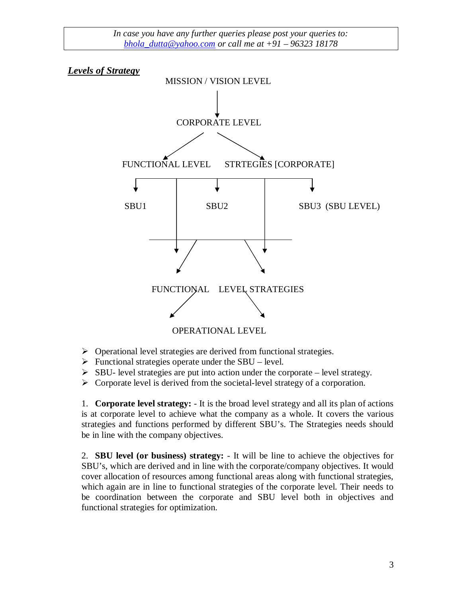*Levels of Strategy*



- $\triangleright$  Operational level strategies are derived from functional strategies.
- $\triangleright$  Functional strategies operate under the SBU level.
- $\triangleright$  SBU- level strategies are put into action under the corporate level strategy.
- $\triangleright$  Corporate level is derived from the societal-level strategy of a corporation.

1. **Corporate level strategy:** - It is the broad level strategy and all its plan of actions is at corporate level to achieve what the company as a whole. It covers the various strategies and functions performed by different SBU's. The Strategies needs should be in line with the company objectives.

2. **SBU level (or business) strategy:** - It will be line to achieve the objectives for SBU's, which are derived and in line with the corporate/company objectives. It would cover allocation of resources among functional areas along with functional strategies, which again are in line to functional strategies of the corporate level. Their needs to be coordination between the corporate and SBU level both in objectives and functional strategies for optimization.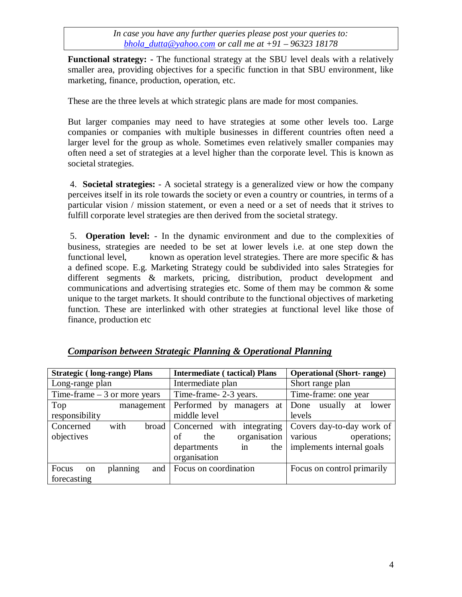**Functional strategy: -** The functional strategy at the SBU level deals with a relatively smaller area, providing objectives for a specific function in that SBU environment, like marketing, finance, production, operation, etc.

These are the three levels at which strategic plans are made for most companies.

But larger companies may need to have strategies at some other levels too. Large companies or companies with multiple businesses in different countries often need a larger level for the group as whole. Sometimes even relatively smaller companies may often need a set of strategies at a level higher than the corporate level. This is known as societal strategies.

4. **Societal strategies:** - A societal strategy is a generalized view or how the company perceives itself in its role towards the society or even a country or countries, in terms of a particular vision / mission statement, or even a need or a set of needs that it strives to fulfill corporate level strategies are then derived from the societal strategy.

5. **Operation level:** - In the dynamic environment and due to the complexities of business, strategies are needed to be set at lower levels i.e. at one step down the functional level, known as operation level strategies. There are more specific  $\&$  has a defined scope. E.g. Marketing Strategy could be subdivided into sales Strategies for different segments & markets, pricing, distribution, product development and communications and advertising strategies etc. Some of them may be common & some unique to the target markets. It should contribute to the functional objectives of marketing function. These are interlinked with other strategies at functional level like those of finance, production etc

| <b>Strategic (long-range) Plans</b>                      | <b>Intermediate (tactical) Plans</b>                                                                        | <b>Operational (Short- range)</b>                                                |
|----------------------------------------------------------|-------------------------------------------------------------------------------------------------------------|----------------------------------------------------------------------------------|
| Long-range plan                                          | Intermediate plan                                                                                           | Short range plan                                                                 |
| Time-frame $-3$ or more years                            | Time-frame-2-3 years.                                                                                       | Time-frame: one year                                                             |
| Top<br>management                                        | Performed by<br>managers at                                                                                 | usually<br>Done<br>lower<br>at                                                   |
| responsibility                                           | middle level                                                                                                | levels                                                                           |
| with<br>Concerned<br>objectives                          | broad   Concerned with integrating<br>organisation<br>οf<br>the<br>departments<br>the<br>in<br>organisation | Covers day-to-day work of<br>operations;<br>various<br>implements internal goals |
| planning<br>Focus<br>and<br><sub>on</sub><br>forecasting | Focus on coordination                                                                                       | Focus on control primarily                                                       |

## *Comparison between Strategic Planning & Operational Planning*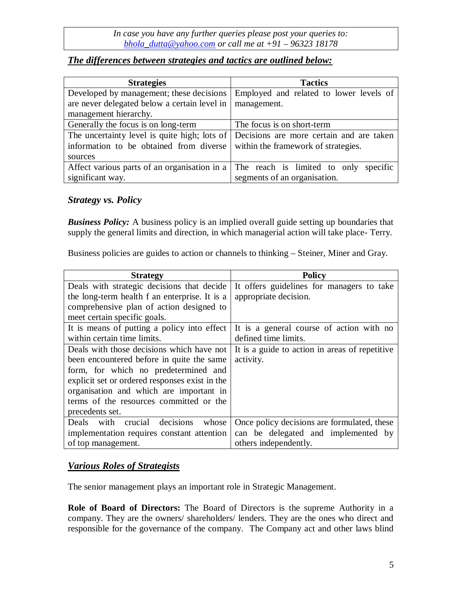### *The differences between strategies and tactics are outlined below:*

| <b>Strategies</b>                                                                     | <b>Tactics</b>                          |
|---------------------------------------------------------------------------------------|-----------------------------------------|
| Developed by management; these decisions                                              | Employed and related to lower levels of |
| are never delegated below a certain level in                                          | management.                             |
| management hierarchy.                                                                 |                                         |
| Generally the focus is on long-term                                                   | The focus is on short-term              |
| The uncertainty level is quite high; lots of Decisions are more certain and are taken |                                         |
| information to be obtained from diverse                                               | within the framework of strategies.     |
| sources                                                                               |                                         |
| Affect various parts of an organisation in a                                          | The reach is limited to only specific   |
| significant way.                                                                      | segments of an organisation.            |

### *Strategy vs. Policy*

**Business Policy:** A business policy is an implied overall guide setting up boundaries that supply the general limits and direction, in which managerial action will take place- Terry.

Business policies are guides to action or channels to thinking – Steiner, Miner and Gray.

| <b>Strategy</b>                                | <b>Policy</b>                                  |
|------------------------------------------------|------------------------------------------------|
| Deals with strategic decisions that decide     | It offers guidelines for managers to take      |
| the long-term health f an enterprise. It is a  | appropriate decision.                          |
| comprehensive plan of action designed to       |                                                |
| meet certain specific goals.                   |                                                |
| It is means of putting a policy into effect    | It is a general course of action with no       |
| within certain time limits.                    | defined time limits.                           |
| Deals with those decisions which have not      | It is a guide to action in areas of repetitive |
| been encountered before in quite the same      | activity.                                      |
| form, for which no predetermined and           |                                                |
| explicit set or ordered responses exist in the |                                                |
| organisation and which are important in        |                                                |
| terms of the resources committed or the        |                                                |
| precedents set.                                |                                                |
| crucial decisions<br>with<br>Deals<br>whose    | Once policy decisions are formulated, these    |
| implementation requires constant attention     | can be delegated and implemented by            |
| of top management.                             | others independently.                          |

## *Various Roles of Strategists*

The senior management plays an important role in Strategic Management.

**Role of Board of Directors:** The Board of Directors is the supreme Authority in a company. They are the owners/ shareholders/ lenders. They are the ones who direct and responsible for the governance of the company. The Company act and other laws blind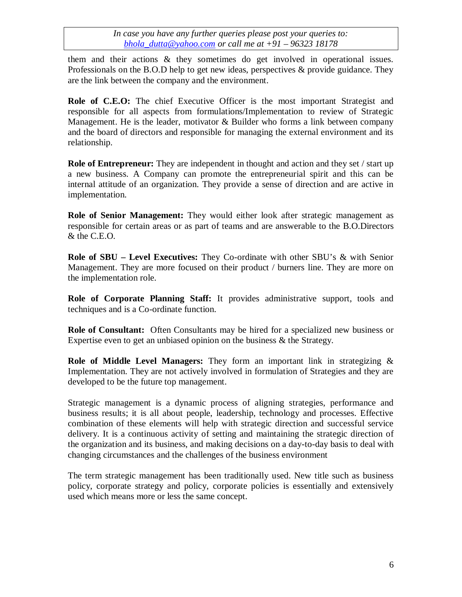them and their actions & they sometimes do get involved in operational issues. Professionals on the B.O.D help to get new ideas, perspectives  $\&$  provide guidance. They are the link between the company and the environment.

**Role of C.E.O:** The chief Executive Officer is the most important Strategist and responsible for all aspects from formulations/Implementation to review of Strategic Management. He is the leader, motivator  $\&$  Builder who forms a link between company and the board of directors and responsible for managing the external environment and its relationship.

**Role of Entrepreneur:** They are independent in thought and action and they set / start up a new business. A Company can promote the entrepreneurial spirit and this can be internal attitude of an organization. They provide a sense of direction and are active in implementation.

**Role of Senior Management:** They would either look after strategic management as responsible for certain areas or as part of teams and are answerable to the B.O.Directors & the C.E.O.

**Role of SBU – Level Executives:** They Co-ordinate with other SBU's & with Senior Management. They are more focused on their product / burners line. They are more on the implementation role.

**Role of Corporate Planning Staff:** It provides administrative support, tools and techniques and is a Co-ordinate function.

**Role of Consultant:** Often Consultants may be hired for a specialized new business or Expertise even to get an unbiased opinion on the business & the Strategy.

**Role of Middle Level Managers:** They form an important link in strategizing & Implementation. They are not actively involved in formulation of Strategies and they are developed to be the future top management.

Strategic management is a dynamic process of aligning strategies, performance and business results; it is all about people, leadership, technology and processes. Effective combination of these elements will help with strategic direction and successful service delivery. It is a continuous activity of setting and maintaining the strategic direction of the organization and its business, and making decisions on a day-to-day basis to deal with changing circumstances and the challenges of the business environment

The term strategic management has been traditionally used. New title such as business policy, corporate strategy and policy, corporate policies is essentially and extensively used which means more or less the same concept.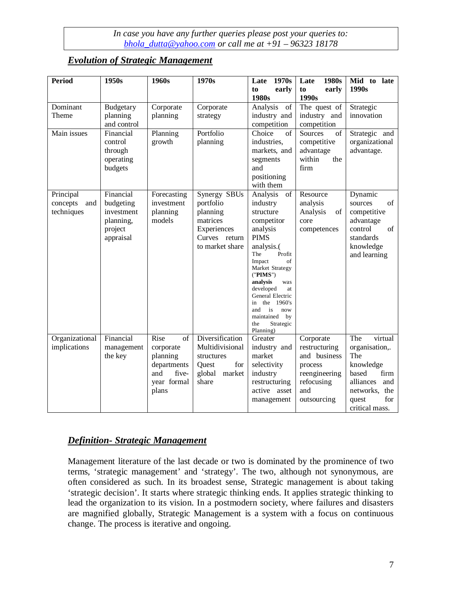### *Evolution of Strategic Management*

| <b>Period</b>                              | 1950s                                                                     | 1960s                                                                                                          | 1970s                                                                                                | 1970s<br>Late                                                                                                                                                                                                                                                                                                        | Late<br>1980s                                                                                              | Mid to late                                                                                                                                     |
|--------------------------------------------|---------------------------------------------------------------------------|----------------------------------------------------------------------------------------------------------------|------------------------------------------------------------------------------------------------------|----------------------------------------------------------------------------------------------------------------------------------------------------------------------------------------------------------------------------------------------------------------------------------------------------------------------|------------------------------------------------------------------------------------------------------------|-------------------------------------------------------------------------------------------------------------------------------------------------|
|                                            |                                                                           |                                                                                                                |                                                                                                      | to<br>early<br>1980s                                                                                                                                                                                                                                                                                                 | to<br>early<br>1990s                                                                                       | 1990s                                                                                                                                           |
| Dominant<br>Theme                          | Budgetary<br>planning<br>and control                                      | Corporate<br>planning                                                                                          | Corporate<br>strategy                                                                                | Analysis<br>of<br>industry and<br>competition                                                                                                                                                                                                                                                                        | The quest of<br>industry and<br>competition                                                                | Strategic<br>innovation                                                                                                                         |
| Main issues                                | Financial<br>control<br>through<br>operating<br>budgets                   | Planning<br>growth                                                                                             | Portfolio<br>planning                                                                                | Choice<br>of<br>industries,<br>markets, and<br>segments<br>and<br>positioning<br>with them                                                                                                                                                                                                                           | Sources<br>of<br>competitive<br>advantage<br>within<br>the<br>firm                                         | Strategic and<br>organizational<br>advantage.                                                                                                   |
| Principal<br>concepts<br>and<br>techniques | Financial<br>budgeting<br>investment<br>planning,<br>project<br>appraisal | Forecasting<br>investment<br>planning<br>models                                                                | Synergy SBUs<br>portfolio<br>planning<br>matrices<br>Experiences<br>Curves return<br>to market share | Analysis<br>of<br>industry<br>structure<br>competitor<br>analysis<br><b>PIMS</b><br>analysis.<br>The<br>Profit<br>Impact<br>οf<br>Market Strategy<br>("PIMS")<br>analysis<br>was<br>developed<br>at<br>General Electric<br>the 1960's<br>in<br>is<br>and<br>now<br>maintained<br>by<br>Strategic<br>the<br>Planning) | Resource<br>analysis<br>Analysis<br>of<br>core<br>competences                                              | Dynamic<br>of<br>sources<br>competitive<br>advantage<br>of<br>control<br>standards<br>knowledge<br>and learning                                 |
| Organizational<br>implications             | Financial<br>management<br>the key                                        | Rise<br>$\overline{\text{of}}$<br>corporate<br>planning<br>departments<br>and<br>five-<br>year formal<br>plans | Diversification<br>Multidivisional<br>structures<br>for<br>Quest<br>global<br>market<br>share        | Greater<br>industry and<br>market<br>selectivity<br>industry<br>restructuring<br>active asset<br>management                                                                                                                                                                                                          | Corporate<br>restructuring<br>and business<br>process<br>reengineering<br>refocusing<br>and<br>outsourcing | The<br>virtual<br>organisation,.<br>The<br>knowledge<br>based<br>firm<br>alliances<br>and<br>networks,<br>the<br>for<br>quest<br>critical mass. |

## *Definition- Strategic Management*

Management literature of the last decade or two is dominated by the prominence of two terms, 'strategic management' and 'strategy'. The two, although not synonymous, are often considered as such. In its broadest sense, Strategic management is about taking 'strategic decision'. It starts where strategic thinking ends. It applies strategic thinking to lead the organization to its vision. In a postmodern society, where failures and disasters are magnified globally, Strategic Management is a system with a focus on continuous change. The process is iterative and ongoing.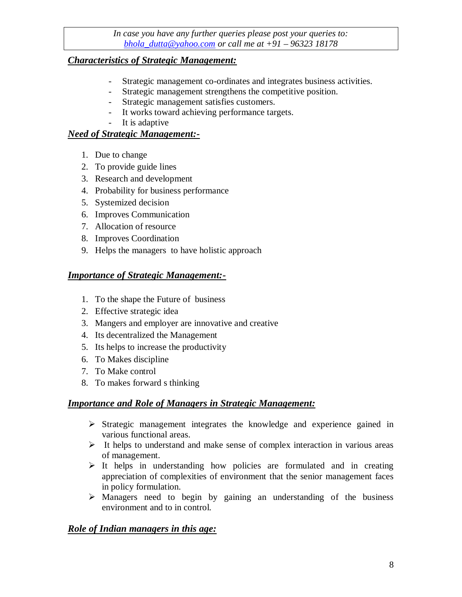## *Characteristics of Strategic Management:*

- Strategic management co-ordinates and integrates business activities.
- Strategic management strengthens the competitive position.
- Strategic management satisfies customers.
- It works toward achieving performance targets.
- It is adaptive

### *Need of Strategic Management:-*

- 1. Due to change
- 2. To provide guide lines
- 3. Research and development
- 4. Probability for business performance
- 5. Systemized decision
- 6. Improves Communication
- 7. Allocation of resource
- 8. Improves Coordination
- 9. Helps the managers to have holistic approach

## *Importance of Strategic Management:-*

- 1. To the shape the Future of business
- 2. Effective strategic idea
- 3. Mangers and employer are innovative and creative
- 4. Its decentralized the Management
- 5. Its helps to increase the productivity
- 6. To Makes discipline
- 7. To Make control
- 8. To makes forward s thinking

### *Importance and Role of Managers in Strategic Management:*

- $\triangleright$  Strategic management integrates the knowledge and experience gained in various functional areas.
- $\triangleright$  It helps to understand and make sense of complex interaction in various areas of management.
- $\triangleright$  It helps in understanding how policies are formulated and in creating appreciation of complexities of environment that the senior management faces in policy formulation.
- $\triangleright$  Managers need to begin by gaining an understanding of the business environment and to in control.

### *Role of Indian managers in this age:*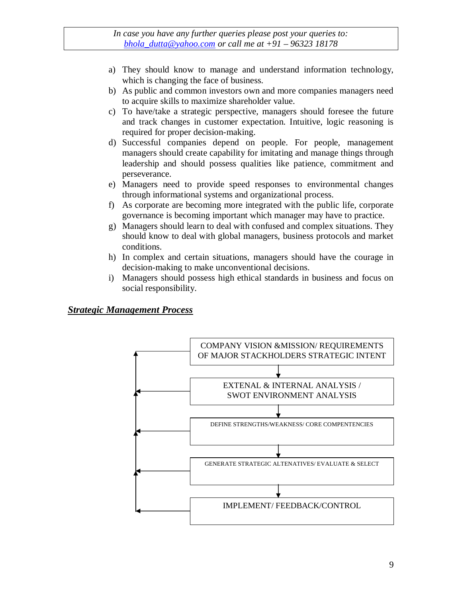- a) They should know to manage and understand information technology, which is changing the face of business.
- b) As public and common investors own and more companies managers need to acquire skills to maximize shareholder value.
- c) To have/take a strategic perspective, managers should foresee the future and track changes in customer expectation. Intuitive, logic reasoning is required for proper decision-making.
- d) Successful companies depend on people. For people, management managers should create capability for imitating and manage things through leadership and should possess qualities like patience, commitment and perseverance.
- e) Managers need to provide speed responses to environmental changes through informational systems and organizational process.
- f) As corporate are becoming more integrated with the public life, corporate governance is becoming important which manager may have to practice.
- g) Managers should learn to deal with confused and complex situations. They should know to deal with global managers, business protocols and market conditions.
- h) In complex and certain situations, managers should have the courage in decision-making to make unconventional decisions.
- i) Managers should possess high ethical standards in business and focus on social responsibility.

#### *Strategic Management Process*

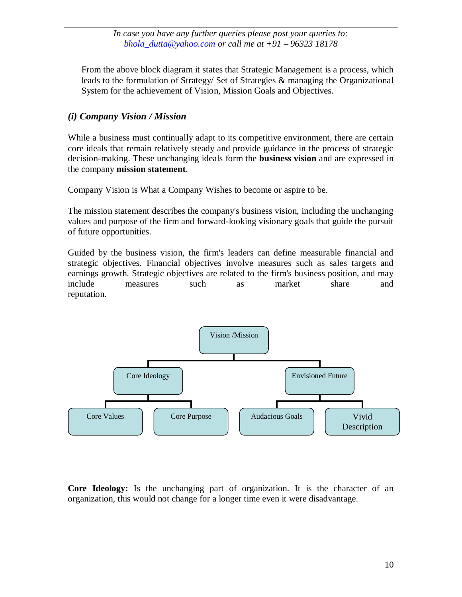From the above block diagram it states that Strategic Management is a process, which leads to the formulation of Strategy/ Set of Strategies & managing the Organizational System for the achievement of Vision, Mission Goals and Objectives.

## *(i) Company Vision / Mission*

While a business must continually adapt to its competitive environment, there are certain core ideals that remain relatively steady and provide guidance in the process of strategic decision-making. These unchanging ideals form the **business vision** and are expressed in the company **mission statement**.

Company Vision is What a Company Wishes to become or aspire to be.

The mission statement describes the company's business vision, including the unchanging values and purpose of the firm and forward-looking visionary goals that guide the pursuit of future opportunities.

Guided by the business vision, the firm's leaders can define measurable financial and strategic objectives. Financial objectives involve measures such as sales targets and earnings growth. Strategic objectives are related to the firm's business position, and may include measures such as market share and reputation.



**Core Ideology:** Is the unchanging part of organization. It is the character of an organization, this would not change for a longer time even it were disadvantage.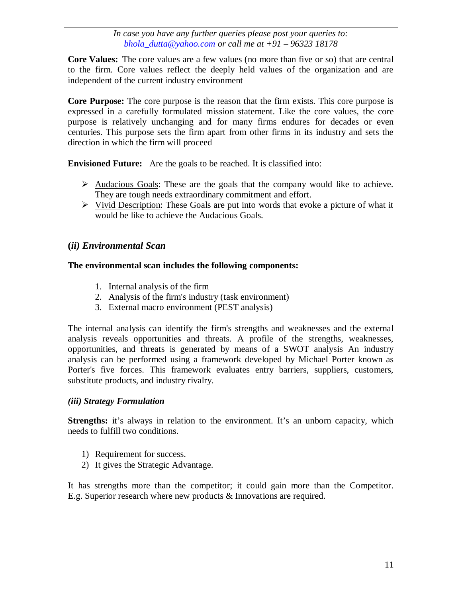**Core Values:** The core values are a few values (no more than five or so) that are central to the firm. Core values reflect the deeply held values of the organization and are independent of the current industry environment

**Core Purpose:** The core purpose is the reason that the firm exists. This core purpose is expressed in a carefully formulated mission statement. Like the core values, the core purpose is relatively unchanging and for many firms endures for decades or even centuries. This purpose sets the firm apart from other firms in its industry and sets the direction in which the firm will proceed

**Envisioned Future:** Are the goals to be reached. It is classified into:

- $\triangleright$  Audacious Goals: These are the goals that the company would like to achieve. They are tough needs extraordinary commitment and effort.
- $\triangleright$  Vivid Description: These Goals are put into words that evoke a picture of what it would be like to achieve the Audacious Goals.

## **(***ii) Environmental Scan*

### **The environmental scan includes the following components:**

- 1. Internal analysis of the firm
- 2. Analysis of the firm's industry (task environment)
- 3. External macro environment (PEST analysis)

The internal analysis can identify the firm's strengths and weaknesses and the external analysis reveals opportunities and threats. A profile of the strengths, weaknesses, opportunities, and threats is generated by means of a SWOT analysis An industry analysis can be performed using a framework developed by Michael Porter known as Porter's five forces. This framework evaluates entry barriers, suppliers, customers, substitute products, and industry rivalry.

### *(iii) Strategy Formulation*

**Strengths:** it's always in relation to the environment. It's an unborn capacity, which needs to fulfill two conditions.

- 1) Requirement for success.
- 2) It gives the Strategic Advantage.

It has strengths more than the competitor; it could gain more than the Competitor. E.g. Superior research where new products & Innovations are required.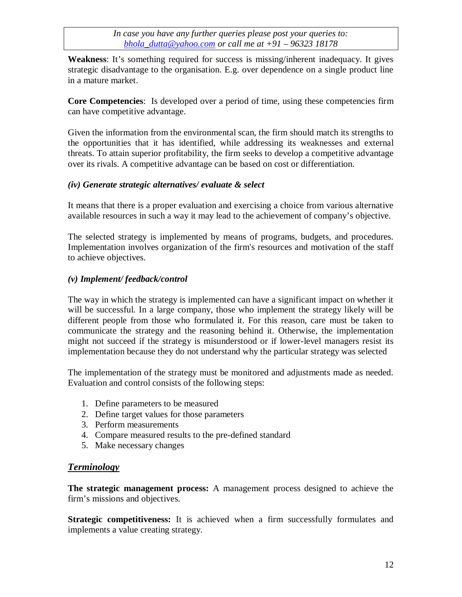**Weakness**: It's something required for success is missing/inherent inadequacy. It gives strategic disadvantage to the organisation. E.g. over dependence on a single product line in a mature market.

**Core Competencies**: Is developed over a period of time, using these competencies firm can have competitive advantage.

Given the information from the environmental scan, the firm should match its strengths to the opportunities that it has identified, while addressing its weaknesses and external threats. To attain superior profitability, the firm seeks to develop a competitive advantage over its rivals. A competitive advantage can be based on cost or differentiation.

### *(iv) Generate strategic alternatives/ evaluate & select*

It means that there is a proper evaluation and exercising a choice from various alternative available resources in such a way it may lead to the achievement of company's objective.

The selected strategy is implemented by means of programs, budgets, and procedures. Implementation involves organization of the firm's resources and motivation of the staff to achieve objectives.

## *(v) Implement/ feedback/control*

The way in which the strategy is implemented can have a significant impact on whether it will be successful. In a large company, those who implement the strategy likely will be different people from those who formulated it. For this reason, care must be taken to communicate the strategy and the reasoning behind it. Otherwise, the implementation might not succeed if the strategy is misunderstood or if lower-level managers resist its implementation because they do not understand why the particular strategy was selected

The implementation of the strategy must be monitored and adjustments made as needed. Evaluation and control consists of the following steps:

- 1. Define parameters to be measured
- 2. Define target values for those parameters
- 3. Perform measurements
- 4. Compare measured results to the pre-defined standard
- 5. Make necessary changes

## *Terminology*

**The strategic management process:** A management process designed to achieve the firm's missions and objectives.

**Strategic competitiveness:** It is achieved when a firm successfully formulates and implements a value creating strategy.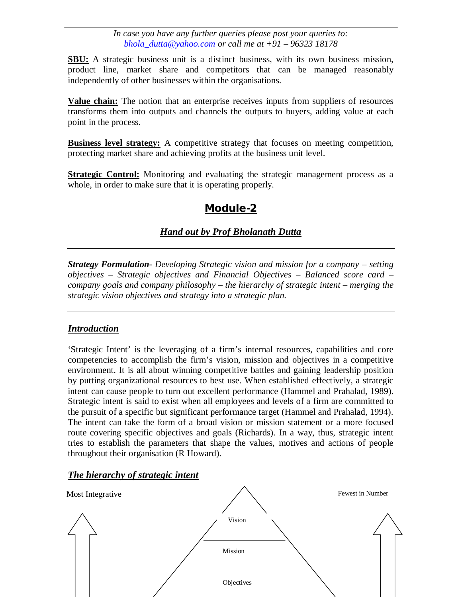**SBU:** A strategic business unit is a distinct business, with its own business mission, product line, market share and competitors that can be managed reasonably independently of other businesses within the organisations.

**Value chain:** The notion that an enterprise receives inputs from suppliers of resources transforms them into outputs and channels the outputs to buyers, adding value at each point in the process.

**Business level strategy:** A competitive strategy that focuses on meeting competition, protecting market share and achieving profits at the business unit level.

**Strategic Control:** Monitoring and evaluating the strategic management process as a whole, in order to make sure that it is operating properly.

# **Module-2**

# *Hand out by Prof Bholanath Dutta*

*Strategy Formulation*- *Developing Strategic vision and mission for a company – setting objectives – Strategic objectives and Financial Objectives – Balanced score card – company goals and company philosophy – the hierarchy of strategic intent – merging the strategic vision objectives and strategy into a strategic plan.*

## *Introduction*

'Strategic Intent' is the leveraging of a firm's internal resources, capabilities and core competencies to accomplish the firm's vision, mission and objectives in a competitive environment. It is all about winning competitive battles and gaining leadership position by putting organizational resources to best use. When established effectively, a strategic intent can cause people to turn out excellent performance (Hammel and Prahalad, 1989). Strategic intent is said to exist when all employees and levels of a firm are committed to the pursuit of a specific but significant performance target (Hammel and Prahalad, 1994). The intent can take the form of a broad vision or mission statement or a more focused route covering specific objectives and goals (Richards). In a way, thus, strategic intent tries to establish the parameters that shape the values, motives and actions of people throughout their organisation (R Howard).

### *The hierarchy of strategic intent*

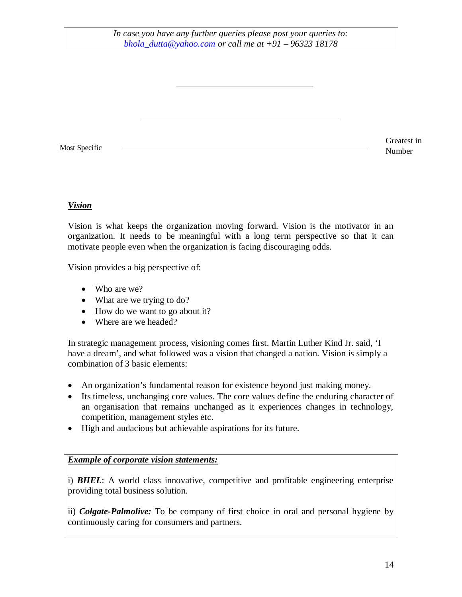Most Specific

Greatest in Number

## *Vision*

Vision is what keeps the organization moving forward. Vision is the motivator in an organization. It needs to be meaningful with a long term perspective so that it can motivate people even when the organization is facing discouraging odds.

Vision provides a big perspective of:

- Who are we?
- What are we trying to do?
- How do we want to go about it?
- Where are we headed?

In strategic management process, visioning comes first. Martin Luther Kind Jr. said, 'I have a dream', and what followed was a vision that changed a nation. Vision is simply a combination of 3 basic elements:

- An organization's fundamental reason for existence beyond just making money.
- Its timeless, unchanging core values. The core values define the enduring character of an organisation that remains unchanged as it experiences changes in technology, competition, management styles etc.
- High and audacious but achievable aspirations for its future.

### *Example of corporate vision statements:*

i) *BHEL*: A world class innovative, competitive and profitable engineering enterprise providing total business solution.

ii) *Colgate-Palmolive:* To be company of first choice in oral and personal hygiene by continuously caring for consumers and partners.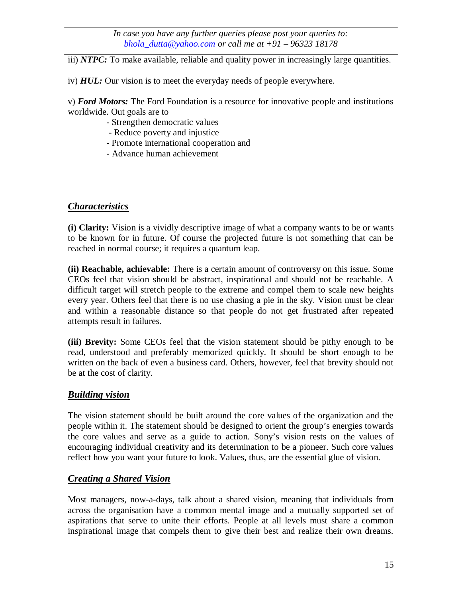iii) *NTPC:* To make available, reliable and quality power in increasingly large quantities.

iv) *HUL:* Our vision is to meet the everyday needs of people everywhere.

v) *Ford Motors:* The Ford Foundation is a resource for innovative people and institutions worldwide. Out goals are to

- Strengthen democratic values
- Reduce poverty and injustice
- Promote international cooperation and
- Advance human achievement

# *Characteristics*

**(i) Clarity:** Vision is a vividly descriptive image of what a company wants to be or wants to be known for in future. Of course the projected future is not something that can be reached in normal course; it requires a quantum leap.

**(ii) Reachable, achievable:** There is a certain amount of controversy on this issue. Some CEOs feel that vision should be abstract, inspirational and should not be reachable. A difficult target will stretch people to the extreme and compel them to scale new heights every year. Others feel that there is no use chasing a pie in the sky. Vision must be clear and within a reasonable distance so that people do not get frustrated after repeated attempts result in failures.

**(iii) Brevity:** Some CEOs feel that the vision statement should be pithy enough to be read, understood and preferably memorized quickly. It should be short enough to be written on the back of even a business card. Others, however, feel that brevity should not be at the cost of clarity.

# *Building vision*

The vision statement should be built around the core values of the organization and the people within it. The statement should be designed to orient the group's energies towards the core values and serve as a guide to action. Sony's vision rests on the values of encouraging individual creativity and its determination to be a pioneer. Such core values reflect how you want your future to look. Values, thus, are the essential glue of vision.

## *Creating a Shared Vision*

Most managers, now-a-days, talk about a shared vision, meaning that individuals from across the organisation have a common mental image and a mutually supported set of aspirations that serve to unite their efforts. People at all levels must share a common inspirational image that compels them to give their best and realize their own dreams.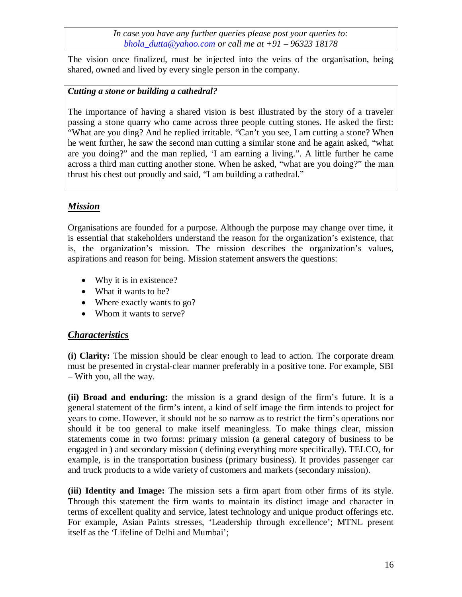The vision once finalized, must be injected into the veins of the organisation, being shared, owned and lived by every single person in the company.

## *Cutting a stone or building a cathedral?*

The importance of having a shared vision is best illustrated by the story of a traveler passing a stone quarry who came across three people cutting stones. He asked the first: "What are you ding? And he replied irritable. "Can't you see, I am cutting a stone? When he went further, he saw the second man cutting a similar stone and he again asked, "what are you doing?" and the man replied, 'I am earning a living.". A little further he came across a third man cutting another stone. When he asked, "what are you doing?" the man thrust his chest out proudly and said, "I am building a cathedral."

# *Mission*

Organisations are founded for a purpose. Although the purpose may change over time, it is essential that stakeholders understand the reason for the organization's existence, that is, the organization's mission. The mission describes the organization's values, aspirations and reason for being. Mission statement answers the questions:

- Why it is in existence?
- What it wants to be?
- Where exactly wants to go?
- Whom it wants to serve?

## *Characteristics*

**(i) Clarity:** The mission should be clear enough to lead to action. The corporate dream must be presented in crystal-clear manner preferably in a positive tone. For example, SBI – With you, all the way.

**(ii) Broad and enduring:** the mission is a grand design of the firm's future. It is a general statement of the firm's intent, a kind of self image the firm intends to project for years to come. However, it should not be so narrow as to restrict the firm's operations nor should it be too general to make itself meaningless. To make things clear, mission statements come in two forms: primary mission (a general category of business to be engaged in ) and secondary mission ( defining everything more specifically). TELCO, for example, is in the transportation business (primary business). It provides passenger car and truck products to a wide variety of customers and markets (secondary mission).

**(iii) Identity and Image:** The mission sets a firm apart from other firms of its style. Through this statement the firm wants to maintain its distinct image and character in terms of excellent quality and service, latest technology and unique product offerings etc. For example, Asian Paints stresses, 'Leadership through excellence'; MTNL present itself as the 'Lifeline of Delhi and Mumbai';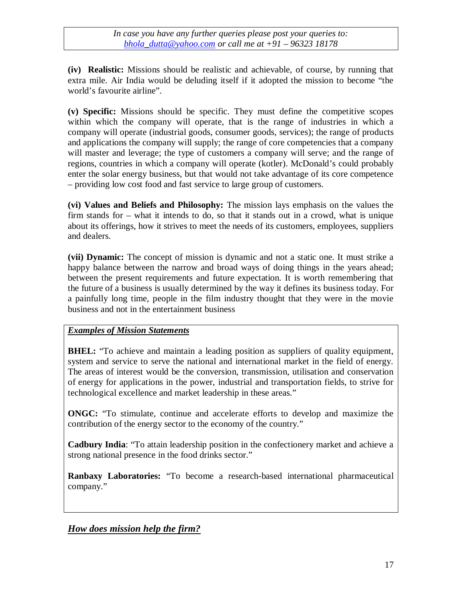**(iv) Realistic:** Missions should be realistic and achievable, of course, by running that extra mile. Air India would be deluding itself if it adopted the mission to become "the world's favourite airline".

**(v) Specific:** Missions should be specific. They must define the competitive scopes within which the company will operate, that is the range of industries in which a company will operate (industrial goods, consumer goods, services); the range of products and applications the company will supply; the range of core competencies that a company will master and leverage; the type of customers a company will serve; and the range of regions, countries in which a company will operate (kotler). McDonald's could probably enter the solar energy business, but that would not take advantage of its core competence – providing low cost food and fast service to large group of customers.

**(vi) Values and Beliefs and Philosophy:** The mission lays emphasis on the values the firm stands for – what it intends to do, so that it stands out in a crowd, what is unique about its offerings, how it strives to meet the needs of its customers, employees, suppliers and dealers.

**(vii) Dynamic:** The concept of mission is dynamic and not a static one. It must strike a happy balance between the narrow and broad ways of doing things in the years ahead; between the present requirements and future expectation. It is worth remembering that the future of a business is usually determined by the way it defines its business today. For a painfully long time, people in the film industry thought that they were in the movie business and not in the entertainment business

## *Examples of Mission Statements*

**BHEL:** "To achieve and maintain a leading position as suppliers of quality equipment, system and service to serve the national and international market in the field of energy. The areas of interest would be the conversion, transmission, utilisation and conservation of energy for applications in the power, industrial and transportation fields, to strive for technological excellence and market leadership in these areas."

**ONGC:** "To stimulate, continue and accelerate efforts to develop and maximize the contribution of the energy sector to the economy of the country."

**Cadbury India**: "To attain leadership position in the confectionery market and achieve a strong national presence in the food drinks sector."

**Ranbaxy Laboratories:** "To become a research-based international pharmaceutical company."

*How does mission help the firm?*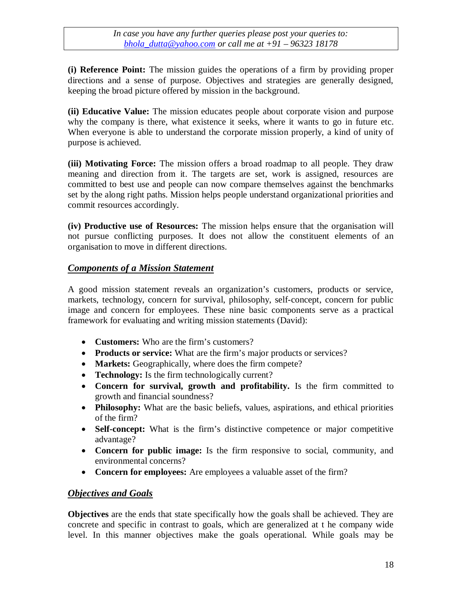**(i) Reference Point:** The mission guides the operations of a firm by providing proper directions and a sense of purpose. Objectives and strategies are generally designed, keeping the broad picture offered by mission in the background.

**(ii) Educative Value:** The mission educates people about corporate vision and purpose why the company is there, what existence it seeks, where it wants to go in future etc. When everyone is able to understand the corporate mission properly, a kind of unity of purpose is achieved.

**(iii) Motivating Force:** The mission offers a broad roadmap to all people. They draw meaning and direction from it. The targets are set, work is assigned, resources are committed to best use and people can now compare themselves against the benchmarks set by the along right paths. Mission helps people understand organizational priorities and commit resources accordingly.

**(iv) Productive use of Resources:** The mission helps ensure that the organisation will not pursue conflicting purposes. It does not allow the constituent elements of an organisation to move in different directions.

### *Components of a Mission Statement*

A good mission statement reveals an organization's customers, products or service, markets, technology, concern for survival, philosophy, self-concept, concern for public image and concern for employees. These nine basic components serve as a practical framework for evaluating and writing mission statements (David):

- **Customers:** Who are the firm's customers?
- **Products or service:** What are the firm's major products or services?
- **Markets:** Geographically, where does the firm compete?
- **Technology:** Is the firm technologically current?
- **Concern for survival, growth and profitability.** Is the firm committed to growth and financial soundness?
- **Philosophy:** What are the basic beliefs, values, aspirations, and ethical priorities of the firm?
- **Self-concept:** What is the firm's distinctive competence or major competitive advantage?
- **Concern for public image:** Is the firm responsive to social, community, and environmental concerns?
- **Concern for employees:** Are employees a valuable asset of the firm?

## *Objectives and Goals*

**Objectives** are the ends that state specifically how the goals shall be achieved. They are concrete and specific in contrast to goals, which are generalized at t he company wide level. In this manner objectives make the goals operational. While goals may be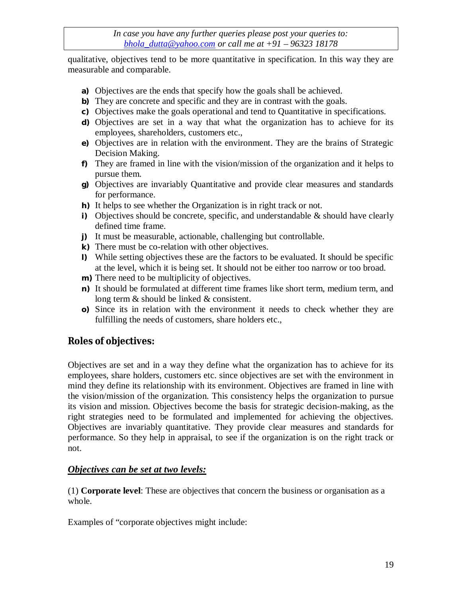qualitative, objectives tend to be more quantitative in specification. In this way they are measurable and comparable.

- **a)** Objectives are the ends that specify how the goals shall be achieved.
- **b)** They are concrete and specific and they are in contrast with the goals.
- **c)** Objectives make the goals operational and tend to Quantitative in specifications.
- **d)** Objectives are set in a way that what the organization has to achieve for its employees, shareholders, customers etc.,
- **e)** Objectives are in relation with the environment. They are the brains of Strategic Decision Making.
- **f)** They are framed in line with the vision/mission of the organization and it helps to pursue them.
- **g)** Objectives are invariably Quantitative and provide clear measures and standards for performance.
- **h)** It helps to see whether the Organization is in right track or not.
- **i)** Objectives should be concrete, specific, and understandable  $\&$  should have clearly defined time frame.
- **j)** It must be measurable, actionable, challenging but controllable.
- **k)** There must be co-relation with other objectives.
- **l)** While setting objectives these are the factors to be evaluated. It should be specific at the level, which it is being set. It should not be either too narrow or too broad.
- **m)** There need to be multiplicity of objectives.
- **n)** It should be formulated at different time frames like short term, medium term, and long term & should be linked & consistent.
- **o)** Since its in relation with the environment it needs to check whether they are fulfilling the needs of customers, share holders etc.,

# **Roles of objectives:**

Objectives are set and in a way they define what the organization has to achieve for its employees, share holders, customers etc. since objectives are set with the environment in mind they define its relationship with its environment. Objectives are framed in line with the vision/mission of the organization. This consistency helps the organization to pursue its vision and mission. Objectives become the basis for strategic decision-making, as the right strategies need to be formulated and implemented for achieving the objectives. Objectives are invariably quantitative. They provide clear measures and standards for performance. So they help in appraisal, to see if the organization is on the right track or not.

### *Objectives can be set at two levels:*

(1) **Corporate level**: These are objectives that concern the business or organisation as a whole.

Examples of "corporate objectives might include: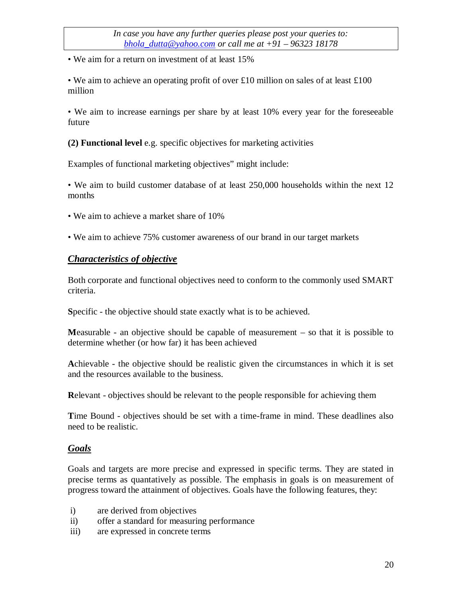• We aim for a return on investment of at least 15%

• We aim to achieve an operating profit of over £10 million on sales of at least £100 million

• We aim to increase earnings per share by at least 10% every year for the foreseeable future

**(2) Functional level** e.g. specific objectives for marketing activities

Examples of functional marketing objectives" might include:

• We aim to build customer database of at least 250,000 households within the next 12 months

- We aim to achieve a market share of 10%
- We aim to achieve 75% customer awareness of our brand in our target markets

#### *Characteristics of objective*

Both corporate and functional objectives need to conform to the commonly used SMART criteria.

**S**pecific - the objective should state exactly what is to be achieved.

**M**easurable - an objective should be capable of measurement – so that it is possible to determine whether (or how far) it has been achieved

**A**chievable - the objective should be realistic given the circumstances in which it is set and the resources available to the business.

**R**elevant - objectives should be relevant to the people responsible for achieving them

**T**ime Bound - objectives should be set with a time-frame in mind. These deadlines also need to be realistic.

#### *Goals*

Goals and targets are more precise and expressed in specific terms. They are stated in precise terms as quantatively as possible. The emphasis in goals is on measurement of progress toward the attainment of objectives. Goals have the following features, they:

- i) are derived from objectives
- ii) offer a standard for measuring performance
- iii) are expressed in concrete terms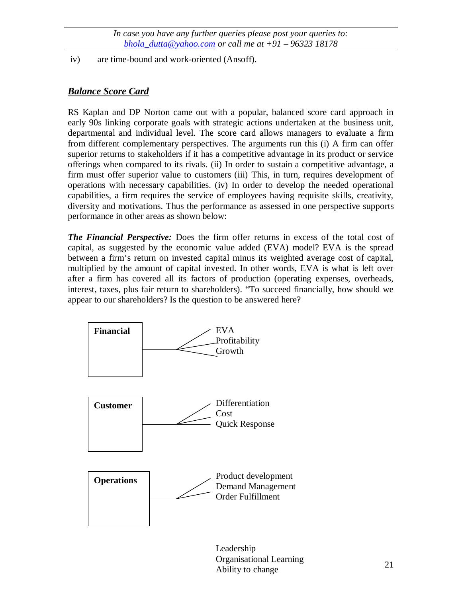iv) are time-bound and work-oriented (Ansoff).

## *Balance Score Card*

RS Kaplan and DP Norton came out with a popular, balanced score card approach in early 90s linking corporate goals with strategic actions undertaken at the business unit, departmental and individual level. The score card allows managers to evaluate a firm from different complementary perspectives. The arguments run this (i) A firm can offer superior returns to stakeholders if it has a competitive advantage in its product or service offerings when compared to its rivals. (ii) In order to sustain a competitive advantage, a firm must offer superior value to customers (iii) This, in turn, requires development of operations with necessary capabilities. (iv) In order to develop the needed operational capabilities, a firm requires the service of employees having requisite skills, creativity, diversity and motivations. Thus the performance as assessed in one perspective supports performance in other areas as shown below:

*The Financial Perspective:* Does the firm offer returns in excess of the total cost of capital, as suggested by the economic value added (EVA) model? EVA is the spread between a firm's return on invested capital minus its weighted average cost of capital, multiplied by the amount of capital invested. In other words, EVA is what is left over after a firm has covered all its factors of production (operating expenses, overheads, interest, taxes, plus fair return to shareholders). "To succeed financially, how should we appear to our shareholders? Is the question to be answered here?



Leadership Organisational Learning Ability to change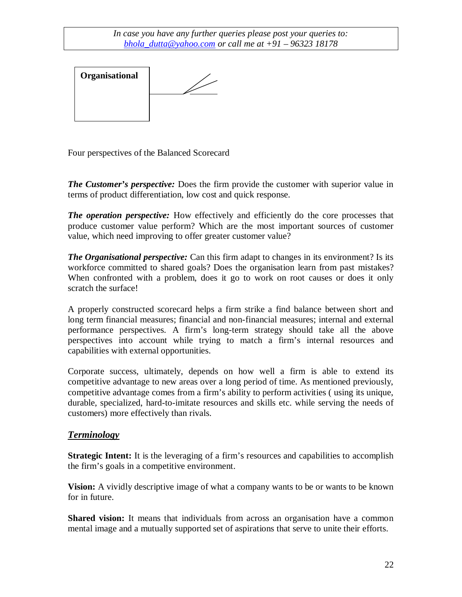

Four perspectives of the Balanced Scorecard

*The Customer's perspective:* Does the firm provide the customer with superior value in terms of product differentiation, low cost and quick response.

*The operation perspective:* How effectively and efficiently do the core processes that produce customer value perform? Which are the most important sources of customer value, which need improving to offer greater customer value?

*The Organisational perspective:* Can this firm adapt to changes in its environment? Is its workforce committed to shared goals? Does the organisation learn from past mistakes? When confronted with a problem, does it go to work on root causes or does it only scratch the surface!

A properly constructed scorecard helps a firm strike a find balance between short and long term financial measures; financial and non-financial measures; internal and external performance perspectives. A firm's long-term strategy should take all the above perspectives into account while trying to match a firm's internal resources and capabilities with external opportunities.

Corporate success, ultimately, depends on how well a firm is able to extend its competitive advantage to new areas over a long period of time. As mentioned previously, competitive advantage comes from a firm's ability to perform activities ( using its unique, durable, specialized, hard-to-imitate resources and skills etc. while serving the needs of customers) more effectively than rivals.

## *Terminology*

**Strategic Intent:** It is the leveraging of a firm's resources and capabilities to accomplish the firm's goals in a competitive environment.

**Vision:** A vividly descriptive image of what a company wants to be or wants to be known for in future.

**Shared vision:** It means that individuals from across an organisation have a common mental image and a mutually supported set of aspirations that serve to unite their efforts.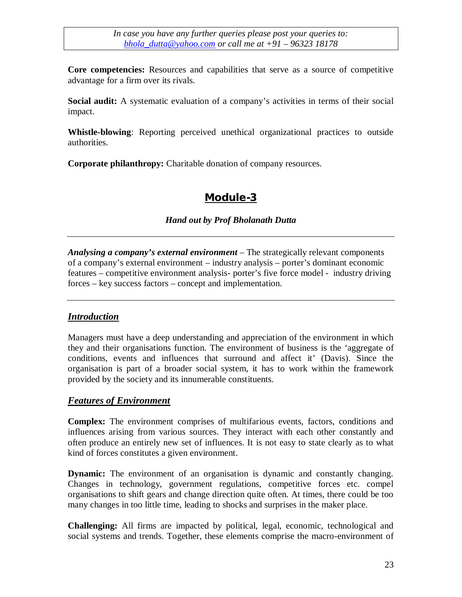**Core competencies:** Resources and capabilities that serve as a source of competitive advantage for a firm over its rivals.

**Social audit:** A systematic evaluation of a company's activities in terms of their social impact.

**Whistle-blowing**: Reporting perceived unethical organizational practices to outside authorities.

**Corporate philanthropy:** Charitable donation of company resources.

# **Module-3**

### *Hand out by Prof Bholanath Dutta*

*Analysing a company's external environment* – The strategically relevant components of a company's external environment – industry analysis – porter's dominant economic features – competitive environment analysis- porter's five force model - industry driving forces – key success factors – concept and implementation.

### *Introduction*

Managers must have a deep understanding and appreciation of the environment in which they and their organisations function. The environment of business is the 'aggregate of conditions, events and influences that surround and affect it' (Davis). Since the organisation is part of a broader social system, it has to work within the framework provided by the society and its innumerable constituents.

### *Features of Environment*

**Complex:** The environment comprises of multifarious events, factors, conditions and influences arising from various sources. They interact with each other constantly and often produce an entirely new set of influences. It is not easy to state clearly as to what kind of forces constitutes a given environment.

**Dynamic:** The environment of an organisation is dynamic and constantly changing. Changes in technology, government regulations, competitive forces etc. compel organisations to shift gears and change direction quite often. At times, there could be too many changes in too little time, leading to shocks and surprises in the maker place.

**Challenging:** All firms are impacted by political, legal, economic, technological and social systems and trends. Together, these elements comprise the macro-environment of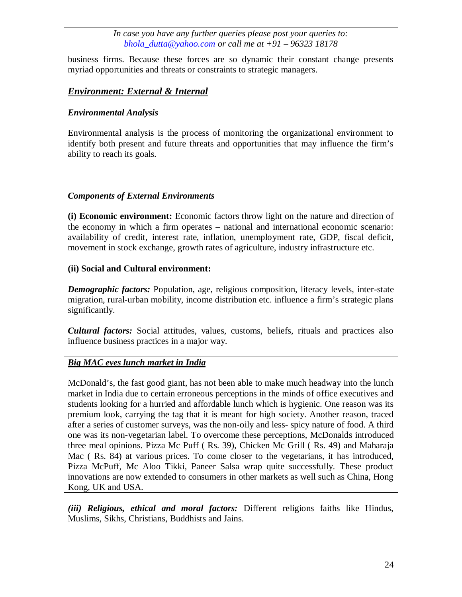business firms. Because these forces are so dynamic their constant change presents myriad opportunities and threats or constraints to strategic managers.

### *Environment: External & Internal*

### *Environmental Analysis*

Environmental analysis is the process of monitoring the organizational environment to identify both present and future threats and opportunities that may influence the firm's ability to reach its goals.

#### *Components of External Environments*

**(i) Economic environment:** Economic factors throw light on the nature and direction of the economy in which a firm operates – national and international economic scenario: availability of credit, interest rate, inflation, unemployment rate, GDP, fiscal deficit, movement in stock exchange, growth rates of agriculture, industry infrastructure etc.

#### **(ii) Social and Cultural environment:**

*Demographic factors:* Population, age, religious composition, literacy levels, inter-state migration, rural-urban mobility, income distribution etc. influence a firm's strategic plans significantly.

*Cultural factors:* Social attitudes, values, customs, beliefs, rituals and practices also influence business practices in a major way.

### *Big MAC eyes lunch market in India*

McDonald's, the fast good giant, has not been able to make much headway into the lunch market in India due to certain erroneous perceptions in the minds of office executives and students looking for a hurried and affordable lunch which is hygienic. One reason was its premium look, carrying the tag that it is meant for high society. Another reason, traced after a series of customer surveys, was the non-oily and less- spicy nature of food. A third one was its non-vegetarian label. To overcome these perceptions, McDonalds introduced three meal opinions. Pizza Mc Puff ( Rs. 39), Chicken Mc Grill ( Rs. 49) and Maharaja Mac (Rs. 84) at various prices. To come closer to the vegetarians, it has introduced, Pizza McPuff, Mc Aloo Tikki, Paneer Salsa wrap quite successfully. These product innovations are now extended to consumers in other markets as well such as China, Hong Kong, UK and USA.

*(iii) Religious, ethical and moral factors:* Different religions faiths like Hindus, Muslims, Sikhs, Christians, Buddhists and Jains.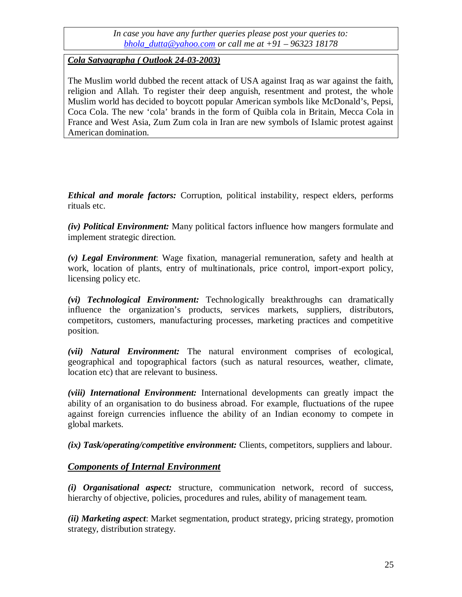## *Cola Satyagrapha ( Outlook 24-03-2003)*

The Muslim world dubbed the recent attack of USA against Iraq as war against the faith, religion and Allah. To register their deep anguish, resentment and protest, the whole Muslim world has decided to boycott popular American symbols like McDonald's, Pepsi, Coca Cola. The new 'cola' brands in the form of Quibla cola in Britain, Mecca Cola in France and West Asia, Zum Zum cola in Iran are new symbols of Islamic protest against American domination.

*Ethical and morale factors:* Corruption, political instability, respect elders, performs rituals etc.

*(iv) Political Environment:* Many political factors influence how mangers formulate and implement strategic direction.

*(v) Legal Environment*: Wage fixation, managerial remuneration, safety and health at work, location of plants, entry of multinationals, price control, import-export policy, licensing policy etc.

*(vi) Technological Environment:* Technologically breakthroughs can dramatically influence the organization's products, services markets, suppliers, distributors, competitors, customers, manufacturing processes, marketing practices and competitive position.

*(vii) Natural Environment:* The natural environment comprises of ecological, geographical and topographical factors (such as natural resources, weather, climate, location etc) that are relevant to business.

*(viii) International Environment:* International developments can greatly impact the ability of an organisation to do business abroad. For example, fluctuations of the rupee against foreign currencies influence the ability of an Indian economy to compete in global markets.

*(ix) Task/operating/competitive environment:* Clients, competitors, suppliers and labour.

## *Components of Internal Environment*

*(i) Organisational aspect:* structure, communication network, record of success, hierarchy of objective, policies, procedures and rules, ability of management team.

*(ii) Marketing aspect*: Market segmentation, product strategy, pricing strategy, promotion strategy, distribution strategy.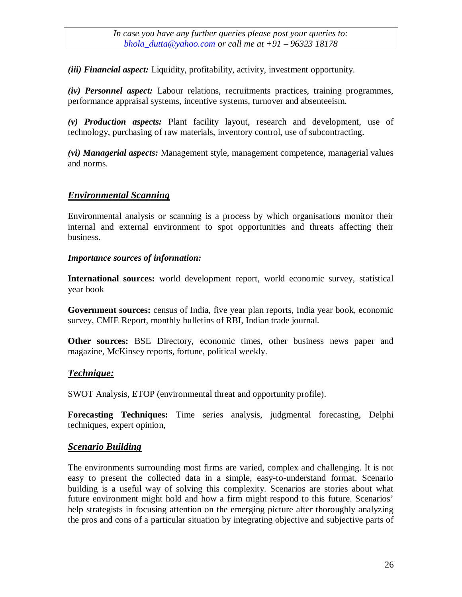*(iii) Financial aspect:* Liquidity, profitability, activity, investment opportunity.

*(iv) Personnel aspect:* Labour relations, recruitments practices, training programmes, performance appraisal systems, incentive systems, turnover and absenteeism.

*(v) Production aspects:* Plant facility layout, research and development, use of technology, purchasing of raw materials, inventory control, use of subcontracting.

*(vi) Managerial aspects:* Management style, management competence, managerial values and norms.

## *Environmental Scanning*

Environmental analysis or scanning is a process by which organisations monitor their internal and external environment to spot opportunities and threats affecting their business.

#### *Importance sources of information:*

**International sources:** world development report, world economic survey, statistical year book

**Government sources:** census of India, five year plan reports, India year book, economic survey, CMIE Report, monthly bulletins of RBI, Indian trade journal.

**Other sources:** BSE Directory, economic times, other business news paper and magazine, McKinsey reports, fortune, political weekly.

### *Technique:*

SWOT Analysis, ETOP (environmental threat and opportunity profile).

**Forecasting Techniques:** Time series analysis, judgmental forecasting, Delphi techniques, expert opinion,

### *Scenario Building*

The environments surrounding most firms are varied, complex and challenging. It is not easy to present the collected data in a simple, easy-to-understand format. Scenario building is a useful way of solving this complexity. Scenarios are stories about what future environment might hold and how a firm might respond to this future. Scenarios' help strategists in focusing attention on the emerging picture after thoroughly analyzing the pros and cons of a particular situation by integrating objective and subjective parts of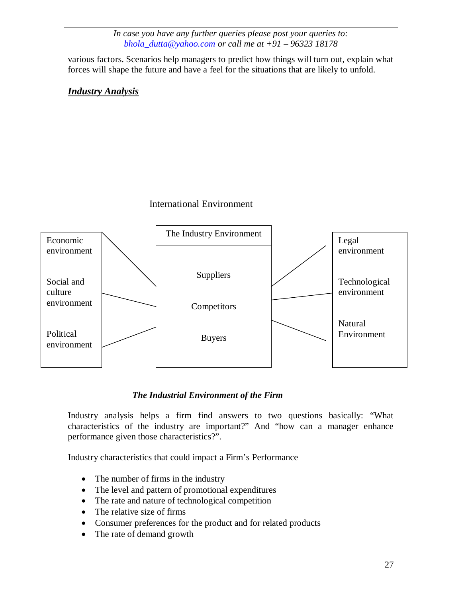various factors. Scenarios help managers to predict how things will turn out, explain what forces will shape the future and have a feel for the situations that are likely to unfold.

## *Industry Analysis*

### International Environment



### *The Industrial Environment of the Firm*

Industry analysis helps a firm find answers to two questions basically: "What characteristics of the industry are important?" And "how can a manager enhance performance given those characteristics?".

Industry characteristics that could impact a Firm's Performance

- The number of firms in the industry
- The level and pattern of promotional expenditures
- The rate and nature of technological competition
- The relative size of firms
- Consumer preferences for the product and for related products
- The rate of demand growth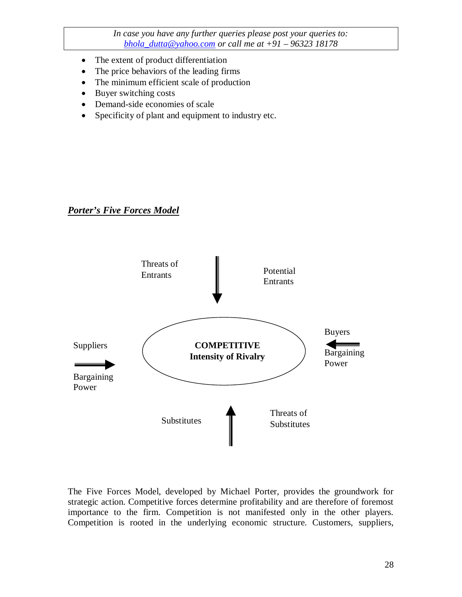- The extent of product differentiation
- The price behaviors of the leading firms
- The minimum efficient scale of production
- Buyer switching costs
- Demand-side economies of scale
- Specificity of plant and equipment to industry etc.

## *Porter's Five Forces Model*



The Five Forces Model, developed by Michael Porter, provides the groundwork for strategic action. Competitive forces determine profitability and are therefore of foremost importance to the firm. Competition is not manifested only in the other players. Competition is rooted in the underlying economic structure. Customers, suppliers,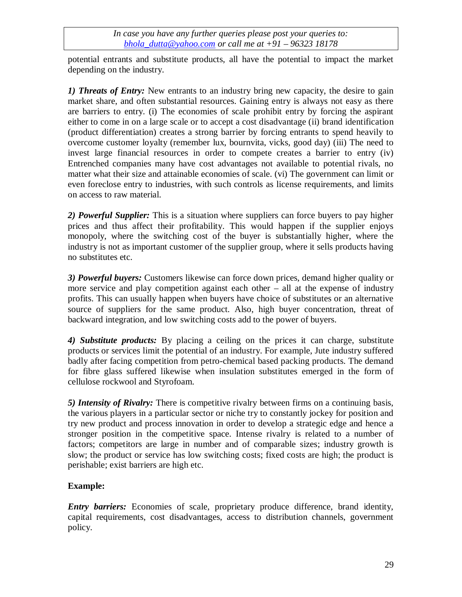potential entrants and substitute products, all have the potential to impact the market depending on the industry.

*1) Threats of Entry:* New entrants to an industry bring new capacity, the desire to gain market share, and often substantial resources. Gaining entry is always not easy as there are barriers to entry. (i) The economies of scale prohibit entry by forcing the aspirant either to come in on a large scale or to accept a cost disadvantage (ii) brand identification (product differentiation) creates a strong barrier by forcing entrants to spend heavily to overcome customer loyalty (remember lux, bournvita, vicks, good day) (iii) The need to invest large financial resources in order to compete creates a barrier to entry (iv) Entrenched companies many have cost advantages not available to potential rivals, no matter what their size and attainable economies of scale. (vi) The government can limit or even foreclose entry to industries, with such controls as license requirements, and limits on access to raw material.

*2) Powerful Supplier:* This is a situation where suppliers can force buyers to pay higher prices and thus affect their profitability. This would happen if the supplier enjoys monopoly, where the switching cost of the buyer is substantially higher, where the industry is not as important customer of the supplier group, where it sells products having no substitutes etc.

*3) Powerful buyers:* Customers likewise can force down prices, demand higher quality or more service and play competition against each other – all at the expense of industry profits. This can usually happen when buyers have choice of substitutes or an alternative source of suppliers for the same product. Also, high buyer concentration, threat of backward integration, and low switching costs add to the power of buyers.

*4) Substitute products:* By placing a ceiling on the prices it can charge, substitute products or services limit the potential of an industry. For example, Jute industry suffered badly after facing competition from petro-chemical based packing products. The demand for fibre glass suffered likewise when insulation substitutes emerged in the form of cellulose rockwool and Styrofoam.

*5) Intensity of Rivalry:* There is competitive rivalry between firms on a continuing basis, the various players in a particular sector or niche try to constantly jockey for position and try new product and process innovation in order to develop a strategic edge and hence a stronger position in the competitive space. Intense rivalry is related to a number of factors; competitors are large in number and of comparable sizes; industry growth is slow; the product or service has low switching costs; fixed costs are high; the product is perishable; exist barriers are high etc.

## **Example:**

*Entry barriers:* Economies of scale, proprietary produce difference, brand identity, capital requirements, cost disadvantages, access to distribution channels, government policy.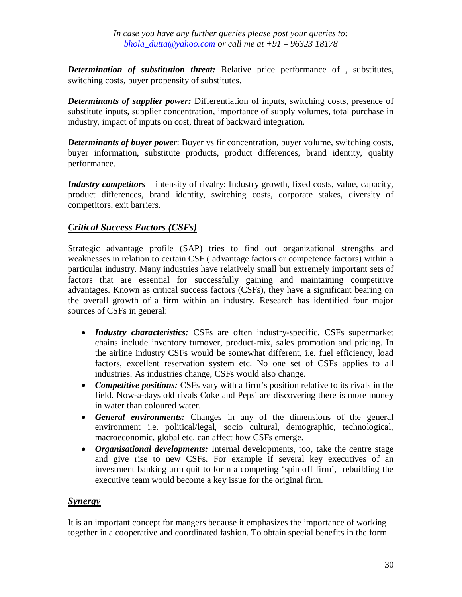*Determination of substitution threat:* Relative price performance of , substitutes, switching costs, buyer propensity of substitutes.

*Determinants of supplier power:* Differentiation of inputs, switching costs, presence of substitute inputs, supplier concentration, importance of supply volumes, total purchase in industry, impact of inputs on cost, threat of backward integration.

*Determinants of buyer power*: Buyer vs fir concentration, buyer volume, switching costs, buyer information, substitute products, product differences, brand identity, quality performance.

*Industry competitors* – intensity of rivalry: Industry growth, fixed costs, value, capacity, product differences, brand identity, switching costs, corporate stakes, diversity of competitors, exit barriers.

# *Critical Success Factors (CSFs)*

Strategic advantage profile (SAP) tries to find out organizational strengths and weaknesses in relation to certain CSF ( advantage factors or competence factors) within a particular industry. Many industries have relatively small but extremely important sets of factors that are essential for successfully gaining and maintaining competitive advantages. Known as critical success factors (CSFs), they have a significant bearing on the overall growth of a firm within an industry. Research has identified four major sources of CSFs in general:

- *Industry characteristics:* CSFs are often industry-specific. CSFs supermarket chains include inventory turnover, product-mix, sales promotion and pricing. In the airline industry CSFs would be somewhat different, i.e. fuel efficiency, load factors, excellent reservation system etc. No one set of CSFs applies to all industries. As industries change, CSFs would also change.
- *Competitive positions:* CSFs vary with a firm's position relative to its rivals in the field. Now-a-days old rivals Coke and Pepsi are discovering there is more money in water than coloured water.
- *General environments:* Changes in any of the dimensions of the general environment i.e. political/legal, socio cultural, demographic, technological, macroeconomic, global etc. can affect how CSFs emerge.
- *Organisational developments:* Internal developments, too, take the centre stage and give rise to new CSFs. For example if several key executives of an investment banking arm quit to form a competing 'spin off firm', rebuilding the executive team would become a key issue for the original firm.

## *Synergy*

It is an important concept for mangers because it emphasizes the importance of working together in a cooperative and coordinated fashion. To obtain special benefits in the form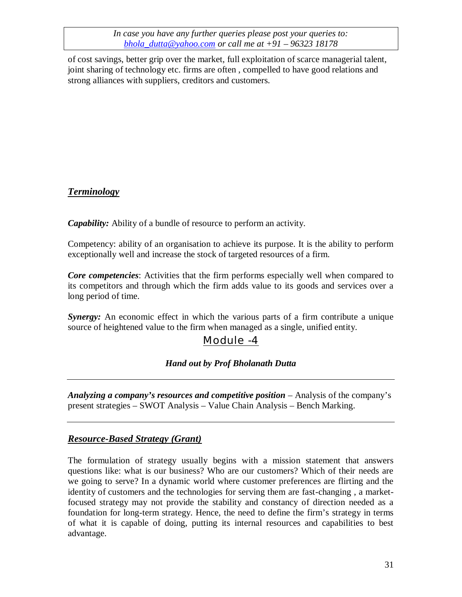of cost savings, better grip over the market, full exploitation of scarce managerial talent, joint sharing of technology etc. firms are often , compelled to have good relations and strong alliances with suppliers, creditors and customers.

# *Terminology*

*Capability:* Ability of a bundle of resource to perform an activity.

Competency: ability of an organisation to achieve its purpose. It is the ability to perform exceptionally well and increase the stock of targeted resources of a firm.

*Core competencies*: Activities that the firm performs especially well when compared to its competitors and through which the firm adds value to its goods and services over a long period of time.

*Synergy:* An economic effect in which the various parts of a firm contribute a unique source of heightened value to the firm when managed as a single, unified entity.

# Module -4

## *Hand out by Prof Bholanath Dutta*

*Analyzing a company's resources and competitive position* – Analysis of the company's present strategies – SWOT Analysis – Value Chain Analysis – Bench Marking.

## *Resource-Based Strategy (Grant)*

The formulation of strategy usually begins with a mission statement that answers questions like: what is our business? Who are our customers? Which of their needs are we going to serve? In a dynamic world where customer preferences are flirting and the identity of customers and the technologies for serving them are fast-changing , a marketfocused strategy may not provide the stability and constancy of direction needed as a foundation for long-term strategy. Hence, the need to define the firm's strategy in terms of what it is capable of doing, putting its internal resources and capabilities to best advantage.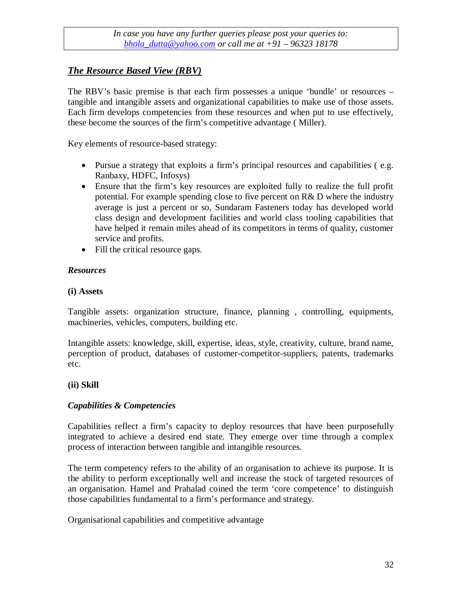## *The Resource Based View (RBV)*

The RBV's basic premise is that each firm possesses a unique 'bundle' or resources – tangible and intangible assets and organizational capabilities to make use of those assets. Each firm develops competencies from these resources and when put to use effectively, these become the sources of the firm's competitive advantage ( Miller).

Key elements of resource-based strategy:

- Pursue a strategy that exploits a firm's principal resources and capabilities ( e.g. Ranbaxy, HDFC, Infosys)
- Ensure that the firm's key resources are exploited fully to realize the full profit potential. For example spending close to five percent on R& D where the industry average is just a percent or so, Sundaram Fasteners today has developed world class design and development facilities and world class tooling capabilities that have helped it remain miles ahead of its competitors in terms of quality, customer service and profits.
- Fill the critical resource gaps.

### *Resources*

#### **(i) Assets**

Tangible assets: organization structure, finance, planning , controlling, equipments, machineries, vehicles, computers, building etc.

Intangible assets: knowledge, skill, expertise, ideas, style, creativity, culture, brand name, perception of product, databases of customer-competitor-suppliers, patents, trademarks etc.

### **(ii) Skill**

### *Capabilities & Competencies*

Capabilities reflect a firm's capacity to deploy resources that have been purposefully integrated to achieve a desired end state. They emerge over time through a complex process of interaction between tangible and intangible resources.

The term competency refers to the ability of an organisation to achieve its purpose. It is the ability to perform exceptionally well and increase the stock of targeted resources of an organisation. Hamel and Prahalad coined the term 'core competence' to distinguish those capabilities fundamental to a firm's performance and strategy.

Organisational capabilities and competitive advantage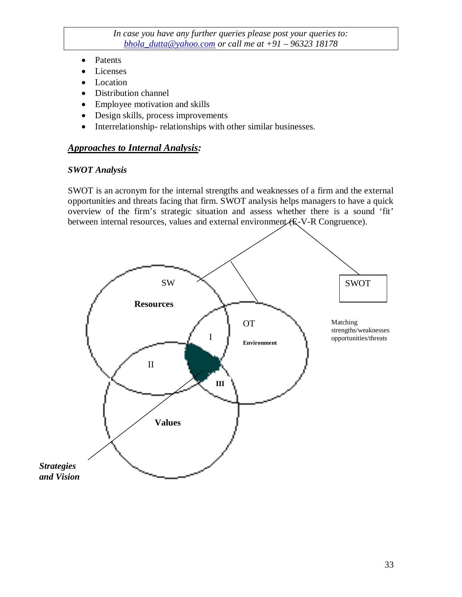- Patents
- Licenses
- Location
- Distribution channel
- Employee motivation and skills
- Design skills, process improvements
- Interrelationship- relationships with other similar businesses.

### *Approaches to Internal Analysis:*

#### *SWOT Analysis*

SWOT is an acronym for the internal strengths and weaknesses of a firm and the external opportunities and threats facing that firm. SWOT analysis helps managers to have a quick overview of the firm's strategic situation and assess whether there is a sound 'fit' between internal resources, values and external environment (E-V-R Congruence).

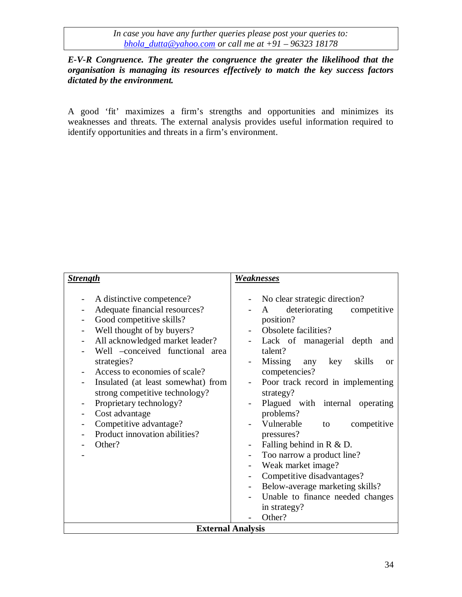*E-V-R Congruence. The greater the congruence the greater the likelihood that the organisation is managing its resources effectively to match the key success factors dictated by the environment.*

A good 'fit' maximizes a firm's strengths and opportunities and minimizes its weaknesses and threats. The external analysis provides useful information required to identify opportunities and threats in a firm's environment.

| <b>Strength</b>                                                                                                                                                                                                                                                                                                                                                                                                                      | <u>Weaknesses</u>                                                                                                                                                                                                                                                                                                                                                                                                                                                                                                                                                                     |  |
|--------------------------------------------------------------------------------------------------------------------------------------------------------------------------------------------------------------------------------------------------------------------------------------------------------------------------------------------------------------------------------------------------------------------------------------|---------------------------------------------------------------------------------------------------------------------------------------------------------------------------------------------------------------------------------------------------------------------------------------------------------------------------------------------------------------------------------------------------------------------------------------------------------------------------------------------------------------------------------------------------------------------------------------|--|
| A distinctive competence?<br>Adequate financial resources?<br>Good competitive skills?<br>Well thought of by buyers?<br>All acknowledged market leader?<br>Well -conceived functional area<br>strategies?<br>Access to economies of scale?<br>Insulated (at least somewhat) from<br>strong competitive technology?<br>Proprietary technology?<br>Cost advantage<br>Competitive advantage?<br>Product innovation abilities?<br>Other? | No clear strategic direction?<br>deteriorating<br>competitive<br>A<br>position?<br>Obsolete facilities?<br>Lack of managerial depth<br>and<br>talent?<br>Missing any key<br>skills<br>$\alpha$<br>competencies?<br>Poor track record in implementing<br>strategy?<br>Plagued with internal operating<br>problems?<br>Vulnerable<br>competitive<br>to<br>pressures?<br>Falling behind in $R \& D$ .<br>Too narrow a product line?<br>Weak market image?<br>Competitive disadvantages?<br>Below-average marketing skills?<br>Unable to finance needed changes<br>in strategy?<br>Other? |  |
| <b>External Analysis</b>                                                                                                                                                                                                                                                                                                                                                                                                             |                                                                                                                                                                                                                                                                                                                                                                                                                                                                                                                                                                                       |  |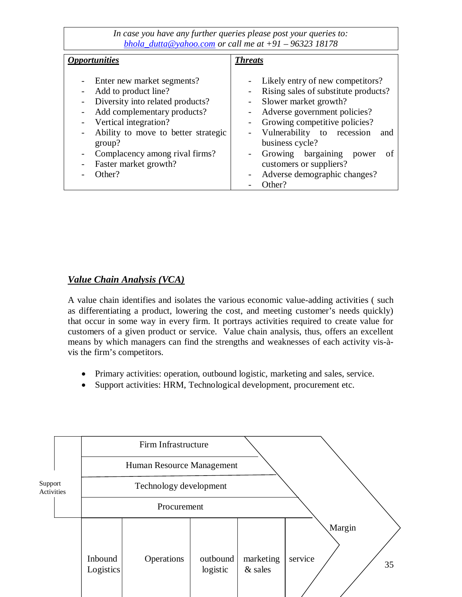| <i><b>Opportunities</b></i>         | <b>Threats</b>                                                |
|-------------------------------------|---------------------------------------------------------------|
|                                     |                                                               |
|                                     |                                                               |
| Enter new market segments?          | Likely entry of new competitors?<br>$\overline{\phantom{0}}$  |
| Add to product line?                | Rising sales of substitute products?                          |
| Diversity into related products?    | Slower market growth?                                         |
| Add complementary products?         | Adverse government policies?<br>$\overline{\phantom{0}}$      |
| Vertical integration?               | Growing competitive policies?<br>$\overline{\phantom{0}}$     |
| Ability to move to better strategic | Vulnerability to recession<br>and<br>$\overline{\phantom{0}}$ |
| group?                              | business cycle?                                               |
| Complacency among rival firms?      | Growing bargaining<br>οf<br>power<br>$\overline{\phantom{0}}$ |
| Faster market growth?               | customers or suppliers?                                       |
| Other?                              | Adverse demographic changes?                                  |
|                                     | Other?                                                        |

### *Value Chain Analysis (VCA)*

A value chain identifies and isolates the various economic value-adding activities ( such as differentiating a product, lowering the cost, and meeting customer's needs quickly) that occur in some way in every firm. It portrays activities required to create value for customers of a given product or service. Value chain analysis, thus, offers an excellent means by which managers can find the strengths and weaknesses of each activity vis-àvis the firm's competitors.

- Primary activities: operation, outbound logistic, marketing and sales, service.
- Support activities: HRM, Technological development, procurement etc.

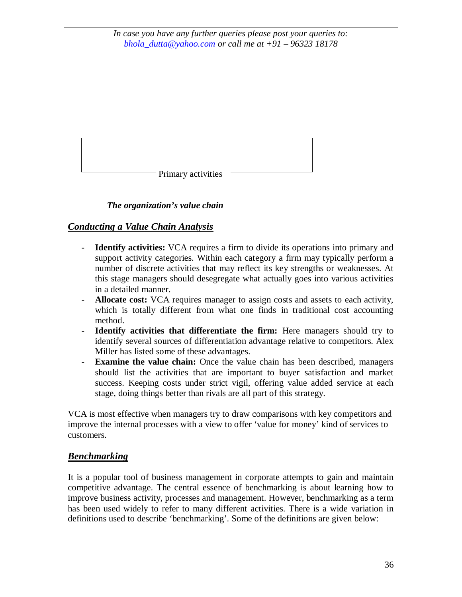Primary activities

## *The organization's value chain*

## *Conducting a Value Chain Analysis*

- **Identify activities:** VCA requires a firm to divide its operations into primary and support activity categories. Within each category a firm may typically perform a number of discrete activities that may reflect its key strengths or weaknesses. At this stage managers should desegregate what actually goes into various activities in a detailed manner.
- **Allocate cost:** VCA requires manager to assign costs and assets to each activity, which is totally different from what one finds in traditional cost accounting method.
- **Identify activities that differentiate the firm:** Here managers should try to identify several sources of differentiation advantage relative to competitors. Alex Miller has listed some of these advantages.
- **Examine the value chain:** Once the value chain has been described, managers should list the activities that are important to buyer satisfaction and market success. Keeping costs under strict vigil, offering value added service at each stage, doing things better than rivals are all part of this strategy.

VCA is most effective when managers try to draw comparisons with key competitors and improve the internal processes with a view to offer 'value for money' kind of services to customers.

### *Benchmarking*

It is a popular tool of business management in corporate attempts to gain and maintain competitive advantage. The central essence of benchmarking is about learning how to improve business activity, processes and management. However, benchmarking as a term has been used widely to refer to many different activities. There is a wide variation in definitions used to describe 'benchmarking'. Some of the definitions are given below: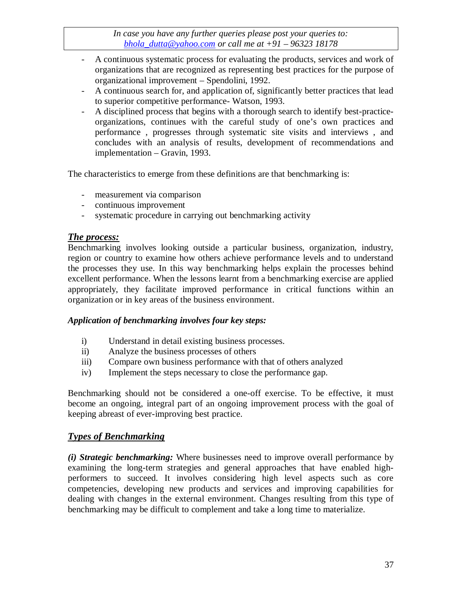- A continuous systematic process for evaluating the products, services and work of organizations that are recognized as representing best practices for the purpose of organizational improvement – Spendolini, 1992.
- A continuous search for, and application of, significantly better practices that lead to superior competitive performance- Watson, 1993.
- A disciplined process that begins with a thorough search to identify best-practiceorganizations, continues with the careful study of one's own practices and performance , progresses through systematic site visits and interviews , and concludes with an analysis of results, development of recommendations and implementation – Gravin, 1993.

The characteristics to emerge from these definitions are that benchmarking is:

- measurement via comparison
- continuous improvement
- systematic procedure in carrying out benchmarking activity

#### *The process:*

Benchmarking involves looking outside a particular business, organization, industry, region or country to examine how others achieve performance levels and to understand the processes they use. In this way benchmarking helps explain the processes behind excellent performance. When the lessons learnt from a benchmarking exercise are applied appropriately, they facilitate improved performance in critical functions within an organization or in key areas of the business environment.

#### *Application of benchmarking involves four key steps:*

- i) Understand in detail existing business processes.
- ii) Analyze the business processes of others
- iii) Compare own business performance with that of others analyzed
- iv) Implement the steps necessary to close the performance gap.

Benchmarking should not be considered a one-off exercise. To be effective, it must become an ongoing, integral part of an ongoing improvement process with the goal of keeping abreast of ever-improving best practice.

## *Types of Benchmarking*

*(i) Strategic benchmarking:* Where businesses need to improve overall performance by examining the long-term strategies and general approaches that have enabled highperformers to succeed. It involves considering high level aspects such as core competencies, developing new products and services and improving capabilities for dealing with changes in the external environment. Changes resulting from this type of benchmarking may be difficult to complement and take a long time to materialize.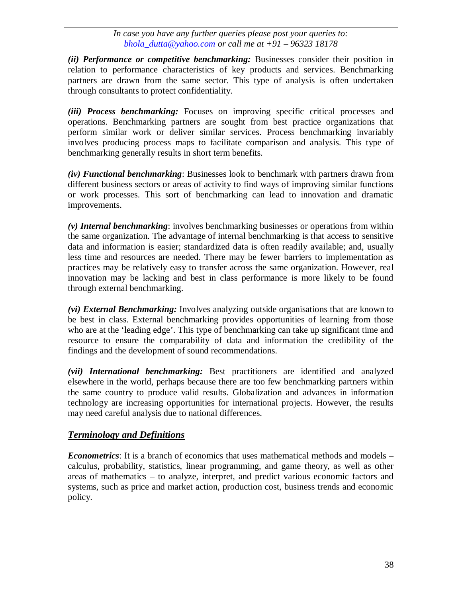*(ii) Performance or competitive benchmarking:* Businesses consider their position in relation to performance characteristics of key products and services. Benchmarking partners are drawn from the same sector. This type of analysis is often undertaken through consultants to protect confidentiality.

*(iii) Process benchmarking:* Focuses on improving specific critical processes and operations. Benchmarking partners are sought from best practice organizations that perform similar work or deliver similar services. Process benchmarking invariably involves producing process maps to facilitate comparison and analysis. This type of benchmarking generally results in short term benefits.

*(iv) Functional benchmarking*: Businesses look to benchmark with partners drawn from different business sectors or areas of activity to find ways of improving similar functions or work processes. This sort of benchmarking can lead to innovation and dramatic improvements.

*(v) Internal benchmarking*: involves benchmarking businesses or operations from within the same organization. The advantage of internal benchmarking is that access to sensitive data and information is easier; standardized data is often readily available; and, usually less time and resources are needed. There may be fewer barriers to implementation as practices may be relatively easy to transfer across the same organization. However, real innovation may be lacking and best in class performance is more likely to be found through external benchmarking.

*(vi) External Benchmarking:* Involves analyzing outside organisations that are known to be best in class. External benchmarking provides opportunities of learning from those who are at the 'leading edge'. This type of benchmarking can take up significant time and resource to ensure the comparability of data and information the credibility of the findings and the development of sound recommendations.

*(vii) International benchmarking:* Best practitioners are identified and analyzed elsewhere in the world, perhaps because there are too few benchmarking partners within the same country to produce valid results. Globalization and advances in information technology are increasing opportunities for international projects. However, the results may need careful analysis due to national differences.

## *Terminology and Definitions*

*Econometrics*: It is a branch of economics that uses mathematical methods and models – calculus, probability, statistics, linear programming, and game theory, as well as other areas of mathematics – to analyze, interpret, and predict various economic factors and systems, such as price and market action, production cost, business trends and economic policy.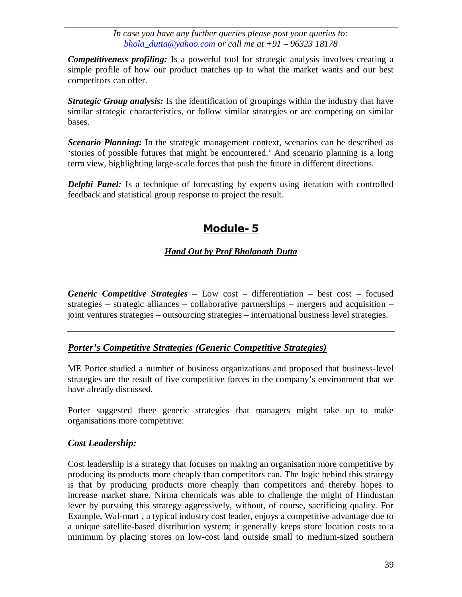*Competitiveness profiling:* Is a powerful tool for strategic analysis involves creating a simple profile of how our product matches up to what the market wants and our best competitors can offer.

*Strategic Group analysis:* Is the identification of groupings within the industry that have similar strategic characteristics, or follow similar strategies or are competing on similar bases.

*Scenario Planning:* In the strategic management context, scenarios can be described as 'stories of possible futures that might be encountered.' And scenario planning is a long term view, highlighting large-scale forces that push the future in different directions.

*Delphi Panel:* Is a technique of forecasting by experts using iteration with controlled feedback and statistical group response to project the result.

# **Module- 5**

## *Hand Out by Prof Bholanath Dutta*

*Generic Competitive Strategies* – Low cost – differentiation – best cost – focused strategies – strategic alliances – collaborative partnerships – mergers and acquisition – joint ventures strategies – outsourcing strategies – international business level strategies.

## *Porter's Competitive Strategies (Generic Competitive Strategies)*

ME Porter studied a number of business organizations and proposed that business-level strategies are the result of five competitive forces in the company's environment that we have already discussed.

Porter suggested three generic strategies that managers might take up to make organisations more competitive:

## *Cost Leadership:*

Cost leadership is a strategy that focuses on making an organisation more competitive by producing its products more cheaply than competitors can. The logic behind this strategy is that by producing products more cheaply than competitors and thereby hopes to increase market share. Nirma chemicals was able to challenge the might of Hindustan lever by pursuing this strategy aggressively, without, of course, sacrificing quality. For Example, Wal-mart , a typical industry cost leader, enjoys a competitive advantage due to a unique satellite-based distribution system; it generally keeps store location costs to a minimum by placing stores on low-cost land outside small to medium-sized southern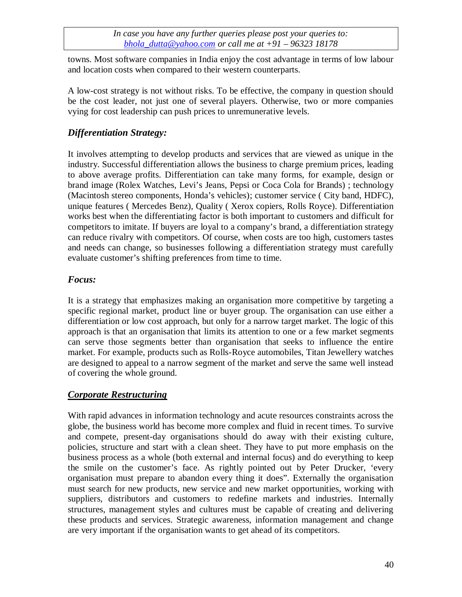towns. Most software companies in India enjoy the cost advantage in terms of low labour and location costs when compared to their western counterparts.

A low-cost strategy is not without risks. To be effective, the company in question should be the cost leader, not just one of several players. Otherwise, two or more companies vying for cost leadership can push prices to unremunerative levels.

## *Differentiation Strategy:*

It involves attempting to develop products and services that are viewed as unique in the industry. Successful differentiation allows the business to charge premium prices, leading to above average profits. Differentiation can take many forms, for example, design or brand image (Rolex Watches, Levi's Jeans, Pepsi or Coca Cola for Brands) ; technology (Macintosh stereo components, Honda's vehicles); customer service ( City band, HDFC), unique features ( Mercedes Benz), Quality ( Xerox copiers, Rolls Royce). Differentiation works best when the differentiating factor is both important to customers and difficult for competitors to imitate. If buyers are loyal to a company's brand, a differentiation strategy can reduce rivalry with competitors. Of course, when costs are too high, customers tastes and needs can change, so businesses following a differentiation strategy must carefully evaluate customer's shifting preferences from time to time.

## *Focus:*

It is a strategy that emphasizes making an organisation more competitive by targeting a specific regional market, product line or buyer group. The organisation can use either a differentiation or low cost approach, but only for a narrow target market. The logic of this approach is that an organisation that limits its attention to one or a few market segments can serve those segments better than organisation that seeks to influence the entire market. For example, products such as Rolls-Royce automobiles, Titan Jewellery watches are designed to appeal to a narrow segment of the market and serve the same well instead of covering the whole ground.

# *Corporate Restructuring*

With rapid advances in information technology and acute resources constraints across the globe, the business world has become more complex and fluid in recent times. To survive and compete, present-day organisations should do away with their existing culture, policies, structure and start with a clean sheet. They have to put more emphasis on the business process as a whole (both external and internal focus) and do everything to keep the smile on the customer's face. As rightly pointed out by Peter Drucker, 'every organisation must prepare to abandon every thing it does". Externally the organisation must search for new products, new service and new market opportunities, working with suppliers, distributors and customers to redefine markets and industries. Internally structures, management styles and cultures must be capable of creating and delivering these products and services. Strategic awareness, information management and change are very important if the organisation wants to get ahead of its competitors.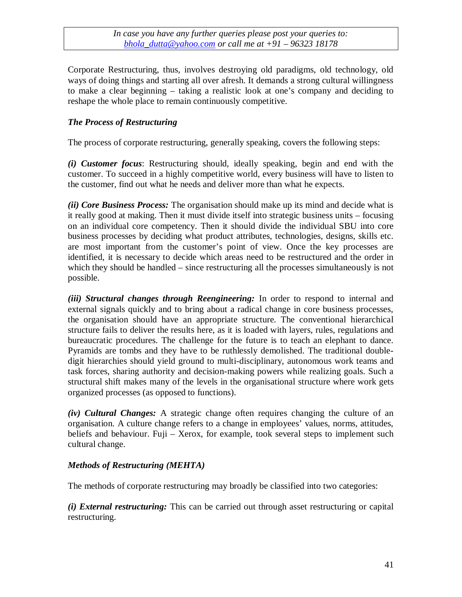Corporate Restructuring, thus, involves destroying old paradigms, old technology, old ways of doing things and starting all over afresh. It demands a strong cultural willingness to make a clear beginning – taking a realistic look at one's company and deciding to reshape the whole place to remain continuously competitive.

## *The Process of Restructuring*

The process of corporate restructuring, generally speaking, covers the following steps:

*(i) Customer focus*: Restructuring should, ideally speaking, begin and end with the customer. To succeed in a highly competitive world, every business will have to listen to the customer, find out what he needs and deliver more than what he expects.

*(ii) Core Business Process:* The organisation should make up its mind and decide what is it really good at making. Then it must divide itself into strategic business units – focusing on an individual core competency. Then it should divide the individual SBU into core business processes by deciding what product attributes, technologies, designs, skills etc. are most important from the customer's point of view. Once the key processes are identified, it is necessary to decide which areas need to be restructured and the order in which they should be handled – since restructuring all the processes simultaneously is not possible.

*(iii) Structural changes through Reengineering:* In order to respond to internal and external signals quickly and to bring about a radical change in core business processes, the organisation should have an appropriate structure. The conventional hierarchical structure fails to deliver the results here, as it is loaded with layers, rules, regulations and bureaucratic procedures. The challenge for the future is to teach an elephant to dance. Pyramids are tombs and they have to be ruthlessly demolished. The traditional doubledigit hierarchies should yield ground to multi-disciplinary, autonomous work teams and task forces, sharing authority and decision-making powers while realizing goals. Such a structural shift makes many of the levels in the organisational structure where work gets organized processes (as opposed to functions).

*(iv) Cultural Changes:* A strategic change often requires changing the culture of an organisation. A culture change refers to a change in employees' values, norms, attitudes, beliefs and behaviour. Fuji – Xerox, for example, took several steps to implement such cultural change.

## *Methods of Restructuring (MEHTA)*

The methods of corporate restructuring may broadly be classified into two categories:

*(i) External restructuring:* This can be carried out through asset restructuring or capital restructuring.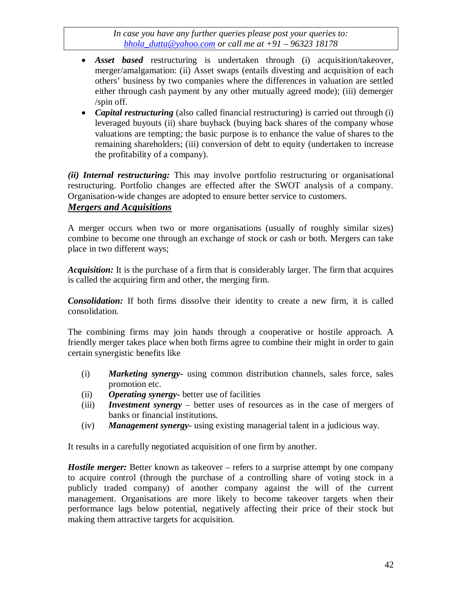- *Asset based* restructuring is undertaken through (i) acquisition/takeover, merger/amalgamation: (ii) Asset swaps (entails divesting and acquisition of each others' business by two companies where the differences in valuation are settled either through cash payment by any other mutually agreed mode); (iii) demerger /spin off.
- *Capital restructuring* (also called financial restructuring) is carried out through (i) leveraged buyouts (ii) share buyback (buying back shares of the company whose valuations are tempting; the basic purpose is to enhance the value of shares to the remaining shareholders; (iii) conversion of debt to equity (undertaken to increase the profitability of a company).

*(ii) Internal restructuring:* This may involve portfolio restructuring or organisational restructuring. Portfolio changes are effected after the SWOT analysis of a company. Organisation-wide changes are adopted to ensure better service to customers.

## *Mergers and Acquisitions*

A merger occurs when two or more organisations (usually of roughly similar sizes) combine to become one through an exchange of stock or cash or both. Mergers can take place in two different ways;

*Acquisition:* It is the purchase of a firm that is considerably larger. The firm that acquires is called the acquiring firm and other, the merging firm.

*Consolidation:* If both firms dissolve their identity to create a new firm, it is called consolidation.

The combining firms may join hands through a cooperative or hostile approach. A friendly merger takes place when both firms agree to combine their might in order to gain certain synergistic benefits like

- (i) *Marketing synergy-* using common distribution channels, sales force, sales promotion etc.
- (ii) *Operating synergy-* better use of facilities
- (iii) *Investment synergy* better uses of resources as in the case of mergers of banks or financial institutions.
- (iv) *Management synergy-* using existing managerial talent in a judicious way.

It results in a carefully negotiated acquisition of one firm by another.

*Hostile merger:* Better known as takeover – refers to a surprise attempt by one company to acquire control (through the purchase of a controlling share of voting stock in a publicly traded company) of another company against the will of the current management. Organisations are more likely to become takeover targets when their performance lags below potential, negatively affecting their price of their stock but making them attractive targets for acquisition.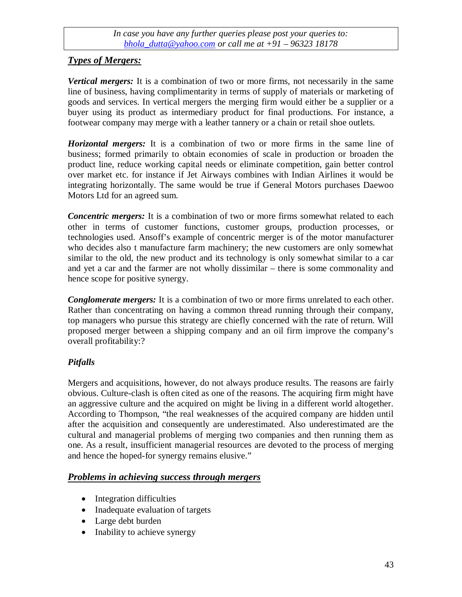## *Types of Mergers:*

*Vertical mergers:* It is a combination of two or more firms, not necessarily in the same line of business, having complimentarity in terms of supply of materials or marketing of goods and services. In vertical mergers the merging firm would either be a supplier or a buyer using its product as intermediary product for final productions. For instance, a footwear company may merge with a leather tannery or a chain or retail shoe outlets.

*Horizontal mergers:* It is a combination of two or more firms in the same line of business; formed primarily to obtain economies of scale in production or broaden the product line, reduce working capital needs or eliminate competition, gain better control over market etc. for instance if Jet Airways combines with Indian Airlines it would be integrating horizontally. The same would be true if General Motors purchases Daewoo Motors Ltd for an agreed sum.

*Concentric mergers:* It is a combination of two or more firms somewhat related to each other in terms of customer functions, customer groups, production processes, or technologies used. Ansoff's example of concentric merger is of the motor manufacturer who decides also t manufacture farm machinery; the new customers are only somewhat similar to the old, the new product and its technology is only somewhat similar to a car and yet a car and the farmer are not wholly dissimilar – there is some commonality and hence scope for positive synergy.

*Conglomerate mergers:* It is a combination of two or more firms unrelated to each other. Rather than concentrating on having a common thread running through their company, top managers who pursue this strategy are chiefly concerned with the rate of return. Will proposed merger between a shipping company and an oil firm improve the company's overall profitability:?

## *Pitfalls*

Mergers and acquisitions, however, do not always produce results. The reasons are fairly obvious. Culture-clash is often cited as one of the reasons. The acquiring firm might have an aggressive culture and the acquired on might be living in a different world altogether. According to Thompson, "the real weaknesses of the acquired company are hidden until after the acquisition and consequently are underestimated. Also underestimated are the cultural and managerial problems of merging two companies and then running them as one. As a result, insufficient managerial resources are devoted to the process of merging and hence the hoped-for synergy remains elusive."

## *Problems in achieving success through mergers*

- Integration difficulties
- Inadequate evaluation of targets
- Large debt burden
- Inability to achieve synergy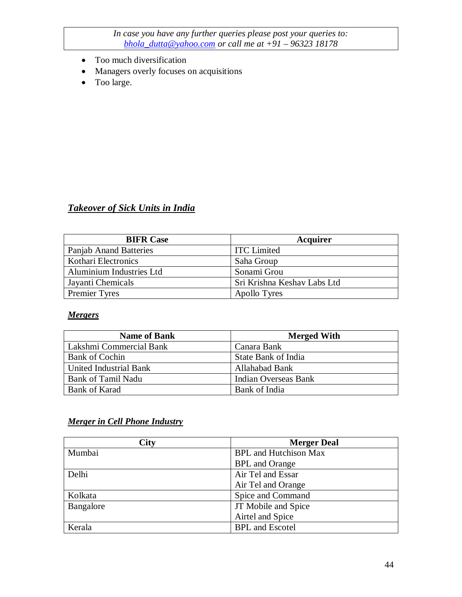- Too much diversification
- Managers overly focuses on acquisitions
- Too large.

## *Takeover of Sick Units in India*

| <b>BIFR Case</b>         | Acquirer                    |
|--------------------------|-----------------------------|
| Panjab Anand Batteries   | <b>ITC</b> Limited          |
| Kothari Electronics      | Saha Group                  |
| Aluminium Industries Ltd | Sonami Grou                 |
| Jayanti Chemicals        | Sri Krishna Keshav Labs Ltd |
| <b>Premier Tyres</b>     | <b>Apollo Tyres</b>         |

#### *Mergers*

| <b>Name of Bank</b>     | <b>Merged With</b>          |
|-------------------------|-----------------------------|
| Lakshmi Commercial Bank | Canara Bank                 |
| <b>Bank of Cochin</b>   | State Bank of India         |
| United Industrial Bank  | Allahabad Bank              |
| Bank of Tamil Nadu      | <b>Indian Overseas Bank</b> |
| <b>Bank of Karad</b>    | Bank of India               |

## *Merger in Cell Phone Industry*

| City      | <b>Merger Deal</b>           |
|-----------|------------------------------|
| Mumbai    | <b>BPL</b> and Hutchison Max |
|           | <b>BPL</b> and Orange        |
| Delhi     | Air Tel and Essar            |
|           | Air Tel and Orange           |
| Kolkata   | Spice and Command            |
| Bangalore | JT Mobile and Spice          |
|           | Airtel and Spice             |
| Kerala    | <b>BPL</b> and Escotel       |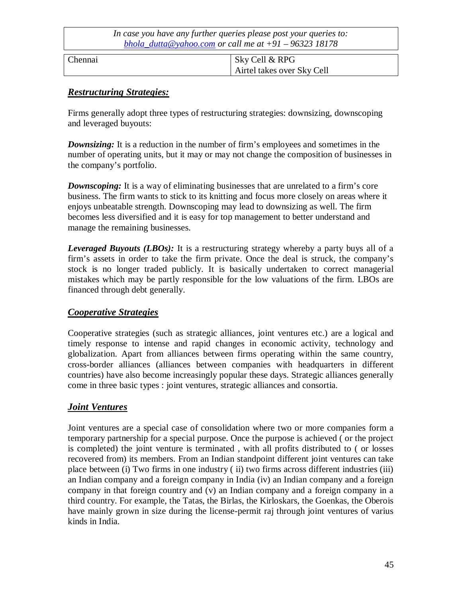| In case you have any further queries please post your queries to:<br>bhola dutta@yahoo.com or call me at $+91 - 96323$ 18178 |                |                            |  |
|------------------------------------------------------------------------------------------------------------------------------|----------------|----------------------------|--|
| Chennai                                                                                                                      | Sky Cell & RPG | Airtel takes over Sky Cell |  |

## *Restructuring Strategies:*

Firms generally adopt three types of restructuring strategies: downsizing, downscoping and leveraged buyouts:

*Downsizing:* It is a reduction in the number of firm's employees and sometimes in the number of operating units, but it may or may not change the composition of businesses in the company's portfolio.

*Downscoping:* It is a way of eliminating businesses that are unrelated to a firm's core business. The firm wants to stick to its knitting and focus more closely on areas where it enjoys unbeatable strength. Downscoping may lead to downsizing as well. The firm becomes less diversified and it is easy for top management to better understand and manage the remaining businesses.

*Leveraged Buyouts (LBOs):* It is a restructuring strategy whereby a party buys all of a firm's assets in order to take the firm private. Once the deal is struck, the company's stock is no longer traded publicly. It is basically undertaken to correct managerial mistakes which may be partly responsible for the low valuations of the firm. LBOs are financed through debt generally.

## *Cooperative Strategies*

Cooperative strategies (such as strategic alliances, joint ventures etc.) are a logical and timely response to intense and rapid changes in economic activity, technology and globalization. Apart from alliances between firms operating within the same country, cross-border alliances (alliances between companies with headquarters in different countries) have also become increasingly popular these days. Strategic alliances generally come in three basic types : joint ventures, strategic alliances and consortia.

## *Joint Ventures*

Joint ventures are a special case of consolidation where two or more companies form a temporary partnership for a special purpose. Once the purpose is achieved ( or the project is completed) the joint venture is terminated , with all profits distributed to ( or losses recovered from) its members. From an Indian standpoint different joint ventures can take place between (i) Two firms in one industry ( ii) two firms across different industries (iii) an Indian company and a foreign company in India (iv) an Indian company and a foreign company in that foreign country and (v) an Indian company and a foreign company in a third country. For example, the Tatas, the Birlas, the Kirloskars, the Goenkas, the Oberois have mainly grown in size during the license-permit raj through joint ventures of varius kinds in India.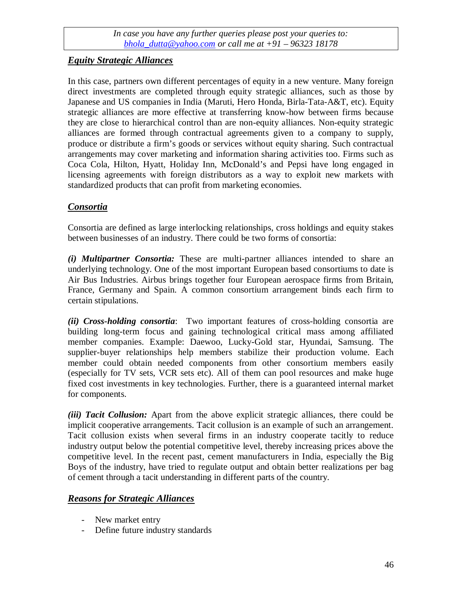## *Equity Strategic Alliances*

In this case, partners own different percentages of equity in a new venture. Many foreign direct investments are completed through equity strategic alliances, such as those by Japanese and US companies in India (Maruti, Hero Honda, Birla-Tata-A&T, etc). Equity strategic alliances are more effective at transferring know-how between firms because they are close to hierarchical control than are non-equity alliances. Non-equity strategic alliances are formed through contractual agreements given to a company to supply, produce or distribute a firm's goods or services without equity sharing. Such contractual arrangements may cover marketing and information sharing activities too. Firms such as Coca Cola, Hilton, Hyatt, Holiday Inn, McDonald's and Pepsi have long engaged in licensing agreements with foreign distributors as a way to exploit new markets with standardized products that can profit from marketing economies.

## *Consortia*

Consortia are defined as large interlocking relationships, cross holdings and equity stakes between businesses of an industry. There could be two forms of consortia:

*(i) Multipartner Consortia:* These are multi-partner alliances intended to share an underlying technology. One of the most important European based consortiums to date is Air Bus Industries. Airbus brings together four European aerospace firms from Britain, France, Germany and Spain. A common consortium arrangement binds each firm to certain stipulations.

*(ii) Cross-holding consortia*: Two important features of cross-holding consortia are building long-term focus and gaining technological critical mass among affiliated member companies. Example: Daewoo, Lucky-Gold star, Hyundai, Samsung. The supplier-buyer relationships help members stabilize their production volume. Each member could obtain needed components from other consortium members easily (especially for TV sets, VCR sets etc). All of them can pool resources and make huge fixed cost investments in key technologies. Further, there is a guaranteed internal market for components.

*(iii) Tacit Collusion:* Apart from the above explicit strategic alliances, there could be implicit cooperative arrangements. Tacit collusion is an example of such an arrangement. Tacit collusion exists when several firms in an industry cooperate tacitly to reduce industry output below the potential competitive level, thereby increasing prices above the competitive level. In the recent past, cement manufacturers in India, especially the Big Boys of the industry, have tried to regulate output and obtain better realizations per bag of cement through a tacit understanding in different parts of the country.

## *Reasons for Strategic Alliances*

- New market entry
- Define future industry standards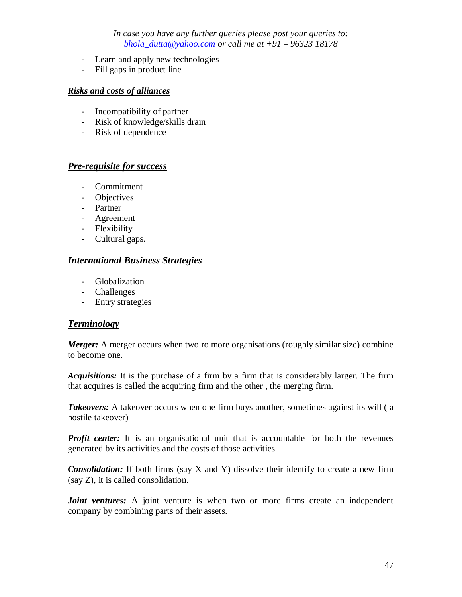- Learn and apply new technologies
- Fill gaps in product line

#### *Risks and costs of alliances*

- Incompatibility of partner
- Risk of knowledge/skills drain
- Risk of dependence

#### *Pre-requisite for success*

- Commitment
- Objectives
- Partner
- Agreement
- Flexibility
- Cultural gaps.

## *International Business Strategies*

- Globalization
- Challenges
- Entry strategies

## *Terminology*

*Merger:* A merger occurs when two ro more organisations (roughly similar size) combine to become one.

*Acquisitions:* It is the purchase of a firm by a firm that is considerably larger. The firm that acquires is called the acquiring firm and the other , the merging firm.

*Takeovers:* A takeover occurs when one firm buys another, sometimes against its will (a) hostile takeover)

*Profit center:* It is an organisational unit that is accountable for both the revenues generated by its activities and the costs of those activities.

*Consolidation:* If both firms (say X and Y) dissolve their identify to create a new firm (say Z), it is called consolidation.

*Joint ventures:* A joint venture is when two or more firms create an independent company by combining parts of their assets.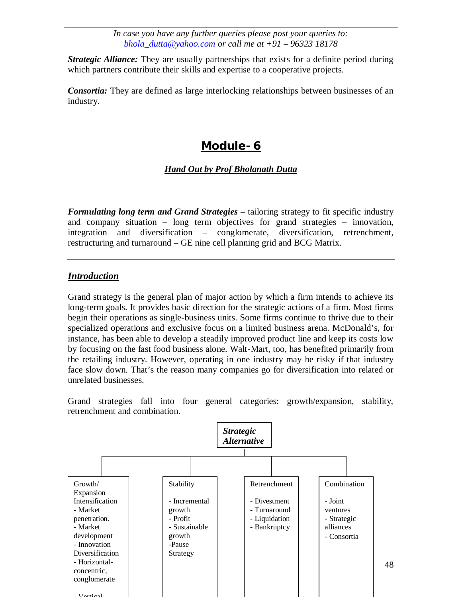*Strategic Alliance:* They are usually partnerships that exists for a definite period during which partners contribute their skills and expertise to a cooperative projects.

*Consortia:* They are defined as large interlocking relationships between businesses of an industry.

# **Module- 6**

#### *Hand Out by Prof Bholanath Dutta*

*Formulating long term and Grand Strategies* – tailoring strategy to fit specific industry and company situation – long term objectives for grand strategies – innovation, integration and diversification – conglomerate, diversification, retrenchment, restructuring and turnaround – GE nine cell planning grid and BCG Matrix.

## *Introduction*

Grand strategy is the general plan of major action by which a firm intends to achieve its long-term goals. It provides basic direction for the strategic actions of a firm. Most firms begin their operations as single-business units. Some firms continue to thrive due to their specialized operations and exclusive focus on a limited business arena. McDonald's, for instance, has been able to develop a steadily improved product line and keep its costs low by focusing on the fast food business alone. Walt-Mart, too, has benefited primarily from the retailing industry. However, operating in one industry may be risky if that industry face slow down. That's the reason many companies go for diversification into related or unrelated businesses.

Grand strategies fall into four general categories: growth/expansion, stability, retrenchment and combination.



48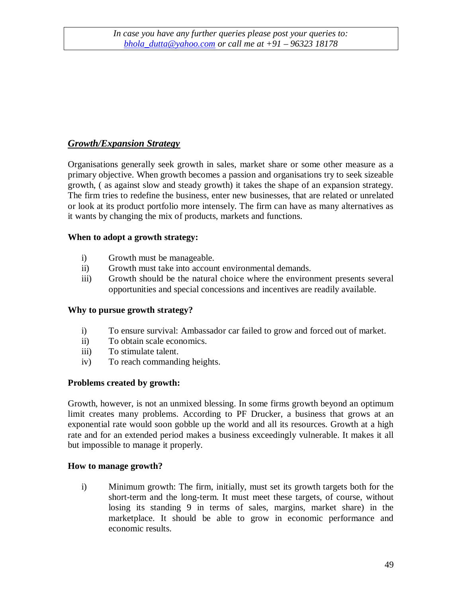## *Growth/Expansion Strategy*

Organisations generally seek growth in sales, market share or some other measure as a primary objective. When growth becomes a passion and organisations try to seek sizeable growth, ( as against slow and steady growth) it takes the shape of an expansion strategy. The firm tries to redefine the business, enter new businesses, that are related or unrelated or look at its product portfolio more intensely. The firm can have as many alternatives as it wants by changing the mix of products, markets and functions.

#### **When to adopt a growth strategy:**

- i) Growth must be manageable.
- ii) Growth must take into account environmental demands.
- iii) Growth should be the natural choice where the environment presents several opportunities and special concessions and incentives are readily available.

## **Why to pursue growth strategy?**

- i) To ensure survival: Ambassador car failed to grow and forced out of market.
- ii) To obtain scale economics.
- iii) To stimulate talent.
- iv) To reach commanding heights.

## **Problems created by growth:**

Growth, however, is not an unmixed blessing. In some firms growth beyond an optimum limit creates many problems. According to PF Drucker, a business that grows at an exponential rate would soon gobble up the world and all its resources. Growth at a high rate and for an extended period makes a business exceedingly vulnerable. It makes it all but impossible to manage it properly.

#### **How to manage growth?**

i) Minimum growth: The firm, initially, must set its growth targets both for the short-term and the long-term. It must meet these targets, of course, without losing its standing 9 in terms of sales, margins, market share) in the marketplace. It should be able to grow in economic performance and economic results.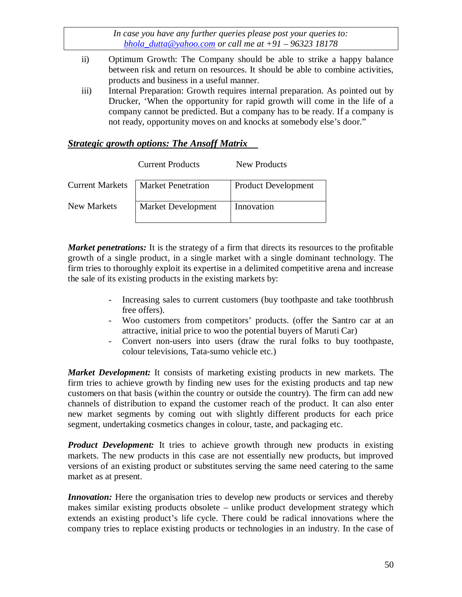- ii) Optimum Growth: The Company should be able to strike a happy balance between risk and return on resources. It should be able to combine activities, products and business in a useful manner.
- iii) Internal Preparation: Growth requires internal preparation. As pointed out by Drucker, 'When the opportunity for rapid growth will come in the life of a company cannot be predicted. But a company has to be ready. If a company is not ready, opportunity moves on and knocks at somebody else's door."

## *Strategic growth options: The Ansoff Matrix*

|                        | <b>Current Products</b>   | New Products               |
|------------------------|---------------------------|----------------------------|
| <b>Current Markets</b> | <b>Market Penetration</b> | <b>Product Development</b> |
| New Markets            | Market Development        | Innovation                 |

*Market penetrations:* It is the strategy of a firm that directs its resources to the profitable growth of a single product, in a single market with a single dominant technology. The firm tries to thoroughly exploit its expertise in a delimited competitive arena and increase the sale of its existing products in the existing markets by:

- Increasing sales to current customers (buy toothpaste and take toothbrush free offers).
- Woo customers from competitors' products. (offer the Santro car at an attractive, initial price to woo the potential buyers of Maruti Car)
- Convert non-users into users (draw the rural folks to buy toothpaste, colour televisions, Tata-sumo vehicle etc.)

*Market Development:* It consists of marketing existing products in new markets. The firm tries to achieve growth by finding new uses for the existing products and tap new customers on that basis (within the country or outside the country). The firm can add new channels of distribution to expand the customer reach of the product. It can also enter new market segments by coming out with slightly different products for each price segment, undertaking cosmetics changes in colour, taste, and packaging etc.

*Product Development:* It tries to achieve growth through new products in existing markets. The new products in this case are not essentially new products, but improved versions of an existing product or substitutes serving the same need catering to the same market as at present.

*Innovation:* Here the organisation tries to develop new products or services and thereby makes similar existing products obsolete – unlike product development strategy which extends an existing product's life cycle. There could be radical innovations where the company tries to replace existing products or technologies in an industry. In the case of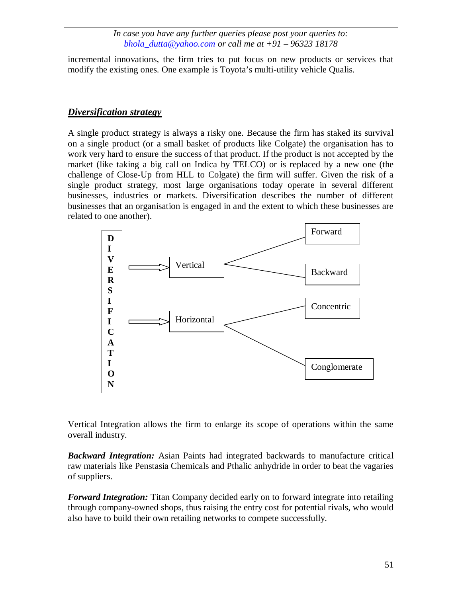incremental innovations, the firm tries to put focus on new products or services that modify the existing ones. One example is Toyota's multi-utility vehicle Qualis.

#### *Diversification strategy*

A single product strategy is always a risky one. Because the firm has staked its survival on a single product (or a small basket of products like Colgate) the organisation has to work very hard to ensure the success of that product. If the product is not accepted by the market (like taking a big call on Indica by TELCO) or is replaced by a new one (the challenge of Close-Up from HLL to Colgate) the firm will suffer. Given the risk of a single product strategy, most large organisations today operate in several different businesses, industries or markets. Diversification describes the number of different businesses that an organisation is engaged in and the extent to which these businesses are related to one another).



Vertical Integration allows the firm to enlarge its scope of operations within the same overall industry.

*Backward Integration:* Asian Paints had integrated backwards to manufacture critical raw materials like Penstasia Chemicals and Pthalic anhydride in order to beat the vagaries of suppliers.

*Forward Integration:* Titan Company decided early on to forward integrate into retailing through company-owned shops, thus raising the entry cost for potential rivals, who would also have to build their own retailing networks to compete successfully.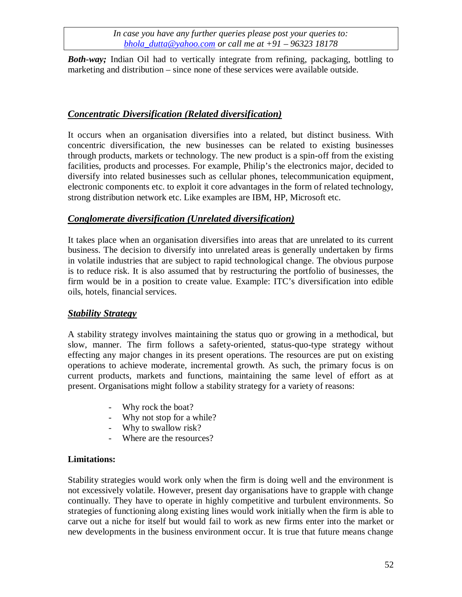*Both-way;* Indian Oil had to vertically integrate from refining, packaging, bottling to marketing and distribution – since none of these services were available outside.

## *Concentratic Diversification (Related diversification)*

It occurs when an organisation diversifies into a related, but distinct business. With concentric diversification, the new businesses can be related to existing businesses through products, markets or technology. The new product is a spin-off from the existing facilities, products and processes. For example, Philip's the electronics major, decided to diversify into related businesses such as cellular phones, telecommunication equipment, electronic components etc. to exploit it core advantages in the form of related technology, strong distribution network etc. Like examples are IBM, HP, Microsoft etc.

## *Conglomerate diversification (Unrelated diversification)*

It takes place when an organisation diversifies into areas that are unrelated to its current business. The decision to diversify into unrelated areas is generally undertaken by firms in volatile industries that are subject to rapid technological change. The obvious purpose is to reduce risk. It is also assumed that by restructuring the portfolio of businesses, the firm would be in a position to create value. Example: ITC's diversification into edible oils, hotels, financial services.

## *Stability Strategy*

A stability strategy involves maintaining the status quo or growing in a methodical, but slow, manner. The firm follows a safety-oriented, status-quo-type strategy without effecting any major changes in its present operations. The resources are put on existing operations to achieve moderate, incremental growth. As such, the primary focus is on current products, markets and functions, maintaining the same level of effort as at present. Organisations might follow a stability strategy for a variety of reasons:

- Why rock the boat?
- Why not stop for a while?
- Why to swallow risk?
- Where are the resources?

## **Limitations:**

Stability strategies would work only when the firm is doing well and the environment is not excessively volatile. However, present day organisations have to grapple with change continually. They have to operate in highly competitive and turbulent environments. So strategies of functioning along existing lines would work initially when the firm is able to carve out a niche for itself but would fail to work as new firms enter into the market or new developments in the business environment occur. It is true that future means change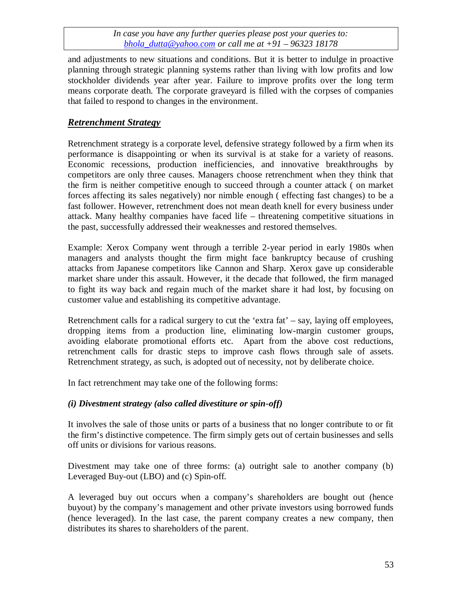and adjustments to new situations and conditions. But it is better to indulge in proactive planning through strategic planning systems rather than living with low profits and low stockholder dividends year after year. Failure to improve profits over the long term means corporate death. The corporate graveyard is filled with the corpses of companies that failed to respond to changes in the environment.

## *Retrenchment Strategy*

Retrenchment strategy is a corporate level, defensive strategy followed by a firm when its performance is disappointing or when its survival is at stake for a variety of reasons. Economic recessions, production inefficiencies, and innovative breakthroughs by competitors are only three causes. Managers choose retrenchment when they think that the firm is neither competitive enough to succeed through a counter attack ( on market forces affecting its sales negatively) nor nimble enough ( effecting fast changes) to be a fast follower. However, retrenchment does not mean death knell for every business under attack. Many healthy companies have faced life – threatening competitive situations in the past, successfully addressed their weaknesses and restored themselves.

Example: Xerox Company went through a terrible 2-year period in early 1980s when managers and analysts thought the firm might face bankruptcy because of crushing attacks from Japanese competitors like Cannon and Sharp. Xerox gave up considerable market share under this assault. However, it the decade that followed, the firm managed to fight its way back and regain much of the market share it had lost, by focusing on customer value and establishing its competitive advantage.

Retrenchment calls for a radical surgery to cut the 'extra fat' – say, laying off employees, dropping items from a production line, eliminating low-margin customer groups, avoiding elaborate promotional efforts etc. Apart from the above cost reductions, retrenchment calls for drastic steps to improve cash flows through sale of assets. Retrenchment strategy, as such, is adopted out of necessity, not by deliberate choice.

In fact retrenchment may take one of the following forms:

## *(i) Divestment strategy (also called divestiture or spin-off)*

It involves the sale of those units or parts of a business that no longer contribute to or fit the firm's distinctive competence. The firm simply gets out of certain businesses and sells off units or divisions for various reasons.

Divestment may take one of three forms: (a) outright sale to another company (b) Leveraged Buy-out (LBO) and (c) Spin-off.

A leveraged buy out occurs when a company's shareholders are bought out (hence buyout) by the company's management and other private investors using borrowed funds (hence leveraged). In the last case, the parent company creates a new company, then distributes its shares to shareholders of the parent.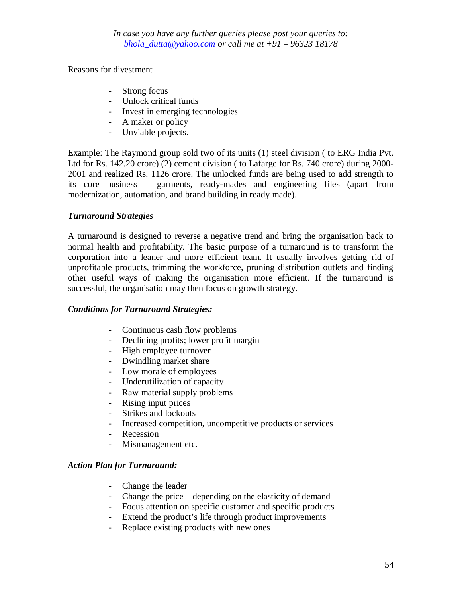#### Reasons for divestment

- Strong focus
- Unlock critical funds
- Invest in emerging technologies
- A maker or policy
- Unviable projects.

Example: The Raymond group sold two of its units (1) steel division ( to ERG India Pvt. Ltd for Rs. 142.20 crore) (2) cement division ( to Lafarge for Rs. 740 crore) during 2000- 2001 and realized Rs. 1126 crore. The unlocked funds are being used to add strength to its core business – garments, ready-mades and engineering files (apart from modernization, automation, and brand building in ready made).

## *Turnaround Strategies*

A turnaround is designed to reverse a negative trend and bring the organisation back to normal health and profitability. The basic purpose of a turnaround is to transform the corporation into a leaner and more efficient team. It usually involves getting rid of unprofitable products, trimming the workforce, pruning distribution outlets and finding other useful ways of making the organisation more efficient. If the turnaround is successful, the organisation may then focus on growth strategy.

## *Conditions for Turnaround Strategies:*

- Continuous cash flow problems
- Declining profits; lower profit margin
- High employee turnover
- Dwindling market share
- Low morale of employees
- Underutilization of capacity
- Raw material supply problems
- Rising input prices
- Strikes and lockouts
- Increased competition, uncompetitive products or services
- Recession
- Mismanagement etc.

## *Action Plan for Turnaround:*

- Change the leader
- Change the price depending on the elasticity of demand
- Focus attention on specific customer and specific products
- Extend the product's life through product improvements
- Replace existing products with new ones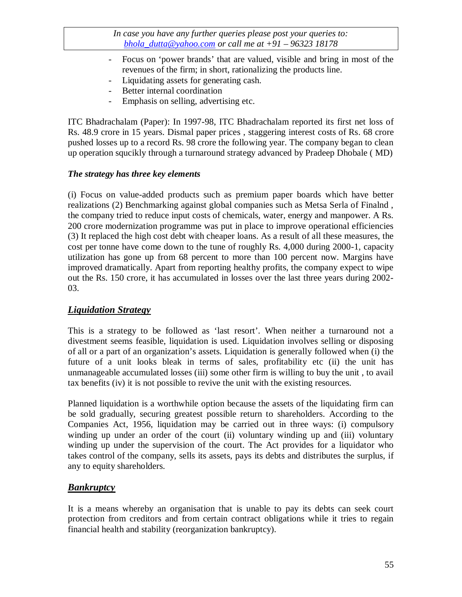- Focus on 'power brands' that are valued, visible and bring in most of the revenues of the firm; in short, rationalizing the products line.
- Liquidating assets for generating cash.
- Better internal coordination
- Emphasis on selling, advertising etc.

ITC Bhadrachalam (Paper): In 1997-98, ITC Bhadrachalam reported its first net loss of Rs. 48.9 crore in 15 years. Dismal paper prices , staggering interest costs of Rs. 68 crore pushed losses up to a record Rs. 98 crore the following year. The company began to clean up operation squcikly through a turnaround strategy advanced by Pradeep Dhobale ( MD)

## *The strategy has three key elements*

(i) Focus on value-added products such as premium paper boards which have better realizations (2) Benchmarking against global companies such as Metsa Serla of Finalnd , the company tried to reduce input costs of chemicals, water, energy and manpower. A Rs. 200 crore modernization programme was put in place to improve operational efficiencies (3) It replaced the high cost debt with cheaper loans. As a result of all these measures, the cost per tonne have come down to the tune of roughly Rs. 4,000 during 2000-1, capacity utilization has gone up from 68 percent to more than 100 percent now. Margins have improved dramatically. Apart from reporting healthy profits, the company expect to wipe out the Rs. 150 crore, it has accumulated in losses over the last three years during 2002- 03.

## *Liquidation Strategy*

This is a strategy to be followed as 'last resort'. When neither a turnaround not a divestment seems feasible, liquidation is used. Liquidation involves selling or disposing of all or a part of an organization's assets. Liquidation is generally followed when (i) the future of a unit looks bleak in terms of sales, profitability etc (ii) the unit has unmanageable accumulated losses (iii) some other firm is willing to buy the unit , to avail tax benefits (iv) it is not possible to revive the unit with the existing resources.

Planned liquidation is a worthwhile option because the assets of the liquidating firm can be sold gradually, securing greatest possible return to shareholders. According to the Companies Act, 1956, liquidation may be carried out in three ways: (i) compulsory winding up under an order of the court (ii) voluntary winding up and (iii) voluntary winding up under the supervision of the court. The Act provides for a liquidator who takes control of the company, sells its assets, pays its debts and distributes the surplus, if any to equity shareholders.

## *Bankruptcy*

It is a means whereby an organisation that is unable to pay its debts can seek court protection from creditors and from certain contract obligations while it tries to regain financial health and stability (reorganization bankruptcy).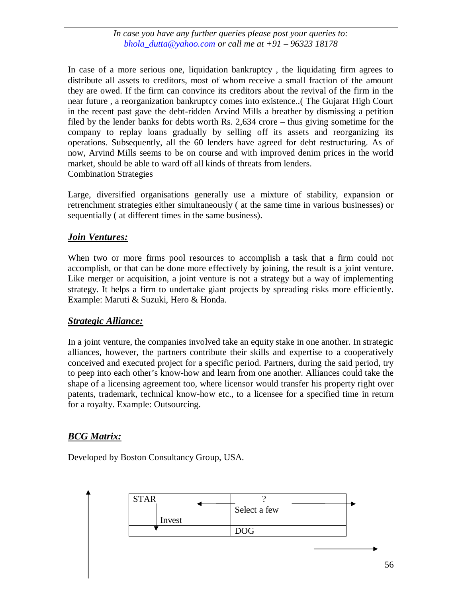In case of a more serious one, liquidation bankruptcy , the liquidating firm agrees to distribute all assets to creditors, most of whom receive a small fraction of the amount they are owed. If the firm can convince its creditors about the revival of the firm in the near future , a reorganization bankruptcy comes into existence..( The Gujarat High Court in the recent past gave the debt-ridden Arvind Mills a breather by dismissing a petition filed by the lender banks for debts worth Rs. 2,634 crore – thus giving sometime for the company to replay loans gradually by selling off its assets and reorganizing its operations. Subsequently, all the 60 lenders have agreed for debt restructuring. As of now, Arvind Mills seems to be on course and with improved denim prices in the world market, should be able to ward off all kinds of threats from lenders. Combination Strategies

Large, diversified organisations generally use a mixture of stability, expansion or retrenchment strategies either simultaneously ( at the same time in various businesses) or sequentially ( at different times in the same business).

## *Join Ventures:*

When two or more firms pool resources to accomplish a task that a firm could not accomplish, or that can be done more effectively by joining, the result is a joint venture. Like merger or acquisition, a joint venture is not a strategy but a way of implementing strategy. It helps a firm to undertake giant projects by spreading risks more efficiently. Example: Maruti & Suzuki, Hero & Honda.

## *Strategic Alliance:*

In a joint venture, the companies involved take an equity stake in one another. In strategic alliances, however, the partners contribute their skills and expertise to a cooperatively conceived and executed project for a specific period. Partners, during the said period, try to peep into each other's know-how and learn from one another. Alliances could take the shape of a licensing agreement too, where licensor would transfer his property right over patents, trademark, technical know-how etc., to a licensee for a specified time in return for a royalty. Example: Outsourcing.

## *BCG Matrix:*

Developed by Boston Consultancy Group, USA.

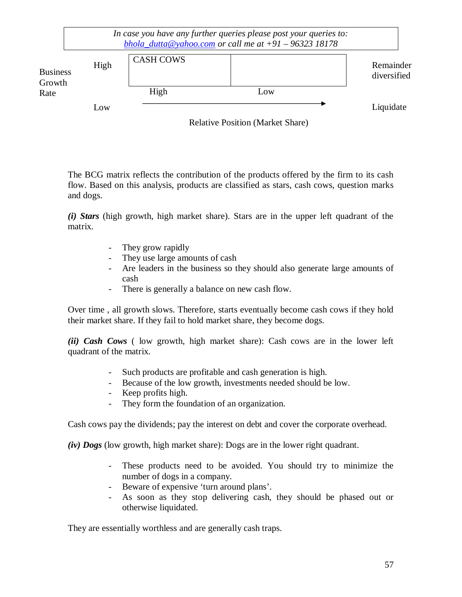|                           |      |                  | In case you have any further queries please post your queries to:<br>bhola_dutta@yahoo.com or call me at $+91 - 96323$ 18178 |                          |
|---------------------------|------|------------------|------------------------------------------------------------------------------------------------------------------------------|--------------------------|
| <b>Business</b><br>Growth | High | <b>CASH COWS</b> |                                                                                                                              | Remainder<br>diversified |
| Rate                      |      | High             | Low                                                                                                                          |                          |
|                           | Low  |                  |                                                                                                                              | Liquidate                |
|                           |      |                  | <b>Relative Position (Market Share)</b>                                                                                      |                          |

The BCG matrix reflects the contribution of the products offered by the firm to its cash flow. Based on this analysis, products are classified as stars, cash cows, question marks and dogs.

*(i) Stars* (high growth, high market share). Stars are in the upper left quadrant of the matrix.

- They grow rapidly
- They use large amounts of cash
- Are leaders in the business so they should also generate large amounts of cash
- There is generally a balance on new cash flow.

Over time , all growth slows. Therefore, starts eventually become cash cows if they hold their market share. If they fail to hold market share, they become dogs.

*(ii) Cash Cows* ( low growth, high market share): Cash cows are in the lower left quadrant of the matrix.

- Such products are profitable and cash generation is high.
- Because of the low growth, investments needed should be low.
- Keep profits high.
- They form the foundation of an organization.

Cash cows pay the dividends; pay the interest on debt and cover the corporate overhead.

*(iv) Dogs* (low growth, high market share): Dogs are in the lower right quadrant.

- These products need to be avoided. You should try to minimize the number of dogs in a company.
- Beware of expensive 'turn around plans'.
- As soon as they stop delivering cash, they should be phased out or otherwise liquidated.

They are essentially worthless and are generally cash traps.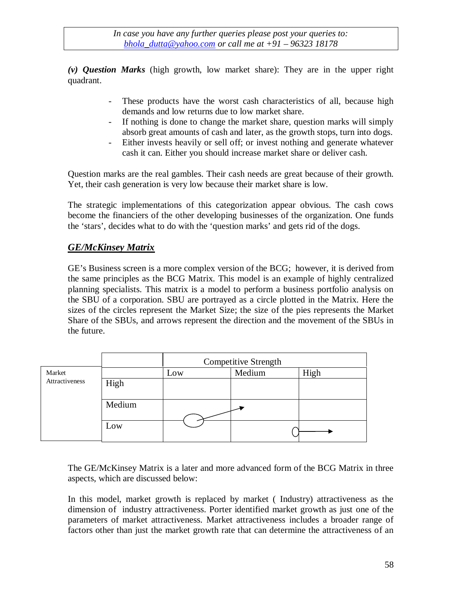*(v) Question Marks* (high growth, low market share): They are in the upper right quadrant.

- These products have the worst cash characteristics of all, because high demands and low returns due to low market share.
- If nothing is done to change the market share, question marks will simply absorb great amounts of cash and later, as the growth stops, turn into dogs.
- Either invests heavily or sell off; or invest nothing and generate whatever cash it can. Either you should increase market share or deliver cash.

Question marks are the real gambles. Their cash needs are great because of their growth. Yet, their cash generation is very low because their market share is low.

The strategic implementations of this categorization appear obvious. The cash cows become the financiers of the other developing businesses of the organization. One funds the 'stars', decides what to do with the 'question marks' and gets rid of the dogs.

## *GE/McKinsey Matrix*

GE's Business screen is a more complex version of the BCG; however, it is derived from the same principles as the BCG Matrix. This model is an example of highly centralized planning specialists. This matrix is a model to perform a business portfolio analysis on the SBU of a corporation. SBU are portrayed as a circle plotted in the Matrix. Here the sizes of the circles represent the Market Size; the size of the pies represents the Market Share of the SBUs, and arrows represent the direction and the movement of the SBUs in the future.

|                       |        | <b>Competitive Strength</b> |        |      |
|-----------------------|--------|-----------------------------|--------|------|
| Market                |        | Low                         | Medium | High |
| <b>Attractiveness</b> | High   |                             |        |      |
|                       | Medium |                             |        |      |
|                       | Low    |                             |        |      |

The GE/McKinsey Matrix is a later and more advanced form of the BCG Matrix in three aspects, which are discussed below:

In this model, market growth is replaced by market ( Industry) attractiveness as the dimension of industry attractiveness. Porter identified market growth as just one of the parameters of market attractiveness. Market attractiveness includes a broader range of factors other than just the market growth rate that can determine the attractiveness of an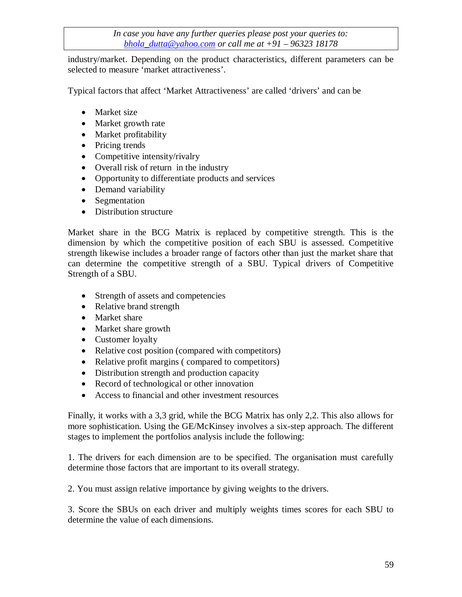industry/market. Depending on the product characteristics, different parameters can be selected to measure 'market attractiveness'.

Typical factors that affect 'Market Attractiveness' are called 'drivers' and can be

- Market size
- Market growth rate
- Market profitability
- Pricing trends
- Competitive intensity/rivalry
- Overall risk of return in the industry
- Opportunity to differentiate products and services
- Demand variability
- Segmentation
- Distribution structure

Market share in the BCG Matrix is replaced by competitive strength. This is the dimension by which the competitive position of each SBU is assessed. Competitive strength likewise includes a broader range of factors other than just the market share that can determine the competitive strength of a SBU. Typical drivers of Competitive Strength of a SBU.

- Strength of assets and competencies
- Relative brand strength
- Market share
- Market share growth
- Customer loyalty
- Relative cost position (compared with competitors)
- Relative profit margins (compared to competitors)
- Distribution strength and production capacity
- Record of technological or other innovation
- Access to financial and other investment resources

Finally, it works with a 3,3 grid, while the BCG Matrix has only 2,2. This also allows for more sophistication. Using the GE/McKinsey involves a six-step approach. The different stages to implement the portfolios analysis include the following:

1. The drivers for each dimension are to be specified. The organisation must carefully determine those factors that are important to its overall strategy.

2. You must assign relative importance by giving weights to the drivers.

3. Score the SBUs on each driver and multiply weights times scores for each SBU to determine the value of each dimensions.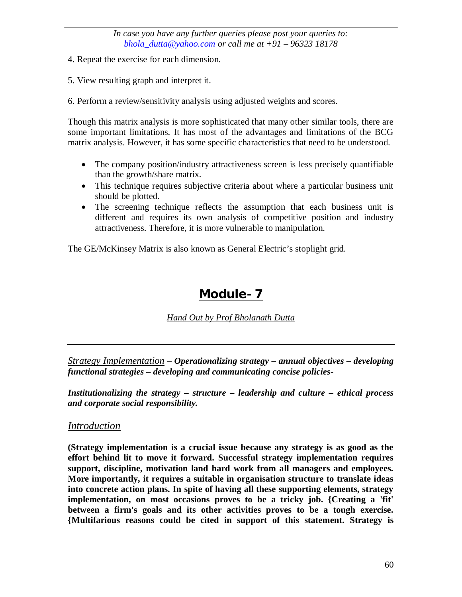- 4. Repeat the exercise for each dimension.
- 5. View resulting graph and interpret it.
- 6. Perform a review/sensitivity analysis using adjusted weights and scores.

Though this matrix analysis is more sophisticated that many other similar tools, there are some important limitations. It has most of the advantages and limitations of the BCG matrix analysis. However, it has some specific characteristics that need to be understood.

- The company position/industry attractiveness screen is less precisely quantifiable than the growth/share matrix.
- This technique requires subjective criteria about where a particular business unit should be plotted.
- The screening technique reflects the assumption that each business unit is different and requires its own analysis of competitive position and industry attractiveness. Therefore, it is more vulnerable to manipulation.

The GE/McKinsey Matrix is also known as General Electric's stoplight grid.

# **Module- 7**

*Hand Out by Prof Bholanath Dutta*

*Strategy Implementation* – *Operationalizing strategy – annual objectives – developing functional strategies – developing and communicating concise policies-*

*Institutionalizing the strategy – structure – leadership and culture – ethical process and corporate social responsibility.*

## *Introduction*

**(Strategy implementation is a crucial issue because any strategy is as good as the effort behind lit to move it forward. Successful strategy implementation requires support, discipline, motivation land hard work from all managers and employees. More importantly, it requires a suitable in organisation structure to translate ideas into concrete action plans. In spite of having all these supporting elements, strategy implementation, on most occasions proves to be a tricky job. {Creating a 'fit' between a firm's goals and its other activities proves to be a tough exercise. {Multifarious reasons could be cited in support of this statement. Strategy is**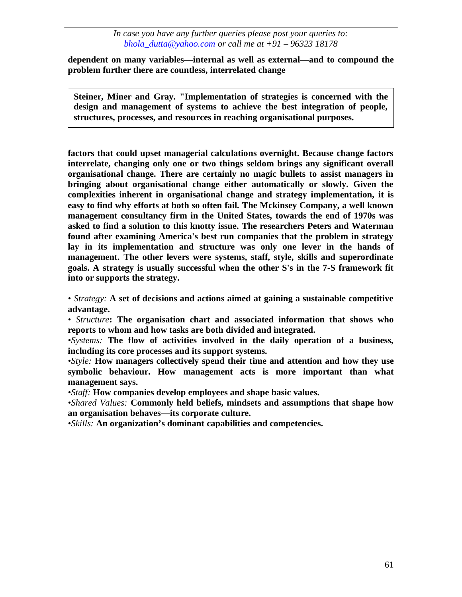**dependent on many variables—internal as well as external—and to compound the problem further there are countless, interrelated change**

**Steiner, Miner and Gray. "Implementation of strategies is concerned with the design and management of systems to achieve the best integration of people, structures, processes, and resources in reaching organisational purposes.**

**factors that could upset managerial calculations overnight. Because change factors interrelate, changing only one or two things seldom brings any significant overall organisational change. There are certainly no magic bullets to assist managers in bringing about organisational change either automatically or slowly. Given the complexities inherent in organisational change and strategy implementation, it is easy to find why efforts at both so often fail. The Mckinsey Company, a well known management consultancy firm in the United States, towards the end of 1970s was asked to find a solution to this knotty issue. The researchers Peters and Waterman found after examining America's best run companies that the problem in strategy lay in its implementation and structure was only one lever in the hands of management. The other levers were systems, staff, style, skills and superordinate goals. A strategy is usually successful when the other S's in the 7-S framework fit into or supports the strategy.**

*• Strategy:* **A set of decisions and actions aimed at gaining a sustainable competitive advantage.**

*• Structure***: The organisation chart and associated information that shows who reports to whom and how tasks are both divided and integrated.**

*•Systems:* **The flow of activities involved in the daily operation of a business, including its core processes and its support systems.**

*•Style:* **How managers collectively spend their time and attention and how they use symbolic behaviour. How management acts is more important than what management says.**

*•Staff:* **How companies develop employees and shape basic values.**

*•Shared Values:* **Commonly held beliefs, mindsets and assumptions that shape how an organisation behaves—its corporate culture.**

*•Skills:* **An organization's dominant capabilities and competencies.**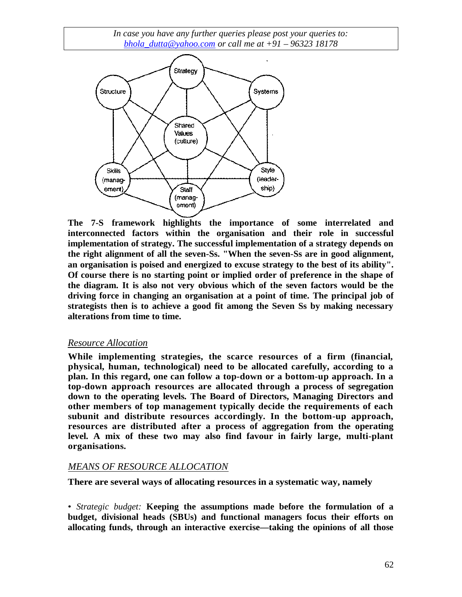

**The 7-S framework highlights the importance of some interrelated and interconnected factors within the organisation and their role in successful implementation of strategy. The successful implementation of a strategy depends on the right alignment of all the seven-Ss. "When the seven-Ss are in good alignment, an organisation is poised and energized to excuse strategy to the best of its ability". Of course there is no starting point or implied order of preference in the shape of the diagram. It is also not very obvious which of the seven factors would be the driving force in changing an organisation at a point of time. The principal job of strategists then is to achieve a good fit among the Seven Ss by making necessary alterations from time to time.**

#### *Resource Allocation*

**While implementing strategies, the scarce resources of a firm (financial, physical, human, technological) need to be allocated carefully, according to a plan. In this regard, one can follow a top-down or a bottom-up approach. In a top-down approach resources are allocated through a process of segregation down to the operating levels. The Board of Directors, Managing Directors and other members of top management typically decide the requirements of each subunit and distribute resources accordingly. In the bottom-up approach, resources are distributed after a process of aggregation from the operating level. A mix of these two may also find favour in fairly large, multi-plant organisations.**

#### *MEANS OF RESOURCE ALLOCATION*

**There are several ways of allocating resources in a systematic way, namely**

• *Strategic budget:* **Keeping the assumptions made before the formulation of a budget, divisional heads (SBUs) and functional managers focus their efforts on allocating funds, through an interactive exercise—taking the opinions of all those**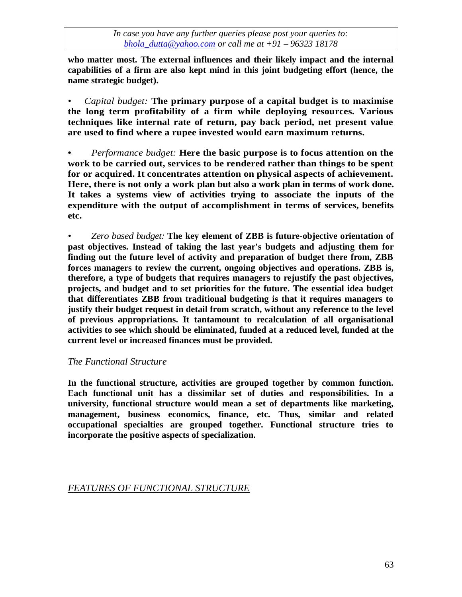**who matter most. The external influences and their likely impact and the internal capabilities of a firm are also kept mind in this joint budgeting effort (hence, the name strategic budget).**

*• Capital budget:* **The primary purpose of a capital budget is to maximise the long term profitability of a firm while deploying resources. Various techniques like internal rate of return, pay back period, net present value are used to find where a rupee invested would earn maximum returns.**

**•** *Performance budget:* **Here the basic purpose is to focus attention on the work to be carried out, services to be rendered rather than things to be spent for or acquired. It concentrates attention on physical aspects of achievement. Here, there is not only a work plan but also a work plan in terms of work done. It takes a systems view of activities trying to associate the inputs of the expenditure with the output of accomplishment in terms of services, benefits etc.**

*• Zero based budget:* **The key element of ZBB is future-objective orientation of past objectives. Instead of taking the last year's budgets and adjusting them for finding out the future level of activity and preparation of budget there from, ZBB forces managers to review the current, ongoing objectives and operations. ZBB is, therefore, a type of budgets that requires managers to rejustify the past objectives, projects, and budget and to set priorities for the future. The essential idea budget that differentiates ZBB from traditional budgeting is that it requires managers to justify their budget request in detail from scratch, without any reference to the level of previous appropriations. It tantamount to recalculation of all organisational activities to see which should be eliminated, funded at a reduced level, funded at the current level or increased finances must be provided.**

## *The Functional Structure*

**In the functional structure, activities are grouped together by common function. Each functional unit has a dissimilar set of duties and responsibilities. In a university, functional structure would mean a set of departments like marketing, management, business economics, finance, etc. Thus, similar and related occupational specialties are grouped together. Functional structure tries to incorporate the positive aspects of specialization.**

## *FEATURES OF FUNCTIONAL STRUCTURE*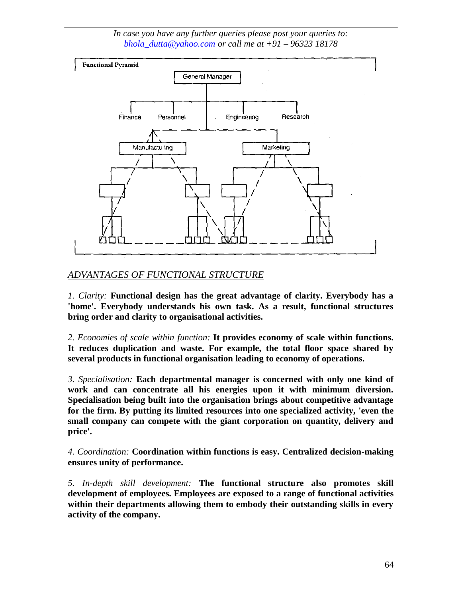

## *ADVANTAGES OF FUNCTIONAL STRUCTURE*

*1. Clarity:* **Functional design has the great advantage of clarity. Everybody has a 'home'. Everybody understands his own task. As a result, functional structures bring order and clarity to organisational activities.**

*2. Economies of scale within function:* **It provides economy of scale within functions. It reduces duplication and waste. For example, the total floor space shared by several products in functional organisation leading to economy of operations.**

*3. Specialisation:* **Each departmental manager is concerned with only one kind of work and can concentrate all his energies upon it with minimum diversion. Specialisation being built into the organisation brings about competitive advantage for the firm. By putting its limited resources into one specialized activity, 'even the small company can compete with the giant corporation on quantity, delivery and price'.**

*4. Coordination:* **Coordination within functions is easy. Centralized decision-making ensures unity of performance.**

*5. In-depth skill development:* **The functional structure also promotes skill development of employees. Employees are exposed to a range of functional activities within their departments allowing them to embody their outstanding skills in every activity of the company.**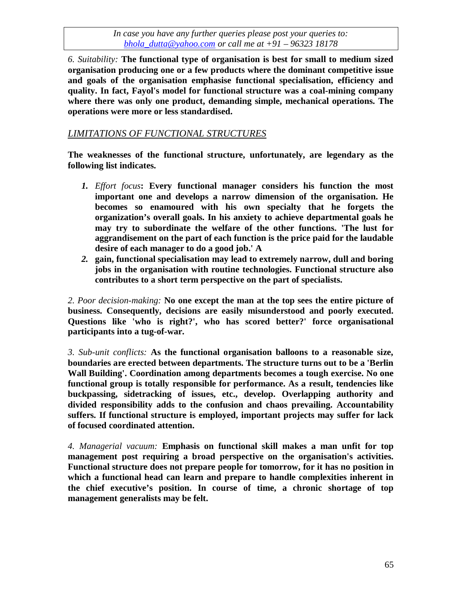*6. Suitability:* **The functional type of organisation is best for small to medium sized organisation producing one or a few products where the dominant competitive issue and goals of the organisation emphasise functional specialisation, efficiency and quality. In fact, Fayol's model for functional structure was a coal-mining company where there was only one product, demanding simple, mechanical operations. The operations were more or less standardised.**

## *LIMITATIONS OF FUNCTIONAL STRUCTURES*

**The weaknesses of the functional structure, unfortunately, are legendary as the following list indicates.**

- *1. Effort focus***: Every functional manager considers his function the most important one and develops a narrow dimension of the organisation. He becomes so enamoured with his own specialty that he forgets the organization's overall goals. In his anxiety to achieve departmental goals he may try to subordinate the welfare of the other functions. 'The lust for aggrandisement on the part of each function is the price paid for the laudable desire of each manager to do a good job.' A**
- *2.* **gain, functional specialisation may lead to extremely narrow, dull and boring jobs in the organisation with routine technologies. Functional structure also contributes to a short term perspective on the part of specialists.**

*2. Poor decision-making:* **No one except the man at the top sees the entire picture of business. Consequently, decisions are easily misunderstood and poorly executed. Questions like 'who is right?', who has scored better?' force organisational participants into a tug-of-war.**

*3. Sub-unit conflicts:* **As the functional organisation balloons to a reasonable size, boundaries are erected between departments. The structure turns out to be a 'Berlin Wall Building'. Coordination among departments becomes a tough exercise. No one functional group is totally responsible for performance. As a result, tendencies like buckpassing, sidetracking of issues, etc., develop. Overlapping authority and divided responsibility adds to the confusion and chaos prevailing. Accountability suffers. If functional structure is employed, important projects may suffer for lack of focused coordinated attention.**

*4. Managerial vacuum:* **Emphasis on functional skill makes a man unfit for top management post requiring a broad perspective on the organisation's activities. Functional structure does not prepare people for tomorrow, for it has no position in which a functional head can learn and prepare to handle complexities inherent in the chief executive's position. In course of time, a chronic shortage of top management generalists may be felt.**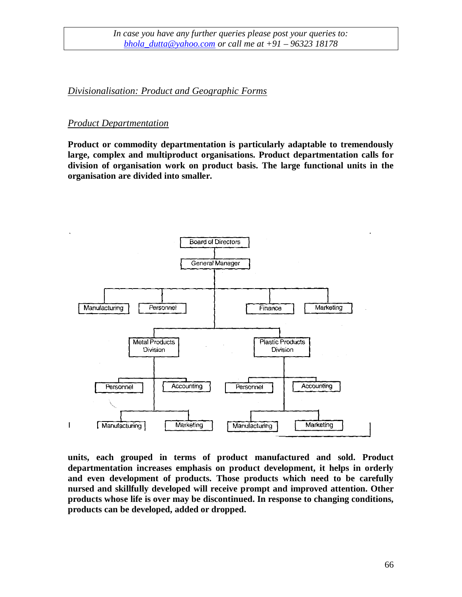*Divisionalisation: Product and Geographic Forms*

#### *Product Departmentation*

**Product or commodity departmentation is particularly adaptable to tremendously large, complex and multiproduct organisations. Product departmentation calls for division of organisation work on product basis. The large functional units in the organisation are divided into smaller.**



**units, each grouped in terms of product manufactured and sold. Product departmentation increases emphasis on product development, it helps in orderly and even development of products. Those products which need to be carefully nursed and skillfully developed will receive prompt and improved attention. Other products whose life is over may be discontinued. In response to changing conditions, products can be developed, added or dropped.**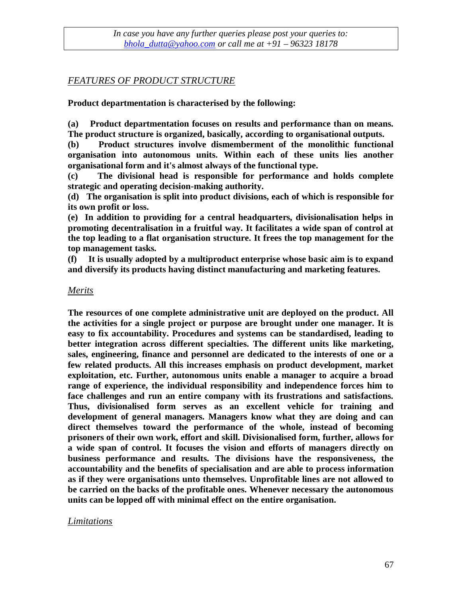## *FEATURES OF PRODUCT STRUCTURE*

**Product departmentation is characterised by the following:**

**(a) Product departmentation focuses on results and performance than on means. The product structure is organized, basically, according to organisational outputs.**

**(b) Product structures involve dismemberment of the monolithic functional organisation into autonomous units. Within each of these units lies another organisational form and it's almost always of the functional type.**

**(c) The divisional head is responsible for performance and holds complete strategic and operating decision-making authority.**

**(d) The organisation is split into product divisions, each of which is responsible for its own profit or loss.**

**(e) In addition to providing for a central headquarters, divisionalisation helps in promoting decentralisation in a fruitful way. It facilitates a wide span of control at the top leading to a flat organisation structure. It frees the top management for the top management tasks.**

**(f) It is usually adopted by a multiproduct enterprise whose basic aim is to expand and diversify its products having distinct manufacturing and marketing features.**

#### *Merits*

**The resources of one complete administrative unit are deployed on the product. All the activities for a single project or purpose are brought under one manager. It is easy to fix accountability. Procedures and systems can be standardised, leading to better integration across different specialties. The different units like marketing, sales, engineering, finance and personnel are dedicated to the interests of one or a few related products. All this increases emphasis on product development, market exploitation, etc. Further, autonomous units enable a manager to acquire a broad range of experience, the individual responsibility and independence forces him to face challenges and run an entire company with its frustrations and satisfactions. Thus, divisionalised form serves as an excellent vehicle for training and development of general managers. Managers know what they are doing and can direct themselves toward the performance of the whole, instead of becoming prisoners of their own work, effort and skill. Divisionalised form, further, allows for a wide span of control. It focuses the vision and efforts of managers directly on business performance and results. The divisions have the responsiveness, the accountability and the benefits of specialisation and are able to process information as if they were organisations unto themselves. Unprofitable lines are not allowed to be carried on the backs of the profitable ones. Whenever necessary the autonomous units can be lopped off with minimal effect on the entire organisation.**

## *Limitations*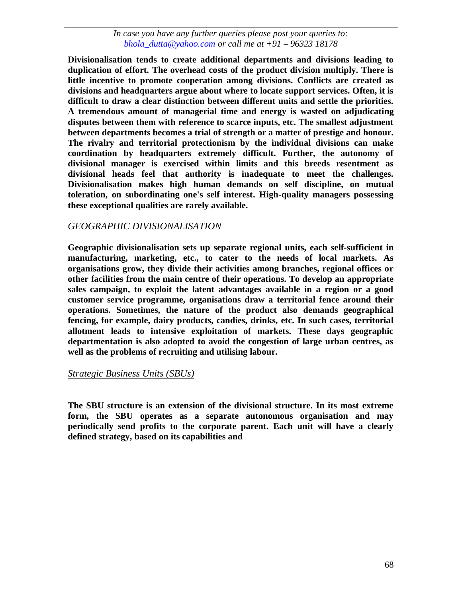**Divisionalisation tends to create additional departments and divisions leading to duplication of effort. The overhead costs of the product division multiply. There is little incentive to promote cooperation among divisions. Conflicts are created as divisions and headquarters argue about where to locate support services. Often, it is difficult to draw a clear distinction between different units and settle the priorities. A tremendous amount of managerial time and energy is wasted on adjudicating disputes between them with reference to scarce inputs, etc. The smallest adjustment between departments becomes a trial of strength or a matter of prestige and honour. The rivalry and territorial protectionism by the individual divisions can make coordination by headquarters extremely difficult. Further, the autonomy of divisional manager is exercised within limits and this breeds resentment as divisional heads feel that authority is inadequate to meet the challenges. Divisionalisation makes high human demands on self discipline, on mutual toleration, on subordinating one's self interest. High-quality managers possessing these exceptional qualities are rarely available.**

## *GEOGRAPHIC DIVISIONALISATION*

**Geographic divisionalisation sets up separate regional units, each self-sufficient in manufacturing, marketing, etc., to cater to the needs of local markets. As organisations grow, they divide their activities among branches, regional offices or other facilities from the main centre of their operations. To develop an appropriate sales campaign, to exploit the latent advantages available in a region or a good customer service programme, organisations draw a territorial fence around their operations. Sometimes, the nature of the product also demands geographical fencing, for example, dairy products, candies, drinks, etc. In such cases, territorial allotment leads to intensive exploitation of markets. These days geographic departmentation is also adopted to avoid the congestion of large urban centres, as well as the problems of recruiting and utilising labour.**

#### *Strategic Business Units (SBUs)*

**The SBU structure is an extension of the divisional structure. In its most extreme form, the SBU operates as a separate autonomous organisation and may periodically send profits to the corporate parent. Each unit will have a clearly defined strategy, based on its capabilities and**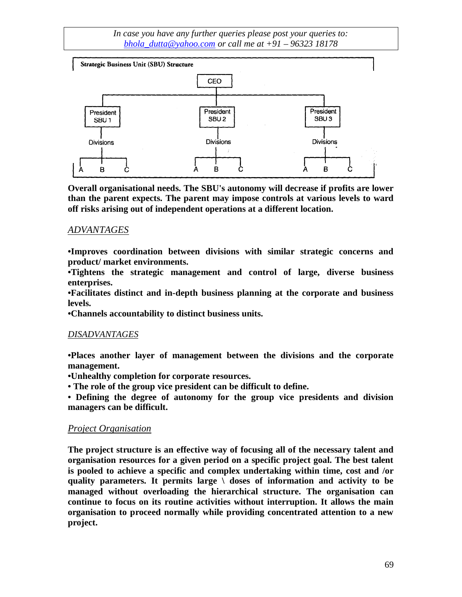

**Overall organisational needs. The SBU's autonomy will decrease if profits are lower than the parent expects. The parent may impose controls at various levels to ward off risks arising out of independent operations at a different location.**

## *ADVANTAGES*

**•Improves coordination between divisions with similar strategic concerns and product/ market environments.**

**•Tightens the strategic management and control of large, diverse business enterprises.**

**•Facilitates distinct and in-depth business planning at the corporate and business levels.**

**•Channels accountability to distinct business units.**

#### *DISADVANTAGES*

**•Places another layer of management between the divisions and the corporate management.**

**•Unhealthy completion for corporate resources.**

**• The role of the group vice president can be difficult to define.**

**• Defining the degree of autonomy for the group vice presidents and division managers can be difficult.**

## *Project Organisation*

**The project structure is an effective way of focusing all of the necessary talent and organisation resources for a given period on a specific project goal. The best talent is pooled to achieve a specific and complex undertaking within time, cost and /or quality parameters. It permits large \ doses of information and activity to be managed without overloading the hierarchical structure. The organisation can continue to focus on its routine activities without interruption. It allows the main organisation to proceed normally while providing concentrated attention to a new project.**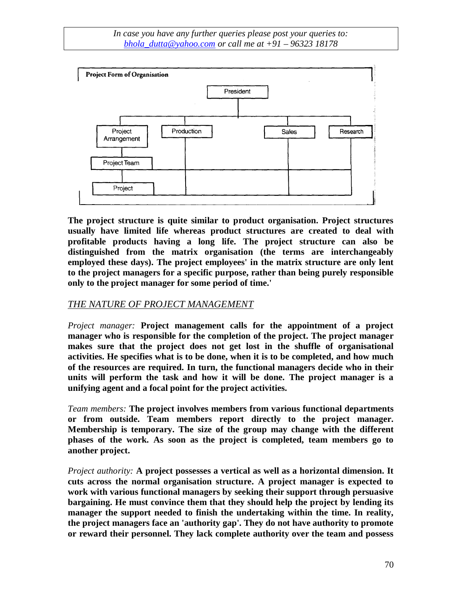

**The project structure is quite similar to product organisation. Project structures usually have limited life whereas product structures are created to deal with profitable products having a long life. The project structure can also be distinguished from the matrix organisation (the terms are interchangeably employed these days). The project employees' in the matrix structure are only lent to the project managers for a specific purpose, rather than being purely responsible only to the project manager for some period of time.'**

## *THE NATURE OF PROJECT MANAGEMENT*

*Project manager:* **Project management calls for the appointment of a project manager who is responsible for the completion of the project. The project manager makes sure that the project does not get lost in the shuffle of organisational activities. He specifies what is to be done, when it is to be completed, and how much of the resources are required. In turn, the functional managers decide who in their units will perform the task and how it will be done. The project manager is a unifying agent and a focal point for the project activities.**

*Team members:* **The project involves members from various functional departments or from outside. Team members report directly to the project manager. Membership is temporary. The size of the group may change with the different phases of the work. As soon as the project is completed, team members go to another project.**

*Project authority:* **A project possesses a vertical as well as a horizontal dimension. It cuts across the normal organisation structure. A project manager is expected to work with various functional managers by seeking their support through persuasive bargaining. He must convince them that they should help the project by lending its manager the support needed to finish the undertaking within the time. In reality, the project managers face an 'authority gap'. They do not have authority to promote or reward their personnel. They lack complete authority over the team and possess**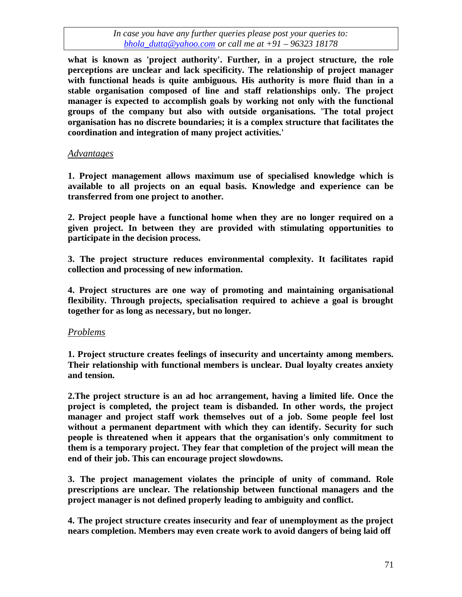**what is known as 'project authority'. Further, in a project structure, the role perceptions are unclear and lack specificity. The relationship of project manager with functional heads is quite ambiguous. His authority is more fluid than in a stable organisation composed of line and staff relationships only. The project manager is expected to accomplish goals by working not only with the functional groups of the company but also with outside organisations. 'The total project organisation has no discrete boundaries; it is a complex structure that facilitates the coordination and integration of many project activities.'**

#### *Advantages*

**1. Project management allows maximum use of specialised knowledge which is available to all projects on an equal basis. Knowledge and experience can be transferred from one project to another.**

**2. Project people have a functional home when they are no longer required on a given project. In between they are provided with stimulating opportunities to participate in the decision process.**

**3. The project structure reduces environmental complexity. It facilitates rapid collection and processing of new information.**

**4. Project structures are one way of promoting and maintaining organisational flexibility. Through projects, specialisation required to achieve a goal is brought together for as long as necessary, but no longer.**

#### *Problems*

**1. Project structure creates feelings of insecurity and uncertainty among members. Their relationship with functional members is unclear. Dual loyalty creates anxiety and tension.**

**2.The project structure is an ad hoc arrangement, having a limited life. Once the project is completed, the project team is disbanded. In other words, the project manager and project staff work themselves out of a job. Some people feel lost without a permanent department with which they can identify. Security for such people is threatened when it appears that the organisation's only commitment to them is a temporary project. They fear that completion of the project will mean the end of their job. This can encourage project slowdowns.**

**3. The project management violates the principle of unity of command. Role prescriptions are unclear. The relationship between functional managers and the project manager is not defined properly leading to ambiguity and conflict.**

**4. The project structure creates insecurity and fear of unemployment as the project nears completion. Members may even create work to avoid dangers of being laid off**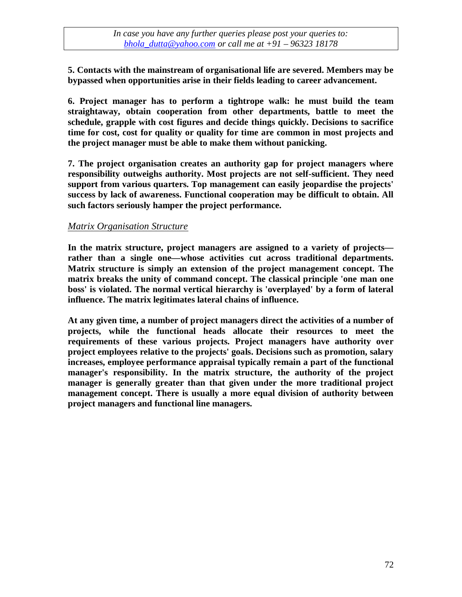**5. Contacts with the mainstream of organisational life are severed. Members may be bypassed when opportunities arise in their fields leading to career advancement.**

**6. Project manager has to perform a tightrope walk: he must build the team straightaway, obtain cooperation from other departments, battle to meet the schedule, grapple with cost figures and decide things quickly. Decisions to sacrifice time for cost, cost for quality or quality for time are common in most projects and the project manager must be able to make them without panicking.**

**7. The project organisation creates an authority gap for project managers where responsibility outweighs authority. Most projects are not self-sufficient. They need support from various quarters. Top management can easily jeopardise the projects' success by lack of awareness. Functional cooperation may be difficult to obtain. All such factors seriously hamper the project performance.**

#### *Matrix Organisation Structure*

**In the matrix structure, project managers are assigned to a variety of projects rather than a single one—whose activities cut across traditional departments. Matrix structure is simply an extension of the project management concept. The matrix breaks the unity of command concept. The classical principle 'one man one boss' is violated. The normal vertical hierarchy is 'overplayed' by a form of lateral influence. The matrix legitimates lateral chains of influence.**

**At any given time, a number of project managers direct the activities of a number of projects, while the functional heads allocate their resources to meet the requirements of these various projects. Project managers have authority over project employees relative to the projects' goals. Decisions such as promotion, salary increases, employee performance appraisal typically remain a part of the functional manager's responsibility. In the matrix structure, the authority of the project manager is generally greater than that given under the more traditional project management concept. There is usually a more equal division of authority between project managers and functional line managers.**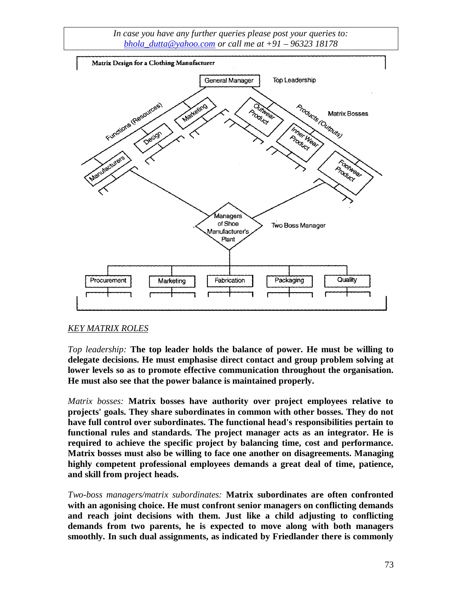

# *KEY MATRIX ROLES*

*Top leadership:* **The top leader holds the balance of power. He must be willing to delegate decisions. He must emphasise direct contact and group problem solving at lower levels so as to promote effective communication throughout the organisation. He must also see that the power balance is maintained properly.**

*Matrix bosses:* **Matrix bosses have authority over project employees relative to projects' goals. They share subordinates in common with other bosses. They do not have full control over subordinates. The functional head's responsibilities pertain to functional rules and standards. The project manager acts as an integrator. He is required to achieve the specific project by balancing time, cost and performance. Matrix bosses must also be willing to face one another on disagreements. Managing highly competent professional employees demands a great deal of time, patience, and skill from project heads.**

*Two-boss managers/matrix subordinates:* **Matrix subordinates are often confronted with an agonising choice. He must confront senior managers on conflicting demands and reach joint decisions with them. Just like a child adjusting to conflicting demands from two parents, he is expected to move along with both managers smoothly. In such dual assignments, as indicated by Friedlander there is commonly**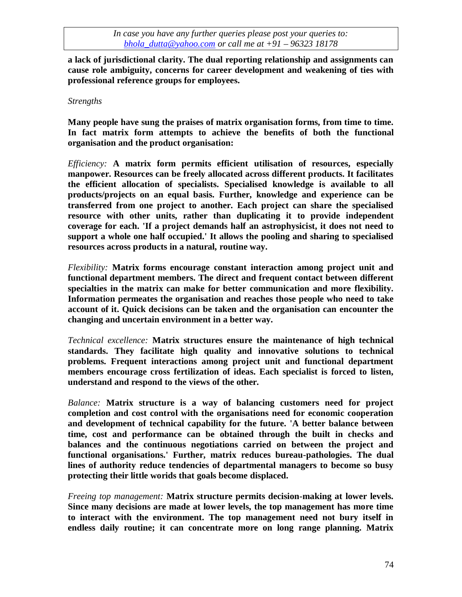**a lack of jurisdictional clarity. The dual reporting relationship and assignments can cause role ambiguity, concerns for career development and weakening of ties with professional reference groups for employees.**

#### *Strengths*

**Many people have sung the praises of matrix organisation forms, from time to time. In fact matrix form attempts to achieve the benefits of both the functional organisation and the product organisation:**

*Efficiency:* **A matrix form permits efficient utilisation of resources, especially manpower. Resources can be freely allocated across different products. It facilitates the efficient allocation of specialists. Specialised knowledge is available to all products/projects on an equal basis. Further, knowledge and experience can be transferred from one project to another. Each project can share the specialised resource with other units, rather than duplicating it to provide independent coverage for each. 'If a project demands half an astrophysicist, it does not need to support a whole one half occupied.' It allows the pooling and sharing to specialised resources across products in a natural, routine way.**

*Flexibility:* **Matrix forms encourage constant interaction among project unit and functional department members. The direct and frequent contact between different specialties in the matrix can make for better communication and more flexibility. Information permeates the organisation and reaches those people who need to take account of it. Quick decisions can be taken and the organisation can encounter the changing and uncertain environment in a better way.**

*Technical excellence:* **Matrix structures ensure the maintenance of high technical standards. They facilitate high quality and innovative solutions to technical problems. Frequent interactions among project unit and functional department members encourage cross fertilization of ideas. Each specialist is forced to listen, understand and respond to the views of the other.**

*Balance:* **Matrix structure is a way of balancing customers need for project completion and cost control with the organisations need for economic cooperation and development of technical capability for the future. 'A better balance between time, cost and performance can be obtained through the built in checks and balances and the continuous negotiations carried on between the project and functional organisations.' Further, matrix reduces bureau-pathologies. The dual lines of authority reduce tendencies of departmental managers to become so busy protecting their little worids that goals become displaced.**

*Freeing top management:* **Matrix structure permits decision-making at lower levels. Since many decisions are made at lower levels, the top management has more time to interact with the environment. The top management need not bury itself in endless daily routine; it can concentrate more on long range planning. Matrix**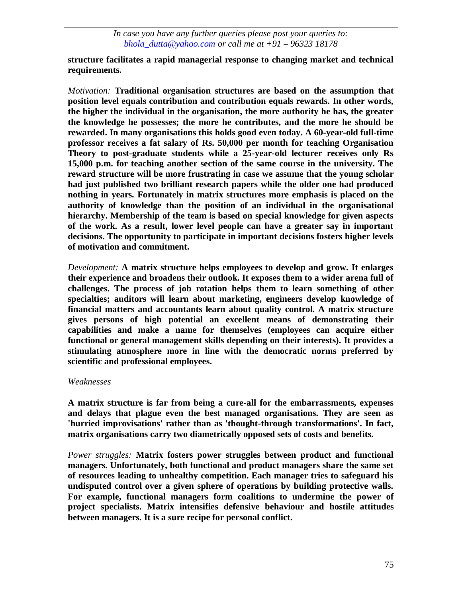**structure facilitates a rapid managerial response to changing market and technical requirements.**

*Motivation:* **Traditional organisation structures are based on the assumption that position level equals contribution and contribution equals rewards. In other words, the higher the individual in the organisation, the more authority he has, the greater the knowledge he possesses; the more he contributes, and the more he should be rewarded. In many organisations this holds good even today. A 60-year-old full-time professor receives a fat salary of Rs. 50,000 per month for teaching Organisation Theory to post-graduate students while a 25-year-old lecturer receives only Rs 15,000 p.m. for teaching another section of the same course in the university. The reward structure will be more frustrating in case we assume that the young scholar had just published two brilliant research papers while the older one had produced nothing in years. Fortunately in matrix structures more emphasis is placed on the authority of knowledge than the position of an individual in the organisational hierarchy. Membership of the team is based on special knowledge for given aspects of the work. As a result, lower level people can have a greater say in important decisions. The opportunity to participate in important decisions fosters higher levels of motivation and commitment.**

*Development:* **A matrix structure helps employees to develop and grow. It enlarges their experience and broadens their outlook. It exposes them to a wider arena full of challenges. The process of job rotation helps them to learn something of other specialties; auditors will learn about marketing, engineers develop knowledge of financial matters and accountants learn about quality control. A matrix structure gives persons of high potential an excellent means of demonstrating their capabilities and make a name for themselves (employees can acquire either functional or general management skills depending on their interests). It provides a stimulating atmosphere more in line with the democratic norms preferred by scientific and professional employees.**

#### *Weaknesses*

**A matrix structure is far from being a cure-all for the embarrassments, expenses and delays that plague even the best managed organisations. They are seen as 'hurried improvisations' rather than as 'thought-through transformations'. In fact, matrix organisations carry two diametrically opposed sets of costs and benefits.**

*Power struggles:* **Matrix fosters power struggles between product and functional managers. Unfortunately, both functional and product managers share the same set of resources leading to unhealthy competition. Each manager tries to safeguard his undisputed control over a given sphere of operations by building protective walls. For example, functional managers form coalitions to undermine the power of project specialists. Matrix intensifies defensive behaviour and hostile attitudes between managers. It is a sure recipe for personal conflict.**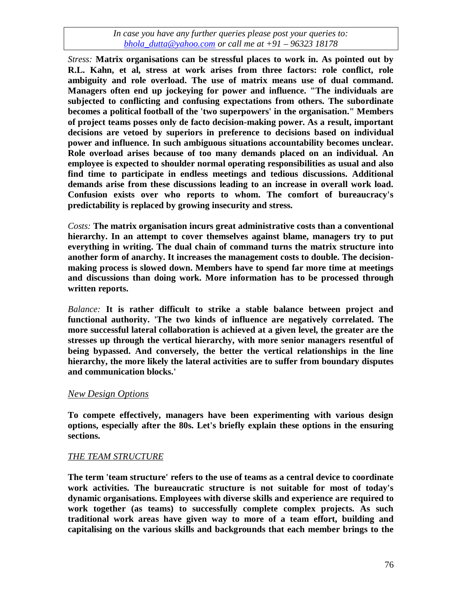*Stress:* **Matrix organisations can be stressful places to work in. As pointed out by R.L. Kahn, et al, stress at work arises from three factors: role conflict, role ambiguity and role overload. The use of matrix means use of dual command. Managers often end up jockeying for power and influence. "The individuals are subjected to conflicting and confusing expectations from others. The subordinate becomes a political football of the 'two superpowers' in the organisation." Members of project teams posses only de facto decision-making power. As a result, important decisions are vetoed by superiors in preference to decisions based on individual power and influence. In such ambiguous situations accountability becomes unclear. Role overload arises because of too many demands placed on an individual. An employee is expected to shoulder normal operating responsibilities as usual and also find time to participate in endless meetings and tedious discussions. Additional demands arise from these discussions leading to an increase in overall work load. Confusion exists over who reports to whom. The comfort of bureaucracy's predictability is replaced by growing insecurity and stress.**

*Costs:* **The matrix organisation incurs great administrative costs than a conventional hierarchy. In an attempt to cover themselves against blame, managers try to put everything in writing. The dual chain of command turns the matrix structure into another form of anarchy. It increases the management costs to double. The decisionmaking process is slowed down. Members have to spend far more time at meetings and discussions than doing work. More information has to be processed through written reports.**

*Balance:* **It is rather difficult to strike a stable balance between project and functional authority. 'The two kinds of influence are negatively correlated. The more successful lateral collaboration is achieved at a given level, the greater are the stresses up through the vertical hierarchy, with more senior managers resentful of being bypassed. And conversely, the better the vertical relationships in the line hierarchy, the more likely the lateral activities are to suffer from boundary disputes and communication blocks.'**

# *New Design Options*

**To compete effectively, managers have been experimenting with various design options, especially after the 80s. Let's briefly explain these options in the ensuring sections.**

#### *THE TEAM STRUCTURE*

**The term 'team structure' refers to the use of teams as a central device to coordinate work activities. The bureaucratic structure is not suitable for most of today's dynamic organisations. Employees with diverse skills and experience are required to work together (as teams) to successfully complete complex projects. As such traditional work areas have given way to more of a team effort, building and capitalising on the various skills and backgrounds that each member brings to the**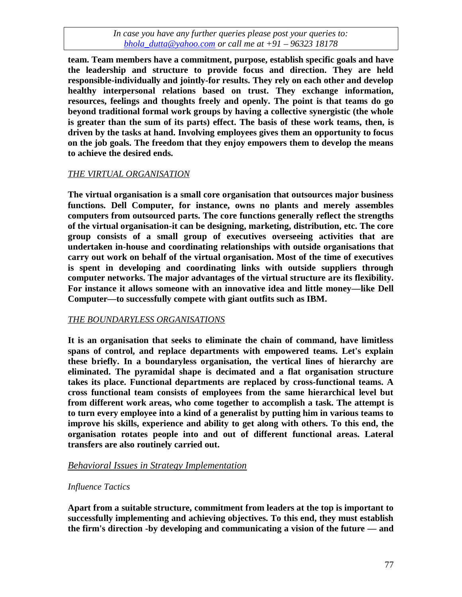**team. Team members have a commitment, purpose, establish specific goals and have the leadership and structure to provide focus and direction. They are held responsible-individually and jointly-for results. They rely on each other and develop healthy interpersonal relations based on trust. They exchange information, resources, feelings and thoughts freely and openly. The point is that teams do go beyond traditional formal work groups by having a collective synergistic (the whole is greater than the sum of its parts) effect. The basis of these work teams, then, is driven by the tasks at hand. Involving employees gives them an opportunity to focus on the job goals. The freedom that they enjoy empowers them to develop the means to achieve the desired ends.**

# *THE VIRTUAL ORGANISATION*

**The virtual organisation is a small core organisation that outsources major business functions. Dell Computer, for instance, owns no plants and merely assembles computers from outsourced parts. The core functions generally reflect the strengths of the virtual organisation-it can be designing, marketing, distribution, etc. The core group consists of a small group of executives overseeing activities that are undertaken in-house and coordinating relationships with outside organisations that carry out work on behalf of the virtual organisation. Most of the time of executives is spent in developing and coordinating links with outside suppliers through computer networks. The major advantages of the virtual structure are its flexibility. For instance it allows someone with an innovative idea and little money—like Dell Computer—to successfully compete with giant outfits such as IBM.**

#### *THE BOUNDARYLESS ORGANISATIONS*

**It is an organisation that seeks to eliminate the chain of command, have limitless spans of control, and replace departments with empowered teams. Let's explain these briefly. In a boundaryless organisation, the vertical lines of hierarchy are eliminated. The pyramidal shape is decimated and a flat organisation structure takes its place. Functional departments are replaced by cross-functional teams. A cross functional team consists of employees from the same hierarchical level but from different work areas, who come together to accomplish a task. The attempt is to turn every employee into a kind of a generalist by putting him in various teams to improve his skills, experience and ability to get along with others. To this end, the organisation rotates people into and out of different functional areas. Lateral transfers are also routinely carried out.**

# *Behavioral Issues in Strategy Implementation*

#### *Influence Tactics*

**Apart from a suitable structure, commitment from leaders at the top is important to successfully implementing and achieving objectives. To this end, they must establish the firm's direction -by developing and communicating a vision of the future — and**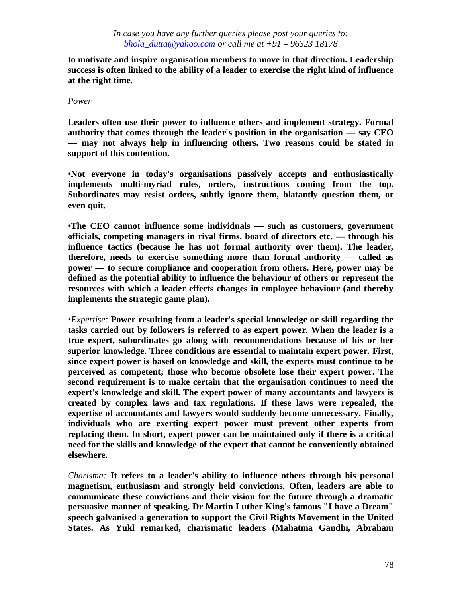**to motivate and inspire organisation members to move in that direction. Leadership success is often linked to the ability of a leader to exercise the right kind of influence at the right time.**

#### *Power*

**Leaders often use their power to influence others and implement strategy. Formal authority that comes through the leader's position in the organisation — say CEO — may not always help in influencing others. Two reasons could be stated in support of this contention.**

**•Not everyone in today's organisations passively accepts and enthusiastically implements multi-myriad rules, orders, instructions coming from the top. Subordinates may resist orders, subtly ignore them, blatantly question them, or even quit.**

**•The CEO cannot influence some individuals — such as customers, government officials, competing managers in rival firms, board of directors etc. — through his influence tactics (because he has not formal authority over them). The leader, therefore, needs to exercise something more than formal authority — called as power — to secure compliance and cooperation from others. Here, power may be defined as the potential ability to influence the behaviour of others or represent the resources with which a leader effects changes in employee behaviour (and thereby implements the strategic game plan).**

*•Expertise:* **Power resulting from a leader's special knowledge or skill regarding the tasks carried out by followers is referred to as expert power. When the leader is a true expert, subordinates go along with recommendations because of his or her superior knowledge. Three conditions are essential to maintain expert power. First, since expert power is based on knowledge and skill, the experts must continue to be perceived as competent; those who become obsolete lose their expert power. The second requirement is to make certain that the organisation continues to need the expert's knowledge and skill. The expert power of many accountants and lawyers is created by complex laws and tax regulations. If these laws were repealed, the expertise of accountants and lawyers would suddenly become unnecessary. Finally, individuals who are exerting expert power must prevent other experts from replacing them. In short, expert power can be maintained only if there is a critical need for the skills and knowledge of the expert that cannot be conveniently obtained elsewhere.**

*Charisma:* **It refers to a leader's ability to influence others through his personal magnetism, enthusiasm and strongly held convictions. Often, leaders are able to communicate these convictions and their vision for the future through a dramatic persuasive manner of speaking. Dr Martin Luther King's famous "I have a Dream" speech galvanised a generation to support the Civil Rights Movement in the United States. As Yukl remarked, charismatic leaders (Mahatma Gandhi, Abraham**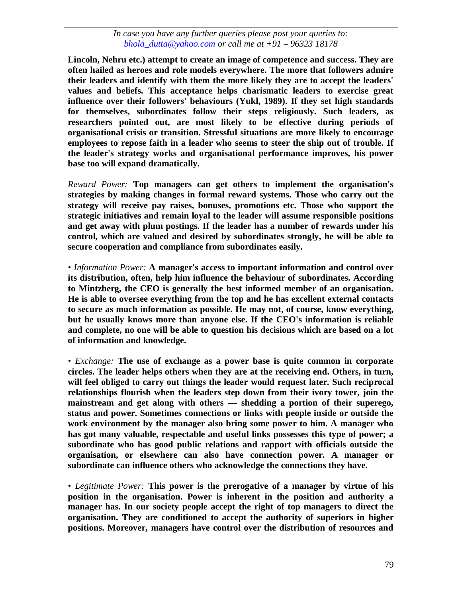**Lincoln, Nehru etc.) attempt to create an image of competence and success. They are often hailed as heroes and role models everywhere. The more that followers admire their leaders and identify with them the more likely they are to accept the leaders' values and beliefs. This acceptance helps charismatic leaders to exercise great influence over their followers' behaviours (Yukl, 1989). If they set high standards for themselves, subordinates follow their steps religiously. Such leaders, as researchers pointed out, are most likely to be effective during periods of organisational crisis or transition. Stressful situations are more likely to encourage employees to repose faith in a leader who seems to steer the ship out of trouble. If the leader's strategy works and organisational performance improves, his power base too will expand dramatically.**

*Reward Power:* **Top managers can get others to implement the organisation's strategies by making changes in formal reward systems. Those who carry out the strategy will receive pay raises, bonuses, promotions etc. Those who support the strategic initiatives and remain loyal to the leader will assume responsible positions and get away with plum postings. If the leader has a number of rewards under his control, which are valued and desired by subordinates strongly, he will be able to secure cooperation and compliance from subordinates easily.**

*• Information Power:* **A manager's access to important information and control over its distribution, often, help him influence the behaviour of subordinates. According to Mintzberg, the CEO is generally the best informed member of an organisation. He is able to oversee everything from the top and he has excellent external contacts to secure as much information as possible. He may not, of course, know everything, but he usually knows more than anyone else. If the CEO's information is reliable and complete, no one will be able to question his decisions which are based on a lot of information and knowledge.**

*• Exchange:* **The use of exchange as a power base is quite common in corporate circles. The leader helps others when they are at the receiving end. Others, in turn, will feel obliged to carry out things the leader would request later. Such reciprocal relationships flourish when the leaders step down from their ivory tower, join the mainstream and get along with others — shedding a portion of their superego, status and power. Sometimes connections or links with people inside or outside the work environment by the manager also bring some power to him. A manager who has got many valuable, respectable and useful links possesses this type of power; a subordinate who has good public relations and rapport with officials outside the organisation, or elsewhere can also have connection power. A manager or subordinate can influence others who acknowledge the connections they have.**

*• Legitimate Power:* **This power is the prerogative of a manager by virtue of his position in the organisation. Power is inherent in the position and authority a manager has. In our society people accept the right of top managers to direct the organisation. They are conditioned to accept the authority of superiors in higher positions. Moreover, managers have control over the distribution of resources and**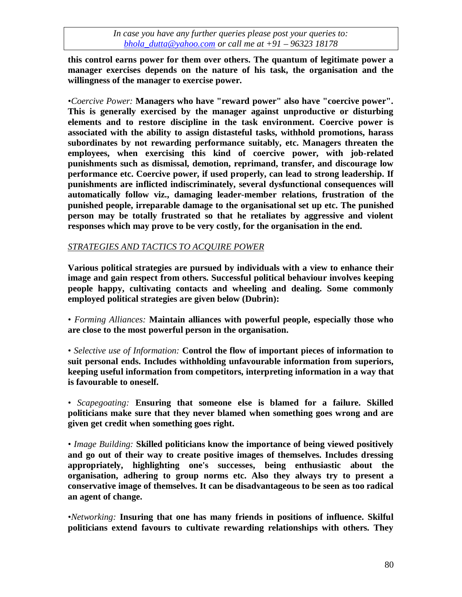**this control earns power for them over others. The quantum of legitimate power a manager exercises depends on the nature of his task, the organisation and the willingness of the manager to exercise power.**

*•Coercive Power:* **Managers who have "reward power" also have "coercive power". This is generally exercised by the manager against unproductive or disturbing elements and to restore discipline in the task environment. Coercive power is associated with the ability to assign distasteful tasks, withhold promotions, harass subordinates by not rewarding performance suitably, etc. Managers threaten the employees, when exercising this kind of coercive power, with job-related punishments such as dismissal, demotion, reprimand, transfer, and discourage low performance etc. Coercive power, if used properly, can lead to strong leadership. If punishments are inflicted indiscriminately, several dysfunctional consequences will automatically follow viz., damaging leader-member relations, frustration of the punished people, irreparable damage to the organisational set up etc. The punished person may be totally frustrated so that he retaliates by aggressive and violent responses which may prove to be very costly, for the organisation in the end.**

#### *STRATEGIES AND TACTICS TO ACQUIRE POWER*

**Various political strategies are pursued by individuals with a view to enhance their image and gain respect from others. Successful political behaviour involves keeping people happy, cultivating contacts and wheeling and dealing. Some commonly employed political strategies are given below (Dubrin):**

*• Forming Alliances:* **Maintain alliances with powerful people, especially those who are close to the most powerful person in the organisation.**

*• Selective use of Information:* **Control the flow of important pieces of information to suit personal ends. Includes withholding unfavourable information from superiors, keeping useful information from competitors, interpreting information in a way that is favourable to oneself.**

*• Scapegoating:* **Ensuring that someone else is blamed for a failure. Skilled politicians make sure that they never blamed when something goes wrong and are given get credit when something goes right.**

*• Image Building:* **Skilled politicians know the importance of being viewed positively and go out of their way to create positive images of themselves. Includes dressing appropriately, highlighting one's successes, being enthusiastic about the organisation, adhering to group norms etc. Also they always try to present a conservative image of themselves. It can be disadvantageous to be seen as too radical an agent of change.**

*•Networking:* **Insuring that one has many friends in positions of influence. Skilful politicians extend favours to cultivate rewarding relationships with others. They**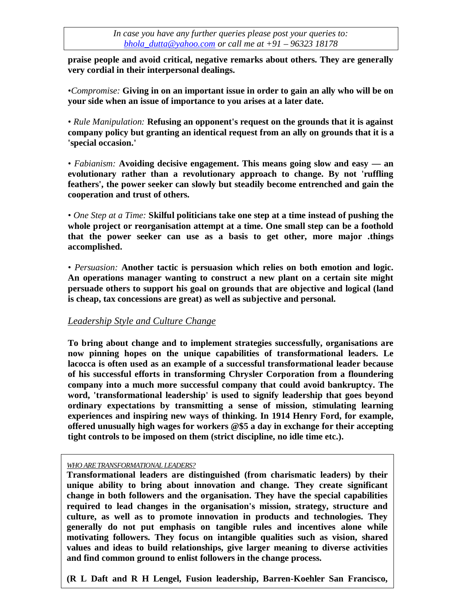**praise people and avoid critical, negative remarks about others. They are generally very cordial in their interpersonal dealings.**

*•Compromise:* **Giving in on an important issue in order to gain an ally who will be on your side when an issue of importance to you arises at a later date.**

*• Rule Manipulation:* **Refusing an opponent's request on the grounds that it is against company policy but granting an identical request from an ally on grounds that it is a 'special occasion.'**

*• Fabianism:* **Avoiding decisive engagement. This means going slow and easy — an evolutionary rather than a revolutionary approach to change. By not 'ruffling feathers', the power seeker can slowly but steadily become entrenched and gain the cooperation and trust of others.**

*• One Step at a Time:* **Skilful politicians take one step at a time instead of pushing the whole project or reorganisation attempt at a time. One small step can be a foothold that the power seeker can use as a basis to get other, more major .things accomplished.**

*• Persuasion:* **Another tactic is persuasion which relies on both emotion and logic. An operations manager wanting to construct a new plant on a certain site might persuade others to support his goal on grounds that are objective and logical (land is cheap, tax concessions are great) as well as subjective and personal.**

# *Leadership Style and Culture Change*

**To bring about change and to implement strategies successfully, organisations are now pinning hopes on the unique capabilities of transformational leaders. Le lacocca is often used as an example of a successful transformational leader because of his successful efforts in transforming Chrysler Corporation from a floundering company into a much more successful company that could avoid bankruptcy. The word, 'transformational leadership' is used to signify leadership that goes beyond ordinary expectations by transmitting a sense of mission, stimulating learning experiences and inspiring new ways of thinking. In 1914 Henry Ford, for example, offered unusually high wages for workers @\$5 a day in exchange for their accepting tight controls to be imposed on them (strict discipline, no idle time etc.).**

#### *WHO ARE TRANSFORMATIONAL LEADERS?*

**1998.)**

81 **Transformational leaders are distinguished (from charismatic leaders) by their unique ability to bring about innovation and change. They create significant change in both followers and the organisation. They have the special capabilities required to lead changes in the organisation's mission, strategy, structure and culture, as well as to promote innovation in products and technologies. They generally do not put emphasis on tangible rules and incentives alone while motivating followers. They focus on intangible qualities such as vision, shared values and ideas to build relationships, give larger meaning to diverse activities and find common ground to enlist followers in the change process.**

**(R L Daft and R H Lengel, Fusion leadership, Barren-Koehler San Francisco,**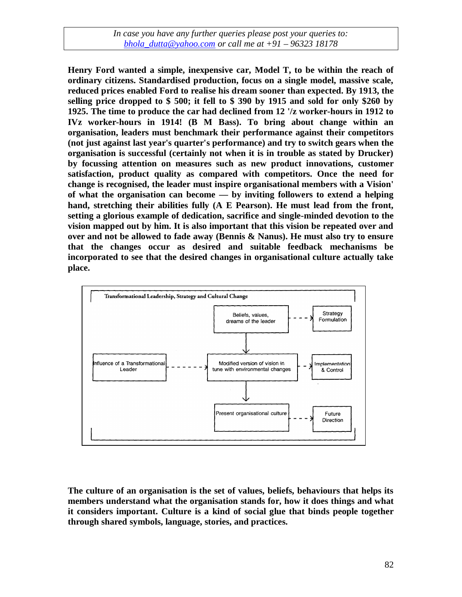**Henry Ford wanted a simple, inexpensive car, Model T, to be within the reach of ordinary citizens. Standardised production, focus on a single model, massive scale, reduced prices enabled Ford to realise his dream sooner than expected. By 1913, the selling price dropped to \$ 500; it fell to \$ 390 by 1915 and sold for only \$260 by 1925. The time to produce the car had declined from 12 '/z worker-hours in 1912 to IVz worker-hours in 1914! (B M Bass). To bring about change within an organisation, leaders must benchmark their performance against their competitors (not just against last year's quarter's performance) and try to switch gears when the organisation is successful (certainly not when it is in trouble as stated by Drucker) by focussing attention on measures such as new product innovations, customer satisfaction, product quality as compared with competitors. Once the need for change is recognised, the leader must inspire organisational members with a Vision' of what the organisation can become — by inviting followers to extend a helping hand, stretching their abilities fully (A E Pearson). He must lead from the front, setting a glorious example of dedication, sacrifice and single-minded devotion to the vision mapped out by him. It is also important that this vision be repeated over and over and not be allowed to fade away (Bennis & Nanus). He must also try to ensure that the changes occur as desired and suitable feedback mechanisms be incorporated to see that the desired changes in organisational culture actually take place.**



**The culture of an organisation is the set of values, beliefs, behaviours that helps its members understand what the organisation stands for, how it does things and what it considers important. Culture is a kind of social glue that binds people together through shared symbols, language, stories, and practices.**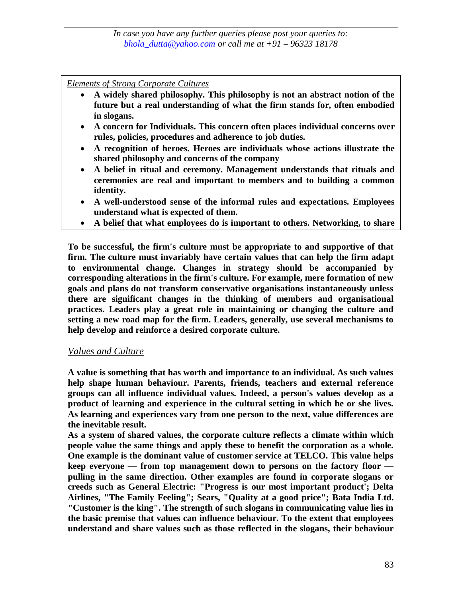*Elements of Strong Corporate Cultures*

- **A widely shared philosophy. This philosophy is not an abstract notion of the future but a real understanding of what the firm stands for, often embodied in slogans.**
- **A concern for Individuals. This concern often places individual concerns over rules, policies, procedures and adherence to job duties.**
- **A recognition of heroes. Heroes are individuals whose actions illustrate the shared philosophy and concerns of the company**
- **A belief in ritual and ceremony. Management understands that rituals and ceremonies are real and important to members and to building a common identity.**
- **A well-understood sense of the informal rules and expectations. Employees understand what is expected of them.**
- **A belief that what employees do is important to others. Networking, to share**

**To be successful, the firm's culture must be appropriate to and supportive of that firm. The culture must invariably have certain values that can help the firm adapt to environmental change. Changes in strategy should be accompanied by corresponding alterations in the firm's culture. For example, mere formation of new goals and plans do not transform conservative organisations instantaneously unless there are significant changes in the thinking of members and organisational practices. Leaders play a great role in maintaining or changing the culture and setting a new road map for the firm. Leaders, generally, use several mechanisms to help develop and reinforce a desired corporate culture.**

#### *Values and Culture*

**A value is something that has worth and importance to an individual. As such values help shape human behaviour. Parents, friends, teachers and external reference groups can all influence individual values. Indeed, a person's values develop as a product of learning and experience in the cultural setting in which he or she lives. As learning and experiences vary from one person to the next, value differences are the inevitable result.**

**As a system of shared values, the corporate culture reflects a climate within which people value the same things and apply these to benefit the corporation as a whole. One example is the dominant value of customer service at TELCO. This value helps keep everyone — from top management down to persons on the factory floor pulling in the same direction. Other examples are found in corporate slogans or creeds such as General Electric: "Progress is our most important product'; Delta Airlines, "The Family Feeling"; Sears, "Quality at a good price"; Bata India Ltd. "Customer is the king". The strength of such slogans in communicating value lies in the basic premise that values can influence behaviour. To the extent that employees understand and share values such as those reflected in the slogans, their behaviour**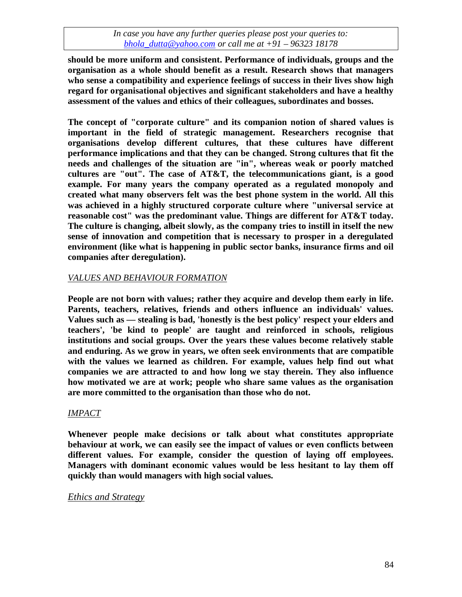**should be more uniform and consistent. Performance of individuals, groups and the organisation as a whole should benefit as a result. Research shows that managers who sense a compatibility and experience feelings of success in their lives show high regard for organisational objectives and significant stakeholders and have a healthy assessment of the values and ethics of their colleagues, subordinates and bosses.**

**The concept of "corporate culture" and its companion notion of shared values is important in the field of strategic management. Researchers recognise that organisations develop different cultures, that these cultures have different performance implications and that they can be changed. Strong cultures that fit the needs and challenges of the situation are "in", whereas weak or poorly matched cultures are "out". The case of AT&T, the telecommunications giant, is a good example. For many years the company operated as a regulated monopoly and created what many observers felt was the best phone system in the world. All this was achieved in a highly structured corporate culture where "universal service at reasonable cost" was the predominant value. Things are different for AT&T today. The culture is changing, albeit slowly, as the company tries to instill in itself the new sense of innovation and competition that is necessary to prosper in a deregulated environment (like what is happening in public sector banks, insurance firms and oil companies after deregulation).**

#### *VALUES AND BEHAVIOUR FORMATION*

**People are not born with values; rather they acquire and develop them early in life. Parents, teachers, relatives, friends and others influence an individuals' values. Values such as — stealing is bad, 'honestly is the best policy' respect your elders and teachers', 'be kind to people' are taught and reinforced in schools, religious institutions and social groups. Over the years these values become relatively stable and enduring. As we grow in years, we often seek environments that are compatible with the values we learned as children. For example, values help find out what companies we are attracted to and how long we stay therein. They also influence how motivated we are at work; people who share same values as the organisation are more committed to the organisation than those who do not.**

#### *IMPACT*

**Whenever people make decisions or talk about what constitutes appropriate behaviour at work, we can easily see the impact of values or even conflicts between different values. For example, consider the question of laying off employees. Managers with dominant economic values would be less hesitant to lay them off quickly than would managers with high social values.**

#### *Ethics and Strategy*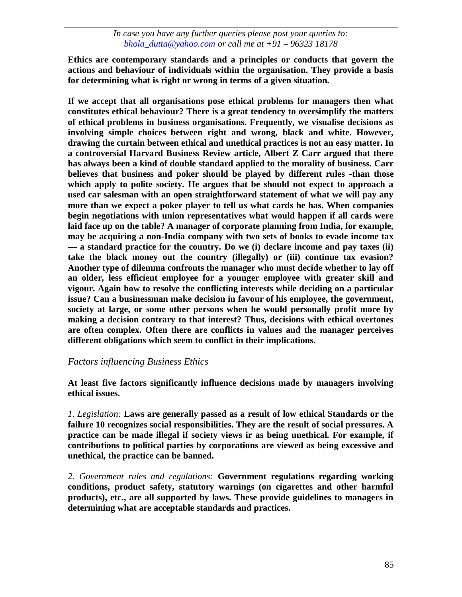**Ethics are contemporary standards and a principles or conducts that govern the actions and behaviour of individuals within the organisation. They provide a basis for determining what is right or wrong in terms of a given situation.**

**If we accept that all organisations pose ethical problems for managers then what constitutes ethical behaviour? There is a great tendency to oversimplify the matters of ethical problems in business organisations. Frequently, we visualise decisions as involving simple choices between right and wrong, black and white. However, drawing the curtain between ethical and unethical practices is not an easy matter. In a controversial Harvard Business Review article, Albert Z Carr argued that there has always been a kind of double standard applied to the morality of business. Carr believes that business and poker should be played by different rules -than those which apply to polite society. He argues that be should not expect to approach a used car salesman with an open straightforward statement of what we will pay any more than we expect a poker player to tell us what cards he has. When companies begin negotiations with union representatives what would happen if all cards were laid face up on the table? A manager of corporate planning from India, for example, may be acquiring a non-India company with two sets of books to evade income tax — a standard practice for the country. Do we (i) declare income and pay taxes (ii) take the black money out the country (illegally) or (iii) continue tax evasion? Another type of dilemma confronts the manager who must decide whether to lay off an older, less efficient employee for a younger employee with greater skill and vigour. Again how to resolve the conflicting interests while deciding on a particular issue? Can a businessman make decision in favour of his employee, the government, society at large, or some other persons when he would personally profit more by making a decision contrary to that interest? Thus, decisions with ethical overtones are often complex. Often there are conflicts in values and the manager perceives different obligations which seem to conflict in their implications.**

#### *Factors influencing Business Ethics*

**At least five factors significantly influence decisions made by managers involving ethical issues.**

*1. Legislation:* **Laws are generally passed as a result of low ethical Standards or the failure 10 recognizes social responsibilities. They are the result of social pressures. A practice can be made illegal if society views ir as being unethical. For example, if contributions to political parties by corporations are viewed as being excessive and unethical, the practice can be banned.**

*2. Government rules and regulations:* **Government regulations regarding working conditions, product safety, statutory warnings (on cigarettes and other harmful products), etc., are all supported by laws. These provide guidelines to managers in determining what are acceptable standards and practices.**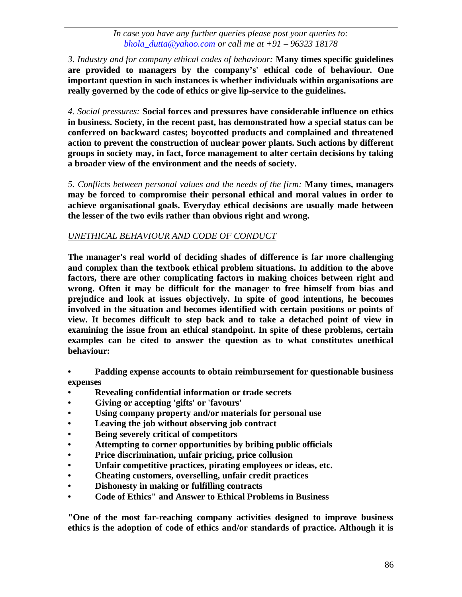*3. Industry and for company ethical codes of behaviour:* **Many times specific guidelines are provided to managers by the company's' ethical code of behaviour. One important question in such instances is whether individuals within organisations are really governed by the code of ethics or give lip-service to the guidelines.**

*4. Social pressures:* **Social forces and pressures have considerable influence on ethics in business. Society, in the recent past, has demonstrated how a special status can be conferred on backward castes; boycotted products and complained and threatened action to prevent the construction of nuclear power plants. Such actions by different groups in society may, in fact, force management to alter certain decisions by taking a broader view of the environment and the needs of society.**

*5. Conflicts between personal values and the needs of the firm:* **Many times, managers may be forced to compromise their personal ethical and moral values in order to achieve organisational goals. Everyday ethical decisions are usually made between the lesser of the two evils rather than obvious right and wrong.**

# *UNETHICAL BEHAVIOUR AND CODE OF CONDUCT*

**The manager's real world of deciding shades of difference is far more challenging and complex than the textbook ethical problem situations. In addition to the above factors, there are other complicating factors in making choices between right and wrong. Often it may be difficult for the manager to free himself from bias and prejudice and look at issues objectively. In spite of good intentions, he becomes involved in the situation and becomes identified with certain positions or points of view. It becomes difficult to step back and to take a detached point of view in examining the issue from an ethical standpoint. In spite of these problems, certain examples can be cited to answer the question as to what constitutes unethical behaviour:**

**• Padding expense accounts to obtain reimbursement for questionable business expenses**

- **• Revealing confidential information or trade secrets**
- **• Giving or accepting 'gifts' or 'favours'**
- **• Using company property and/or materials for personal use**
- **• Leaving the job without observing job contract**
- **• Being severely critical of competitors**
- **• Attempting to corner opportunities by bribing public officials**
- **• Price discrimination, unfair pricing, price collusion**
- **• Unfair competitive practices, pirating employees or ideas, etc.**
- **• Cheating customers, overselling, unfair credit practices**
- **• Dishonesty in making or fulfilling contracts**
- **• Code of Ethics" and Answer to Ethical Problems in Business**

**"One of the most far-reaching company activities designed to improve business ethics is the adoption of code of ethics and/or standards of practice. Although it is**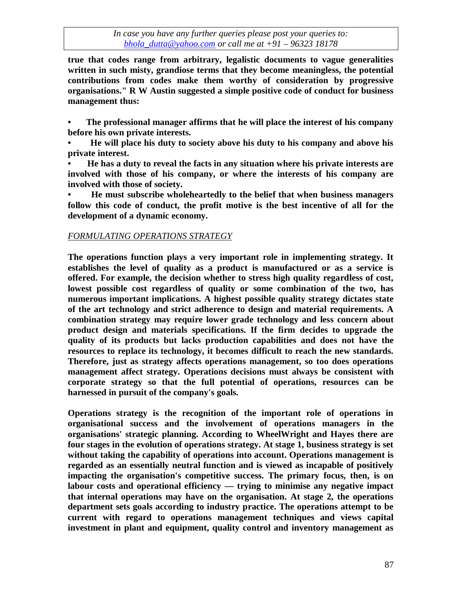**true that codes range from arbitrary, legalistic documents to vague generalities written in such misty, grandiose terms that they become meaningless, the potential contributions from codes make them worthy of consideration by progressive organisations." R W Austin suggested a simple positive code of conduct for business management thus:**

**• The professional manager affirms that he will place the interest of his company before his own private interests.**

**• He will place his duty to society above his duty to his company and above his private interest.**

**• He has a duty to reveal the facts in any situation where his private interests are involved with those of his company, or where the interests of his company are involved with those of society.**

**• He must subscribe wholeheartedly to the belief that when business managers follow this code of conduct, the profit motive is the best incentive of all for the development of a dynamic economy.**

#### *FORMULATING OPERATIONS STRATEGY*

**The operations function plays a very important role in implementing strategy. It establishes the level of quality as a product is manufactured or as a service is offered. For example, the decision whether to stress high quality regardless of cost, lowest possible cost regardless of quality or some combination of the two, has numerous important implications. A highest possible quality strategy dictates state of the art technology and strict adherence to design and material requirements. A combination strategy may require lower grade technology and less concern about product design and materials specifications. If the firm decides to upgrade the quality of its products but lacks production capabilities and does not have the resources to replace its technology, it becomes difficult to reach the new standards. Therefore, just as strategy affects operations management, so too does operations management affect strategy. Operations decisions must always be consistent with corporate strategy so that the full potential of operations, resources can be harnessed in pursuit of the company's goals.**

**Operations strategy is the recognition of the important role of operations in organisational success and the involvement of operations managers in the organisations' strategic planning. According to WheelWright and Hayes there are four stages in the evolution of operations strategy. At stage 1, business strategy is set without taking the capability of operations into account. Operations management is regarded as an essentially neutral function and is viewed as incapable of positively impacting the organisation's competitive success. The primary focus, then, is on labour costs and operational efficiency — trying to minimise any negative impact that internal operations may have on the organisation. At stage 2, the operations department sets goals according to industry practice. The operations attempt to be current with regard to operations management techniques and views capital investment in plant and equipment, quality control and inventory management as**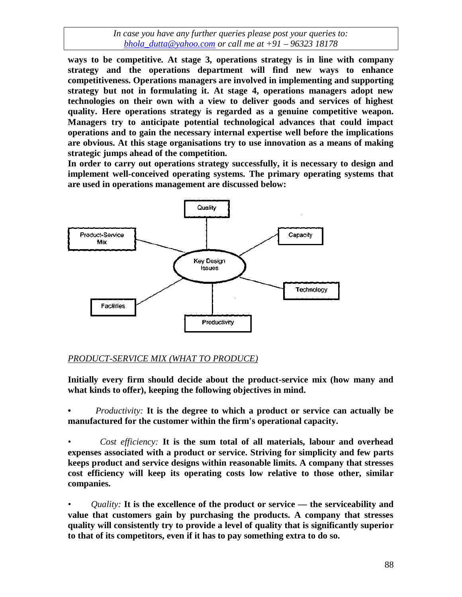**ways to be competitive. At stage 3, operations strategy is in line with company strategy and the operations department will find new ways to enhance competitiveness. Operations managers are involved in implementing and supporting strategy but not in formulating it. At stage 4, operations managers adopt new technologies on their own with a view to deliver goods and services of highest quality. Here operations strategy is regarded as a genuine competitive weapon. Managers try to anticipate potential technological advances that could impact operations and to gain the necessary internal expertise well before the implications are obvious. At this stage organisations try to use innovation as a means of making strategic jumps ahead of the competition.**

**In order to carry out operations strategy successfully, it is necessary to design and implement well-conceived operating systems. The primary operating systems that are used in operations management are discussed below:**



#### *PRODUCT-SERVICE MIX (WHAT TO PRODUCE)*

**Initially every firm should decide about the product-service mix (how many and what kinds to offer), keeping the following objectives in mind.**

**•** *Productivity:* **It is the degree to which a product or service can actually be manufactured for the customer within the firm's operational capacity.**

*• Cost efficiency:* **It is the sum total of all materials, labour and overhead expenses associated with a product or service. Striving for simplicity and few parts keeps product and service designs within reasonable limits. A company that stresses cost efficiency will keep its operating costs low relative to those other, similar companies.**

*• Quality:* **It is the excellence of the product or service — the serviceability and value that customers gain by purchasing the products. A company that stresses quality will consistently try to provide a level of quality that is significantly superior to that of its competitors, even if it has to pay something extra to do so.**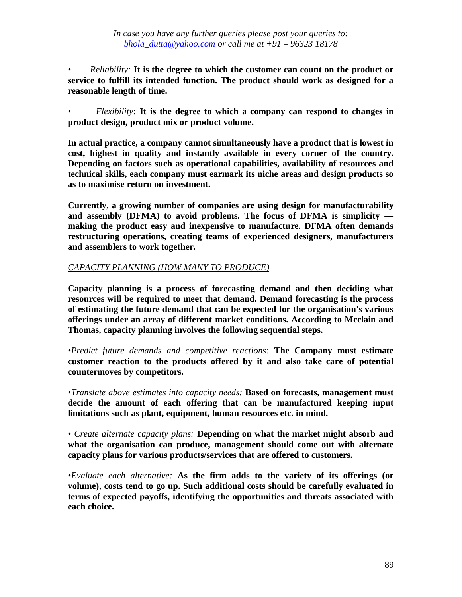*• Reliability:* **It is the degree to which the customer can count on the product or service to fulfill its intended function. The product should work as designed for a reasonable length of time.**

*• Flexibility***: It is the degree to which a company can respond to changes in product design, product mix or product volume.**

**In actual practice, a company cannot simultaneously have a product that is lowest in cost, highest in quality and instantly available in every corner of the country. Depending on factors such as operational capabilities, availability of resources and technical skills, each company must earmark its niche areas and design products so as to maximise return on investment.**

**Currently, a growing number of companies are using design for manufacturability and assembly (DFMA) to avoid problems. The focus of DFMA is simplicity making the product easy and inexpensive to manufacture. DFMA often demands restructuring operations, creating teams of experienced designers, manufacturers and assemblers to work together.**

# *CAPACITY PLANNING (HOW MANY TO PRODUCE)*

**Capacity planning is a process of forecasting demand and then deciding what resources will be required to meet that demand. Demand forecasting is the process of estimating the future demand that can be expected for the organisation's various offerings under an array of different market conditions. According to Mcclain and Thomas, capacity planning involves the following sequential steps.**

*•Predict future demands and competitive reactions:* **The Company must estimate customer reaction to the products offered by it and also take care of potential countermoves by competitors.**

*•Translate above estimates into capacity needs:* **Based on forecasts, management must decide the amount of each offering that can be manufactured keeping input limitations such as plant, equipment, human resources etc. in mind.**

*• Create alternate capacity plans:* **Depending on what the market might absorb and what the organisation can produce, management should come out with alternate capacity plans for various products/services that are offered to customers.**

*•Evaluate each alternative:* **As the firm adds to the variety of its offerings (or volume), costs tend to go up. Such additional costs should be carefully evaluated in terms of expected payoffs, identifying the opportunities and threats associated with each choice.**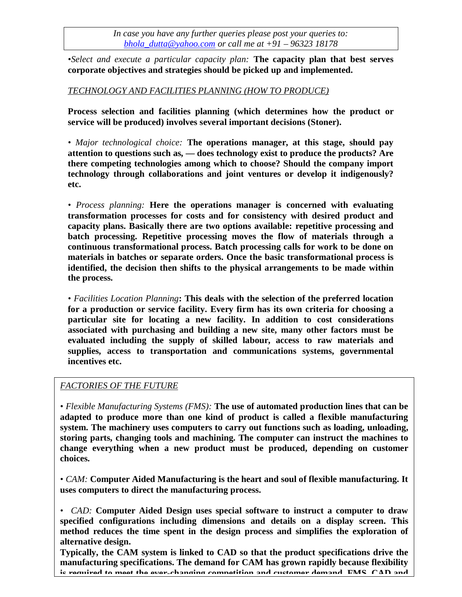*•Select and execute a particular capacity plan:* **The capacity plan that best serves corporate objectives and strategies should be picked up and implemented.**

#### *TECHNOLOGY AND FACILITIES PLANNING (HOW TO PRODUCE)*

**Process selection and facilities planning (which determines how the product or service will be produced) involves several important decisions (Stoner).**

*• Major technological choice:* **The operations manager, at this stage, should pay attention to questions such as, — does technology exist to produce the products? Are there competing technologies among which to choose? Should the company import technology through collaborations and joint ventures or develop it indigenously? etc.**

*• Process planning:* **Here the operations manager is concerned with evaluating transformation processes for costs and for consistency with desired product and capacity plans. Basically there are two options available: repetitive processing and batch processing. Repetitive processing moves the flow of materials through a continuous transformational process. Batch processing calls for work to be done on materials in batches or separate orders. Once the basic transformational process is identified, the decision then shifts to the physical arrangements to be made within the process.**

*• Facilities Location Planning***: This deals with the selection of the preferred location for a production or service facility. Every firm has its own criteria for choosing a particular site for locating a new facility. In addition to cost considerations associated with purchasing and building a new site, many other factors must be evaluated including the supply of skilled labour, access to raw materials and supplies, access to transportation and communications systems, governmental incentives etc.**

# *FACTORIES OF THE FUTURE*

*• Flexible Manufacturing Systems (FMS):* **The use of automated production lines that can be adapted to produce more than one kind of product is called a flexible manufacturing system. The machinery uses computers to carry out functions such as loading, unloading, storing parts, changing tools and machining. The computer can instruct the machines to change everything when a new product must be produced, depending on customer choices.**

*• CAM:* **Computer Aided Manufacturing is the heart and soul of flexible manufacturing. It uses computers to direct the manufacturing process.**

*• CAD:* **Computer Aided Design uses special software to instruct a computer to draw specified configurations including dimensions and details on a display screen. This method reduces the time spent in the design process and simplifies the exploration of alternative design.**

90 **manufacturing specifications. The demand for CAM has grown rapidly because flexibility Typically, the CAM system is linked to CAD so that the product specifications drive the is required to meet the ever-changing competition and customer demand. FMS, CAD and**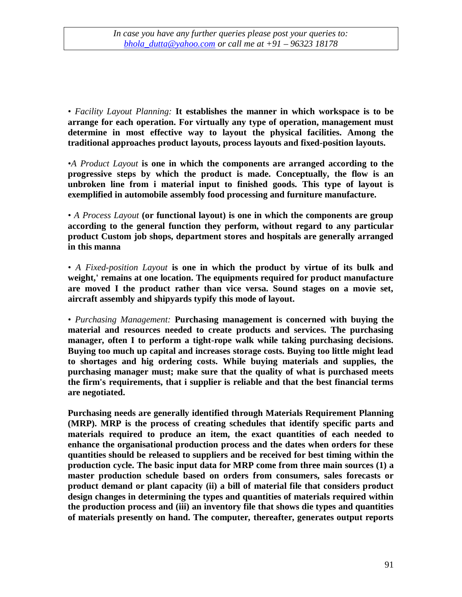*• Facility Layout Planning:* **It establishes the manner in which workspace is to be arrange for each operation. For virtually any type of operation, management must determine in most effective way to layout the physical facilities. Among the traditional approaches product layouts, process layouts and fixed-position layouts.**

*•A Product Layout* **is one in which the components are arranged according to the progressive steps by which the product is made. Conceptually, the flow is an unbroken line from i material input to finished goods. This type of layout is exemplified in automobile assembly food processing and furniture manufacture.**

*• A Process Layout* **(or functional layout) is one in which the components are group according to the general function they perform, without regard to any particular product Custom job shops, department stores and hospitals are generally arranged in this manna**

*• A Fixed-position Layout* **is one in which the product by virtue of its bulk and weight,' remains at one location. The equipments required for product manufacture are moved I the product rather than vice versa. Sound stages on a movie set, aircraft assembly and shipyards typify this mode of layout.**

*• Purchasing Management:* **Purchasing management is concerned with buying the material and resources needed to create products and services. The purchasing manager, often I to perform a tight-rope walk while taking purchasing decisions. Buying too much up capital and increases storage costs. Buying too little might lead to shortages and hig ordering costs. While buying materials and supplies, the purchasing manager must; make sure that the quality of what is purchased meets the firm's requirements, that i supplier is reliable and that the best financial terms are negotiated.**

**Purchasing needs are generally identified through Materials Requirement Planning (MRP). MRP is the process of creating schedules that identify specific parts and materials required to produce an item, the exact quantities of each needed to enhance the organisational production process and the dates when orders for these quantities should be released to suppliers and be received for best timing within the production cycle. The basic input data for MRP come from three main sources (1) a master production schedule based on orders from consumers, sales forecasts or product demand or plant capacity (ii) a bill of material file that considers product design changes in determining the types and quantities of materials required within the production process and (iii) an inventory file that shows die types and quantities of materials presently on hand. The computer, thereafter, generates output reports**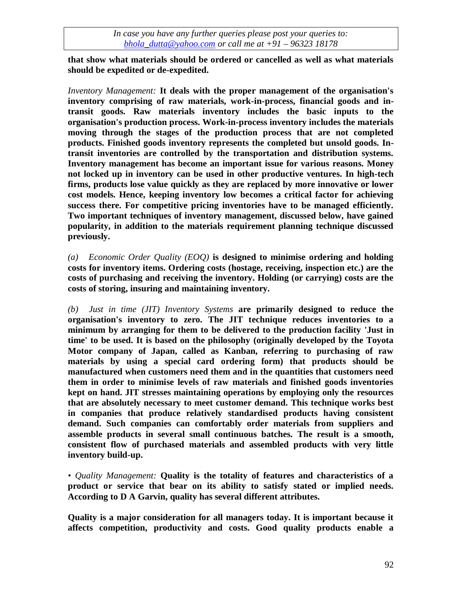**that show what materials should be ordered or cancelled as well as what materials should be expedited or de-expedited.**

*Inventory Management:* **It deals with the proper management of the organisation's inventory comprising of raw materials, work-in-process, financial goods and intransit goods. Raw materials inventory includes the basic inputs to the organisation's production process. Work-in-process inventory includes the materials moving through the stages of the production process that are not completed products. Finished goods inventory represents the completed but unsold goods. Intransit inventories are controlled by the transportation and distribution systems. Inventory management has become an important issue for various reasons. Money not locked up in inventory can be used in other productive ventures. In high-tech firms, products lose value quickly as they are replaced by more innovative or lower cost models. Hence, keeping inventory low becomes a critical factor for achieving success there. For competitive pricing inventories have to be managed efficiently. Two important techniques of inventory management, discussed below, have gained popularity, in addition to the materials requirement planning technique discussed previously.**

*(a) Economic Order Quality (EOQ)* **is designed to minimise ordering and holding costs for inventory items. Ordering costs (hostage, receiving, inspection etc.) are the costs of purchasing and receiving the inventory. Holding (or carrying) costs are the costs of storing, insuring and maintaining inventory.**

*(b) Just in time (JIT) Inventory Systems* **are primarily designed to reduce the organisation's inventory to zero. The JIT technique reduces inventories to a minimum by arranging for them to be delivered to the production facility 'Just in time' to be used. It is based on the philosophy (originally developed by the Toyota Motor company of Japan, called as Kanban, referring to purchasing of raw materials by using a special card ordering form) that products should be manufactured when customers need them and in the quantities that customers need them in order to minimise levels of raw materials and finished goods inventories kept on hand. JIT stresses maintaining operations by employing only the resources that are absolutely necessary to meet customer demand. This technique works best in companies that produce relatively standardised products having consistent demand. Such companies can comfortably order materials from suppliers and assemble products in several small continuous batches. The result is a smooth, consistent flow of purchased materials and assembled products with very little inventory build-up.**

*• Quality Management:* **Quality is the totality of features and characteristics of a product or service that bear on its ability to satisfy stated or implied needs. According to D A Garvin, quality has several different attributes.**

**Quality is a major consideration for all managers today. It is important because it affects competition, productivity and costs. Good quality products enable a**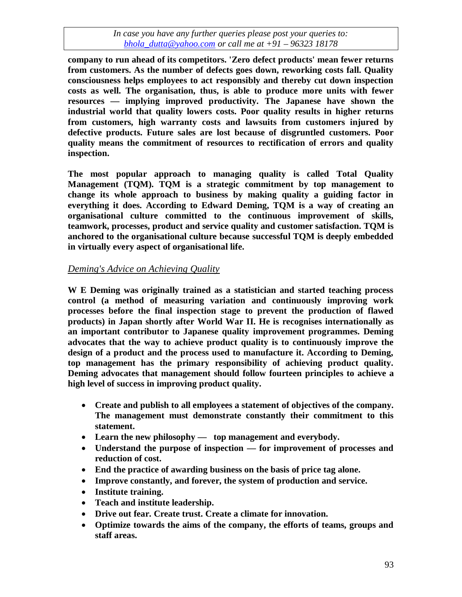**company to run ahead of its competitors. 'Zero defect products' mean fewer returns from customers. As the number of defects goes down, reworking costs fall. Quality consciousness helps employees to act responsibly and thereby cut down inspection costs as well. The organisation, thus, is able to produce more units with fewer resources — implying improved productivity. The Japanese have shown the industrial world that quality lowers costs. Poor quality results in higher returns from customers, high warranty costs and lawsuits from customers injured by defective products. Future sales are lost because of disgruntled customers. Poor quality means the commitment of resources to rectification of errors and quality inspection.**

**The most popular approach to managing quality is called Total Quality Management (TQM). TQM is a strategic commitment by top management to change its whole approach to business by making quality a guiding factor in everything it does. According to Edward Deming, TQM is a way of creating an organisational culture committed to the continuous improvement of skills, teamwork, processes, product and service quality and customer satisfaction. TQM is anchored to the organisational culture because successful TQM is deeply embedded in virtually every aspect of organisational life.**

# *Deming's Advice on Achieving Quality*

**W E Deming was originally trained as a statistician and started teaching process control (a method of measuring variation and continuously improving work processes before the final inspection stage to prevent the production of flawed products) in Japan shortly after World War II. He is recognises internationally as an important contributor to Japanese quality improvement programmes. Deming advocates that the way to achieve product quality is to continuously improve the design of a product and the process used to manufacture it. According to Deming, top management has the primary responsibility of achieving product quality. Deming advocates that management should follow fourteen principles to achieve a high level of success in improving product quality.**

- **Create and publish to all employees a statement of objectives of the company. The management must demonstrate constantly their commitment to this statement.**
- **Learn the new philosophy top management and everybody.**
- **Understand the purpose of inspection — for improvement of processes and reduction of cost.**
- **End the practice of awarding business on the basis of price tag alone.**
- **Improve constantly, and forever, the system of production and service.**
- **Institute training.**
- **Teach and institute leadership.**
- **Drive out fear. Create trust. Create a climate for innovation.**
- **Optimize towards the aims of the company, the efforts of teams, groups and staff areas.**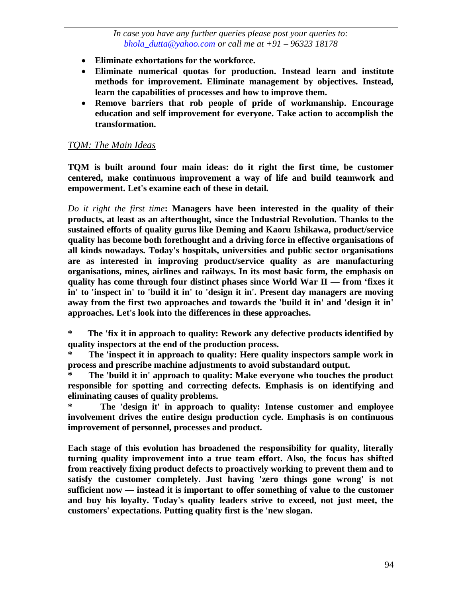- **Eliminate exhortations for the workforce.**
- **Eliminate numerical quotas for production. Instead learn and institute methods for improvement. Eliminate management by objectives. Instead, learn the capabilities of processes and how to improve them.**
- **Remove barriers that rob people of pride of workmanship. Encourage education and self improvement for everyone. Take action to accomplish the transformation.**

#### *TQM: The Main Ideas*

**TQM is built around four main ideas: do it right the first time, be customer centered, make continuous improvement a way of life and build teamwork and empowerment. Let's examine each of these in detail.**

*Do it right the first time***: Managers have been interested in the quality of their products, at least as an afterthought, since the Industrial Revolution. Thanks to the sustained efforts of quality gurus like Deming and Kaoru Ishikawa, product/service quality has become both forethought and a driving force in effective organisations of all kinds nowadays. Today's hospitals, universities and public sector organisations are as interested in improving product/service quality as are manufacturing organisations, mines, airlines and railways. In its most basic form, the emphasis on quality has come through four distinct phases since World War II — from 'fixes it in' to 'inspect in' to 'build it in' to 'design it in'. Present day managers are moving away from the first two approaches and towards the 'build it in' and 'design it in' approaches. Let's look into the differences in these approaches.**

**\* The 'fix it in approach to quality: Rework any defective products identified by quality inspectors at the end of the production process.**

The 'inspect it in approach to quality: Here quality inspectors sample work in **process and prescribe machine adjustments to avoid substandard output.**

**\* The 'build it in' approach to quality: Make everyone who touches the product responsible for spotting and correcting defects. Emphasis is on identifying and eliminating causes of quality problems.**

**\* The 'design it' in approach to quality: Intense customer and employee involvement drives the entire design production cycle. Emphasis is on continuous improvement of personnel, processes and product.**

**Each stage of this evolution has broadened the responsibility for quality, literally turning quality improvement into a true team effort. Also, the focus has shifted from reactively fixing product defects to proactively working to prevent them and to satisfy the customer completely. Just having 'zero things gone wrong' is not sufficient now — instead it is important to offer something of value to the customer and buy his loyalty. Today's quality leaders strive to exceed, not just meet, the customers' expectations. Putting quality first is the 'new slogan.**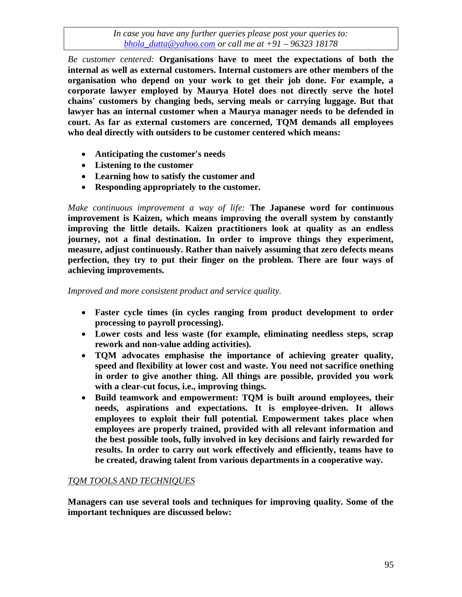*Be customer centered:* **Organisations have to meet the expectations of both the internal as well as external customers. Internal customers are other members of the organisation who depend on your work to get their job done. For example, a corporate lawyer employed by Maurya Hotel does not directly serve the hotel chains' customers by changing beds, serving meals or carrying luggage. But that lawyer has an internal customer when a Maurya manager needs to be defended in court. As far as external customers are concerned, TQM demands all employees who deal directly with outsiders to be customer centered which means:**

- **Anticipating the customer's needs**
- **Listening to the customer**
- **Learning how to satisfy the customer and**
- **Responding appropriately to the customer.**

*Make continuous improvement a way of life:* **The Japanese word for continuous improvement is Kaizen, which means improving the overall system by constantly improving the little details. Kaizen practitioners look at quality as an endless journey, not a final destination. In order to improve things they experiment, measure, adjust continuously. Rather than naively assuming that zero defects means perfection, they try to put their finger on the problem. There are four ways of achieving improvements.**

*Improved and more consistent product and service quality.*

- **Faster cycle times (in cycles ranging from product development to order processing to payroll processing).**
- **Lower costs and less waste (for example, eliminating needless steps, scrap rework and non-value adding activities).**
- **TQM advocates emphasise the importance of achieving greater quality, speed and flexibility at lower cost and waste. You need not sacrifice onething in order to give another thing. All things are possible, provided you work with a clear-cut focus, i.e., improving things.**
- **Build teamwork and empowerment: TQM is built around employees, their needs, aspirations and expectations. It is employee-driven. It allows employees to exploit their full potential. Empowerment takes place when employees are properly trained, provided with all relevant information and the best possible tools, fully involved in key decisions and fairly rewarded for results. In order to carry out work effectively and efficiently, teams have to be created, drawing talent from various departments in a cooperative way.**

# *TQM TOOLS AND TECHNIQUES*

**Managers can use several tools and techniques for improving quality. Some of the important techniques are discussed below:**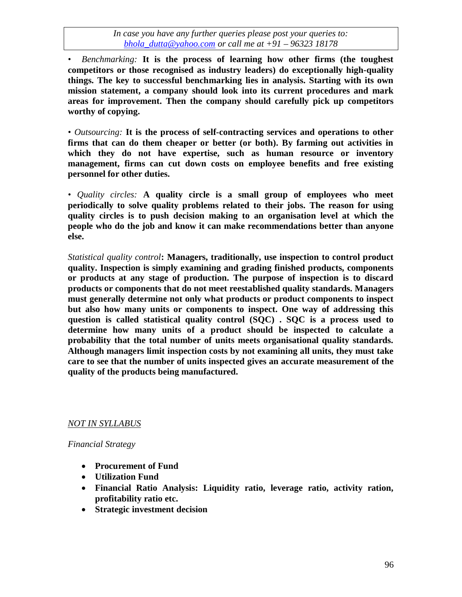*• Benchmarking:* **It is the process of learning how other firms (the toughest competitors or those recognised as industry leaders) do exceptionally high-quality things. The key to successful benchmarking lies in analysis. Starting with its own mission statement, a company should look into its current procedures and mark areas for improvement. Then the company should carefully pick up competitors worthy of copying.**

*• Outsourcing:* **It is the process of self-contracting services and operations to other firms that can do them cheaper or better (or both). By farming out activities in which they do not have expertise, such as human resource or inventory management, firms can cut down costs on employee benefits and free existing personnel for other duties.**

*• Quality circles:* **A quality circle is a small group of employees who meet periodically to solve quality problems related to their jobs. The reason for using quality circles is to push decision making to an organisation level at which the people who do the job and know it can make recommendations better than anyone else.**

*Statistical quality control***: Managers, traditionally, use inspection to control product quality. Inspection is simply examining and grading finished products, components or products at any stage of production. The purpose of inspection is to discard products or components that do not meet reestablished quality standards. Managers must generally determine not only what products or product components to inspect but also how many units or components to inspect. One way of addressing this question is called statistical quality control (SQC) . SQC is a process used to determine how many units of a product should be inspected to calculate a probability that the total number of units meets organisational quality standards. Although managers limit inspection costs by not examining all units, they must take care to see that the number of units inspected gives an accurate measurement of the quality of the products being manufactured.**

#### *NOT IN SYLLABUS*

*Financial Strategy*

- **Procurement of Fund**
- **Utilization Fund**
- **Financial Ratio Analysis: Liquidity ratio, leverage ratio, activity ration, profitability ratio etc.**
- **Strategic investment decision**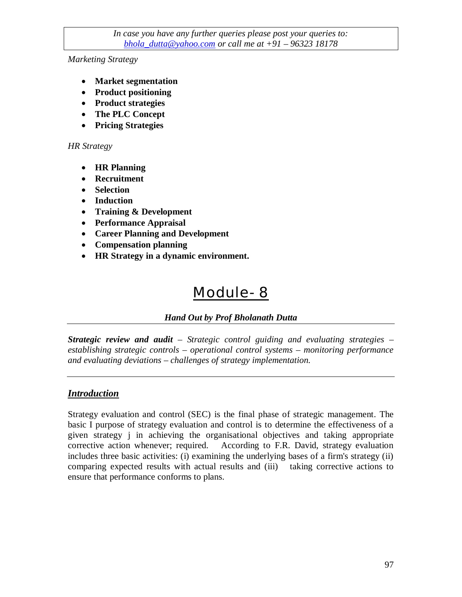*Marketing Strategy*

- **Market segmentation**
- **Product positioning**
- **Product strategies**
- **The PLC Concept**
- **Pricing Strategies**

#### *HR Strategy*

- **HR Planning**
- **Recruitment**
- **Selection**
- **Induction**
- **Training & Development**
- **Performance Appraisal**
- **Career Planning and Development**
- **Compensation planning**
- **HR Strategy in a dynamic environment.**

# Module- 8

# *Hand Out by Prof Bholanath Dutta*

*Strategic review and audit* – *Strategic control guiding and evaluating strategies – establishing strategic controls – operational control systems – monitoring performance and evaluating deviations – challenges of strategy implementation.*

# *Introduction*

Strategy evaluation and control (SEC) is the final phase of strategic management. The basic I purpose of strategy evaluation and control is to determine the effectiveness of a given strategy j in achieving the organisational objectives and taking appropriate corrective action whenever; required. According to F.R. David, strategy evaluation includes three basic activities: (i) examining the underlying bases of a firm's strategy (ii) comparing expected results with actual results and (iii) taking corrective actions to ensure that performance conforms to plans.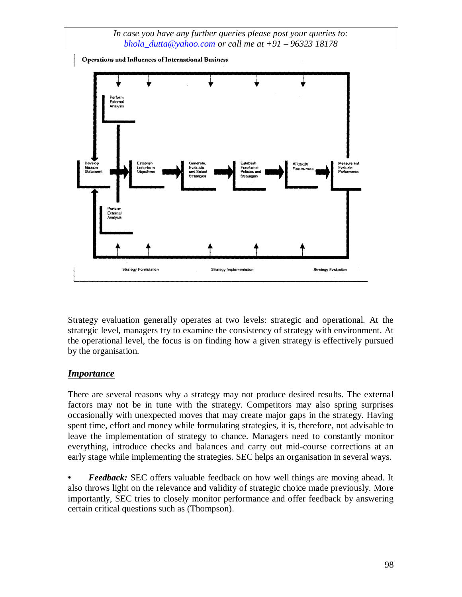Operations and Influences of International Business



Strategy evaluation generally operates at two levels: strategic and operational. At the strategic level, managers try to examine the consistency of strategy with environment. At the operational level, the focus is on finding how a given strategy is effectively pursued by the organisation.

# *Importance*

There are several reasons why a strategy may not produce desired results. The external factors may not be in tune with the strategy. Competitors may also spring surprises occasionally with unexpected moves that may create major gaps in the strategy. Having spent time, effort and money while formulating strategies, it is, therefore, not advisable to leave the implementation of strategy to chance. Managers need to constantly monitor everything, introduce checks and balances and carry out mid-course corrections at an early stage while implementing the strategies. SEC helps an organisation in several ways.

*• Feedback:* SEC offers valuable feedback on how well things are moving ahead. It also throws light on the relevance and validity of strategic choice made previously. More importantly, SEC tries to closely monitor performance and offer feedback by answering certain critical questions such as (Thompson).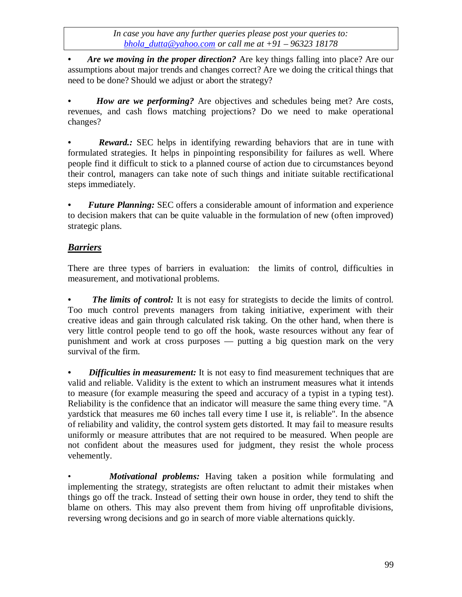*• Are we moving in the proper direction?* Are key things falling into place? Are our assumptions about major trends and changes correct? Are we doing the critical things that need to be done? Should we adjust or abort the strategy?

*How are we performing?* Are objectives and schedules being met? Are costs, revenues, and cash flows matching projections? Do we need to make operational changes?

*Reward.*: SEC helps in identifying rewarding behaviors that are in tune with formulated strategies. It helps in pinpointing responsibility for failures as well. Where people find it difficult to stick to a planned course of action due to circumstances beyond their control, managers can take note of such things and initiate suitable rectificational steps immediately.

*• Future Planning:* SEC offers a considerable amount of information and experience to decision makers that can be quite valuable in the formulation of new (often improved) strategic plans.

# *Barriers*

There are three types of barriers in evaluation: the limits of control, difficulties in measurement, and motivational problems.

• The limits of control: It is not easy for strategists to decide the limits of control. Too much control prevents managers from taking initiative, experiment with their creative ideas and gain through calculated risk taking. On the other hand, when there is very little control people tend to go off the hook, waste resources without any fear of punishment and work at cross purposes — putting a big question mark on the very survival of the firm.

*Difficulties in measurement:* It is not easy to find measurement techniques that are valid and reliable. Validity is the extent to which an instrument measures what it intends to measure (for example measuring the speed and accuracy of a typist in a typing test). Reliability is the confidence that an indicator will measure the same thing every time. "A yardstick that measures me 60 inches tall every time I use it, is reliable". In the absence of reliability and validity, the control system gets distorted. It may fail to measure results uniformly or measure attributes that are not required to be measured. When people are not confident about the measures used for judgment, they resist the whole process vehemently.

• *Motivational problems:* Having taken a position while formulating and implementing the strategy, strategists are often reluctant to admit their mistakes when things go off the track. Instead of setting their own house in order, they tend to shift the blame on others. This may also prevent them from hiving off unprofitable divisions, reversing wrong decisions and go in search of more viable alternations quickly.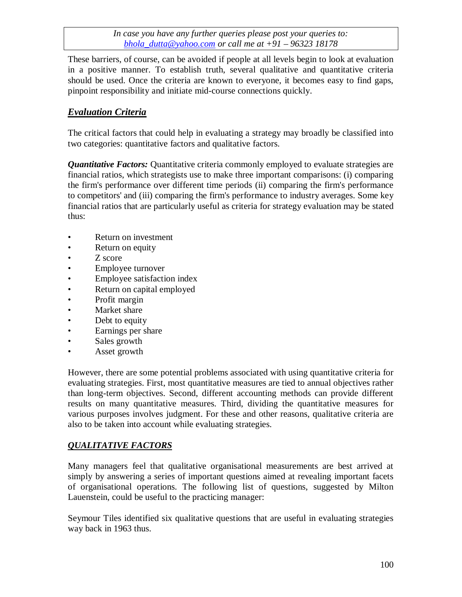These barriers, of course, can be avoided if people at all levels begin to look at evaluation in a positive manner. To establish truth, several qualitative and quantitative criteria should be used. Once the criteria are known to everyone, it becomes easy to find gaps, pinpoint responsibility and initiate mid-course connections quickly.

# *Evaluation Criteria*

The critical factors that could help in evaluating a strategy may broadly be classified into two categories: quantitative factors and qualitative factors.

*Quantitative Factors:* Quantitative criteria commonly employed to evaluate strategies are financial ratios, which strategists use to make three important comparisons: (i) comparing the firm's performance over different time periods (ii) comparing the firm's performance to competitors' and (iii) comparing the firm's performance to industry averages. Some key financial ratios that are particularly useful as criteria for strategy evaluation may be stated thus:

- Return on investment
- Return on equity
- Z score
- Employee turnover
- Employee satisfaction index
- Return on capital employed
- Profit margin
- Market share
- Debt to equity
- Earnings per share
- Sales growth
- Asset growth

However, there are some potential problems associated with using quantitative criteria for evaluating strategies. First, most quantitative measures are tied to annual objectives rather than long-term objectives. Second, different accounting methods can provide different results on many quantitative measures. Third, dividing the quantitative measures for various purposes involves judgment. For these and other reasons, qualitative criteria are also to be taken into account while evaluating strategies.

# *QUALITATIVE FACTORS*

Many managers feel that qualitative organisational measurements are best arrived at simply by answering a series of important questions aimed at revealing important facets of organisational operations. The following list of questions, suggested by Milton Lauenstein, could be useful to the practicing manager:

Seymour Tiles identified six qualitative questions that are useful in evaluating strategies way back in 1963 thus.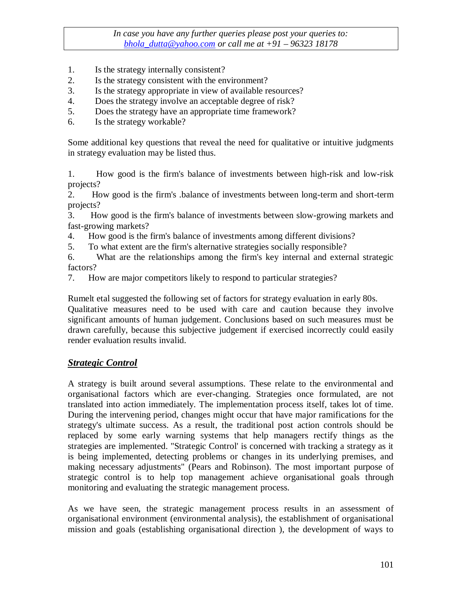- 1. Is the strategy internally consistent?
- 2. Is the strategy consistent with the environment?
- 3. Is the strategy appropriate in view of available resources?
- 4. Does the strategy involve an acceptable degree of risk?
- 5. Does the strategy have an appropriate time framework?
- 6. Is the strategy workable?

Some additional key questions that reveal the need for qualitative or intuitive judgments in strategy evaluation may be listed thus.

1. How good is the firm's balance of investments between high-risk and low-risk projects?

2. How good is the firm's .balance of investments between long-term and short-term projects?

3. How good is the firm's balance of investments between slow-growing markets and fast-growing markets?

- 4. How good is the firm's balance of investments among different divisions?
- 5. To what extent are the firm's alternative strategies socially responsible?

6. What are the relationships among the firm's key internal and external strategic factors?

7. How are major competitors likely to respond to particular strategies?

Rumelt etal suggested the following set of factors for strategy evaluation in early 80s. Qualitative measures need to be used with care and caution because they involve significant amounts of human judgement. Conclusions based on such measures must be drawn carefully, because this subjective judgement if exercised incorrectly could easily

# *Strategic Control*

render evaluation results invalid.

A strategy is built around several assumptions. These relate to the environmental and organisational factors which are ever-changing. Strategies once formulated, are not translated into action immediately. The implementation process itself, takes lot of time. During the intervening period, changes might occur that have major ramifications for the strategy's ultimate success. As a result, the traditional post action controls should be replaced by some early warning systems that help managers rectify things as the strategies are implemented. "Strategic Control' is concerned with tracking a strategy as it is being implemented, detecting problems or changes in its underlying premises, and making necessary adjustments" (Pears and Robinson). The most important purpose of strategic control is to help top management achieve organisational goals through monitoring and evaluating the strategic management process.

As we have seen, the strategic management process results in an assessment of organisational environment (environmental analysis), the establishment of organisational mission and goals (establishing organisational direction ), the development of ways to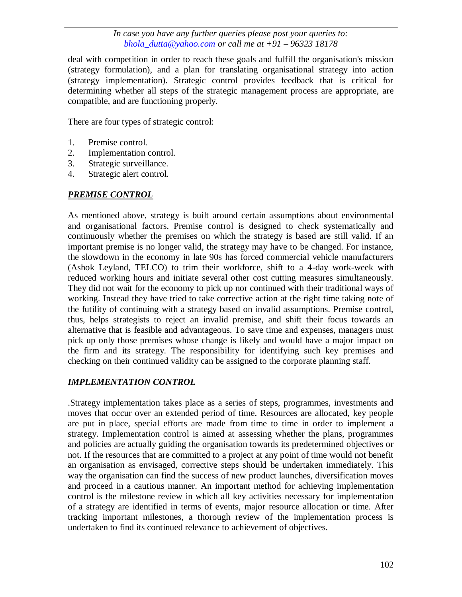deal with competition in order to reach these goals and fulfill the organisation's mission (strategy formulation), and a plan for translating organisational strategy into action (strategy implementation). Strategic control provides feedback that is critical for determining whether all steps of the strategic management process are appropriate, are compatible, and are functioning properly.

There are four types of strategic control:

- 1. Premise control.
- 2. Implementation control.
- 3. Strategic surveillance.
- 4. Strategic alert control.

# *PREMISE CONTROL*

As mentioned above, strategy is built around certain assumptions about environmental and organisational factors. Premise control is designed to check systematically and continuously whether the premises on which the strategy is based are still valid. If an important premise is no longer valid, the strategy may have to be changed. For instance, the slowdown in the economy in late 90s has forced commercial vehicle manufacturers (Ashok Leyland, TELCO) to trim their workforce, shift to a 4-day work-week with reduced working hours and initiate several other cost cutting measures simultaneously. They did not wait for the economy to pick up nor continued with their traditional ways of working. Instead they have tried to take corrective action at the right time taking note of the futility of continuing with a strategy based on invalid assumptions. Premise control, thus, helps strategists to reject an invalid premise, and shift their focus towards an alternative that is feasible and advantageous. To save time and expenses, managers must pick up only those premises whose change is likely and would have a major impact on the firm and its strategy. The responsibility for identifying such key premises and checking on their continued validity can be assigned to the corporate planning staff.

# *IMPLEMENTATION CONTROL*

.Strategy implementation takes place as a series of steps, programmes, investments and moves that occur over an extended period of time. Resources are allocated, key people are put in place, special efforts are made from time to time in order to implement a strategy. Implementation control is aimed at assessing whether the plans, programmes and policies are actually guiding the organisation towards its predetermined objectives or not. If the resources that are committed to a project at any point of time would not benefit an organisation as envisaged, corrective steps should be undertaken immediately. This way the organisation can find the success of new product launches, diversification moves and proceed in a cautious manner. An important method for achieving implementation control is the milestone review in which all key activities necessary for implementation of a strategy are identified in terms of events, major resource allocation or time. After tracking important milestones, a thorough review of the implementation process is undertaken to find its continued relevance to achievement of objectives.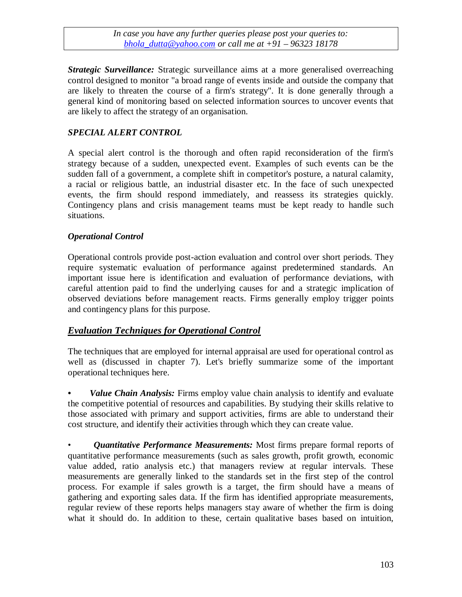*Strategic Surveillance:* Strategic surveillance aims at a more generalised overreaching control designed to monitor "a broad range of events inside and outside the company that are likely to threaten the course of a firm's strategy". It is done generally through a general kind of monitoring based on selected information sources to uncover events that are likely to affect the strategy of an organisation.

#### *SPECIAL ALERT CONTROL*

A special alert control is the thorough and often rapid reconsideration of the firm's strategy because of a sudden, unexpected event. Examples of such events can be the sudden fall of a government, a complete shift in competitor's posture, a natural calamity, a racial or religious battle, an industrial disaster etc. In the face of such unexpected events, the firm should respond immediately, and reassess its strategies quickly. Contingency plans and crisis management teams must be kept ready to handle such situations.

#### *Operational Control*

Operational controls provide post-action evaluation and control over short periods. They require systematic evaluation of performance against predetermined standards. An important issue here is identification and evaluation of performance deviations, with careful attention paid to find the underlying causes for and a strategic implication of observed deviations before management reacts. Firms generally employ trigger points and contingency plans for this purpose.

#### *Evaluation Techniques for Operational Control*

The techniques that are employed for internal appraisal are used for operational control as well as (discussed in chapter 7). Let's briefly summarize some of the important operational techniques here.

*• Value Chain Analysis:* Firms employ value chain analysis to identify and evaluate the competitive potential of resources and capabilities. By studying their skills relative to those associated with primary and support activities, firms are able to understand their cost structure, and identify their activities through which they can create value.

• *Quantitative Performance Measurements:* Most firms prepare formal reports of quantitative performance measurements (such as sales growth, profit growth, economic value added, ratio analysis etc.) that managers review at regular intervals. These measurements are generally linked to the standards set in the first step of the control process. For example if sales growth is a target, the firm should have a means of gathering and exporting sales data. If the firm has identified appropriate measurements, regular review of these reports helps managers stay aware of whether the firm is doing what it should do. In addition to these, certain qualitative bases based on intuition,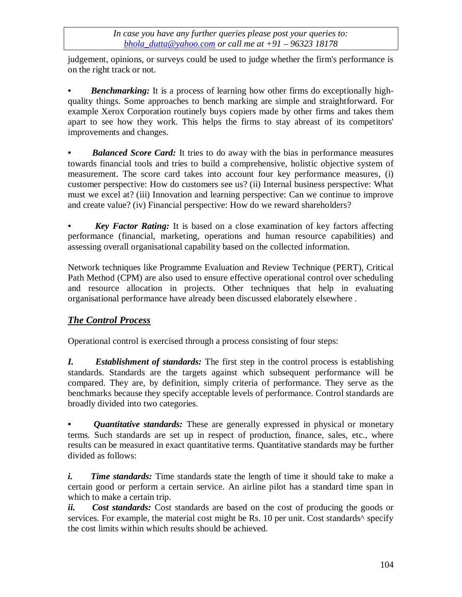judgement, opinions, or surveys could be used to judge whether the firm's performance is on the right track or not.

*Benchmarking:* It is a process of learning how other firms do exceptionally highquality things. Some approaches to bench marking are simple and straightforward. For example Xerox Corporation routinely buys copiers made by other firms and takes them apart to see how they work. This helps the firms to stay abreast of its competitors' improvements and changes.

*Balanced Score Card:* It tries to do away with the bias in performance measures towards financial tools and tries to build a comprehensive, holistic objective system of measurement. The score card takes into account four key performance measures, (i) customer perspective: How do customers see us? (ii) Internal business perspective: What must we excel at? (iii) Innovation and learning perspective: Can we continue to improve and create value? (iv) Financial perspective: How do we reward shareholders?

*• Key Factor Rating:* It is based on a close examination of key factors affecting performance (financial, marketing, operations and human resource capabilities) and assessing overall organisational capability based on the collected information.

Network techniques like Programme Evaluation and Review Technique (PERT), Critical Path Method (CPM) are also used to ensure effective operational control over scheduling and resource allocation in projects. Other techniques that help in evaluating organisational performance have already been discussed elaborately elsewhere .

# *The Control Process*

Operational control is exercised through a process consisting of four steps:

*I. Establishment of standards:* The first step in the control process is establishing standards. Standards are the targets against which subsequent performance will be compared. They are, by definition, simply criteria of performance. They serve as the benchmarks because they specify acceptable levels of performance. Control standards are broadly divided into two categories.

*• Quantitative standards:* These are generally expressed in physical or monetary terms. Such standards are set up in respect of production, finance, sales, etc., where results can be measured in exact quantitative terms. Quantitative standards may be further divided as follows:

*i.* Time standards: Time standards state the length of time it should take to make a certain good or perform a certain service. An airline pilot has a standard time span in which to make a certain trip.

*ii. Cost standards:* Cost standards are based on the cost of producing the goods or services. For example, the material cost might be Rs. 10 per unit. Cost standards<sup>^</sup> specify the cost limits within which results should be achieved.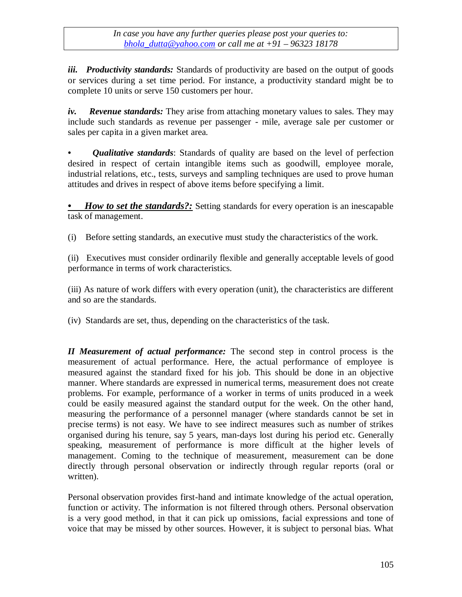*iii. Productivity standards:* Standards of productivity are based on the output of goods or services during a set time period. For instance, a productivity standard might be to complete 10 units or serve 150 customers per hour.

*iv. Revenue standards:* They arise from attaching monetary values to sales. They may include such standards as revenue per passenger - mile, average sale per customer or sales per capita in a given market area.

*• Qualitative standards*: Standards of quality are based on the level of perfection desired in respect of certain intangible items such as goodwill, employee morale, industrial relations, etc., tests, surveys and sampling techniques are used to prove human attitudes and drives in respect of above items before specifying a limit.

*• How to set the standards?:* Setting standards for every operation is an inescapable task of management.

(i) Before setting standards, an executive must study the characteristics of the work.

(ii) Executives must consider ordinarily flexible and generally acceptable levels of good performance in terms of work characteristics.

(iii) As nature of work differs with every operation (unit), the characteristics are different and so are the standards.

(iv) Standards are set, thus, depending on the characteristics of the task.

*II Measurement of actual performance:* The second step in control process is the measurement of actual performance. Here, the actual performance of employee is measured against the standard fixed for his job. This should be done in an objective manner. Where standards are expressed in numerical terms, measurement does not create problems. For example, performance of a worker in terms of units produced in a week could be easily measured against the standard output for the week. On the other hand, measuring the performance of a personnel manager (where standards cannot be set in precise terms) is not easy. We have to see indirect measures such as number of strikes organised during his tenure, say 5 years, man-days lost during his period etc. Generally speaking, measurement of performance is more difficult at the higher levels of management. Coming to the technique of measurement, measurement can be done directly through personal observation or indirectly through regular reports (oral or written).

Personal observation provides first-hand and intimate knowledge of the actual operation, function or activity. The information is not filtered through others. Personal observation is a very good method, in that it can pick up omissions, facial expressions and tone of voice that may be missed by other sources. However, it is subject to personal bias. What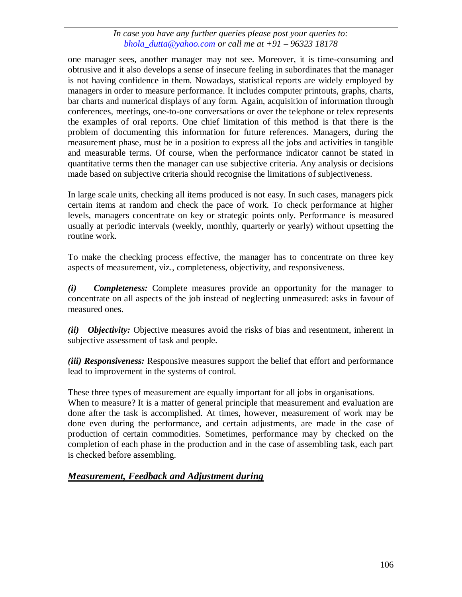one manager sees, another manager may not see. Moreover, it is time-consuming and obtrusive and it also develops a sense of insecure feeling in subordinates that the manager is not having confidence in them. Nowadays, statistical reports are widely employed by managers in order to measure performance. It includes computer printouts, graphs, charts, bar charts and numerical displays of any form. Again, acquisition of information through conferences, meetings, one-to-one conversations or over the telephone or telex represents the examples of oral reports. One chief limitation of this method is that there is the problem of documenting this information for future references. Managers, during the measurement phase, must be in a position to express all the jobs and activities in tangible and measurable terms. Of course, when the performance indicator cannot be stated in quantitative terms then the manager can use subjective criteria. Any analysis or decisions made based on subjective criteria should recognise the limitations of subjectiveness.

In large scale units, checking all items produced is not easy. In such cases, managers pick certain items at random and check the pace of work. To check performance at higher levels, managers concentrate on key or strategic points only. Performance is measured usually at periodic intervals (weekly, monthly, quarterly or yearly) without upsetting the routine work.

To make the checking process effective, the manager has to concentrate on three key aspects of measurement, viz., completeness, objectivity, and responsiveness.

*(i) Completeness:* Complete measures provide an opportunity for the manager to concentrate on all aspects of the job instead of neglecting unmeasured: asks in favour of measured ones.

*(ii) Objectivity:* Objective measures avoid the risks of bias and resentment, inherent in subjective assessment of task and people.

*(iii) Responsiveness:* Responsive measures support the belief that effort and performance lead to improvement in the systems of control.

These three types of measurement are equally important for all jobs in organisations. When to measure? It is a matter of general principle that measurement and evaluation are done after the task is accomplished. At times, however, measurement of work may be done even during the performance, and certain adjustments, are made in the case of production of certain commodities. Sometimes, performance may by checked on the completion of each phase in the production and in the case of assembling task, each part is checked before assembling.

# *Measurement, Feedback and Adjustment during*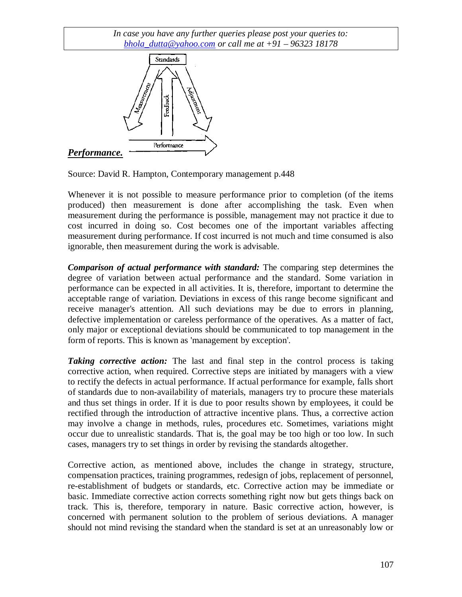

Source: David R. Hampton, Contemporary management p.448

Whenever it is not possible to measure performance prior to completion (of the items produced) then measurement is done after accomplishing the task. Even when measurement during the performance is possible, management may not practice it due to cost incurred in doing so. Cost becomes one of the important variables affecting measurement during performance. If cost incurred is not much and time consumed is also ignorable, then measurement during the work is advisable.

*Comparison of actual performance with standard:* The comparing step determines the degree of variation between actual performance and the standard. Some variation in performance can be expected in all activities. It is, therefore, important to determine the acceptable range of variation. Deviations in excess of this range become significant and receive manager's attention. All such deviations may be due to errors in planning, defective implementation or careless performance of the operatives. As a matter of fact, only major or exceptional deviations should be communicated to top management in the form of reports. This is known as 'management by exception'.

*Taking corrective action:* The last and final step in the control process is taking corrective action, when required. Corrective steps are initiated by managers with a view to rectify the defects in actual performance. If actual performance for example, falls short of standards due to non-availability of materials, managers try to procure these materials and thus set things in order. If it is due to poor results shown by employees, it could be rectified through the introduction of attractive incentive plans. Thus, a corrective action may involve a change in methods, rules, procedures etc. Sometimes, variations might occur due to unrealistic standards. That is, the goal may be too high or too low. In such cases, managers try to set things in order by revising the standards altogether.

Corrective action, as mentioned above, includes the change in strategy, structure, compensation practices, training programmes, redesign of jobs, replacement of personnel, re-establishment of budgets or standards, etc. Corrective action may be immediate or basic. Immediate corrective action corrects something right now but gets things back on track. This is, therefore, temporary in nature. Basic corrective action, however, is concerned with permanent solution to the problem of serious deviations. A manager should not mind revising the standard when the standard is set at an unreasonably low or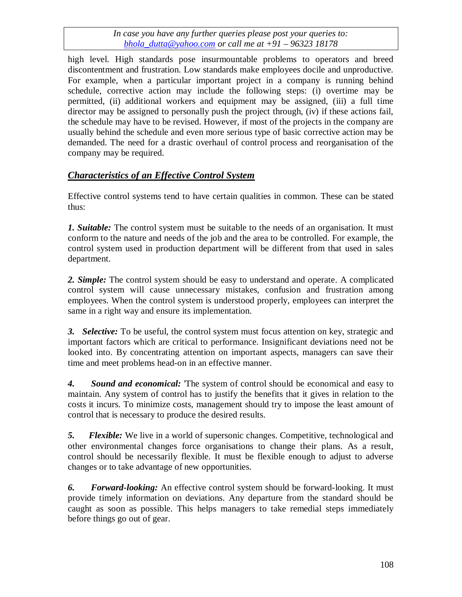high level. High standards pose insurmountable problems to operators and breed discontentment and frustration. Low standards make employees docile and unproductive. For example, when a particular important project in a company is running behind schedule, corrective action may include the following steps: (i) overtime may be permitted, (ii) additional workers and equipment may be assigned, (iii) a full time director may be assigned to personally push the project through, (iv) if these actions fail, the schedule may have to be revised. However, if most of the projects in the company are usually behind the schedule and even more serious type of basic corrective action may be demanded. The need for a drastic overhaul of control process and reorganisation of the company may be required.

# *Characteristics of an Effective Control System*

Effective control systems tend to have certain qualities in common. These can be stated thus:

*1. Suitable:* The control system must be suitable to the needs of an organisation. It must conform to the nature and needs of the job and the area to be controlled. For example, the control system used in production department will be different from that used in sales department.

*2. Simple:* The control system should be easy to understand and operate. A complicated control system will cause unnecessary mistakes, confusion and frustration among employees. When the control system is understood properly, employees can interpret the same in a right way and ensure its implementation.

*3. Selective:* To be useful, the control system must focus attention on key, strategic and important factors which are critical to performance. Insignificant deviations need not be looked into. By concentrating attention on important aspects, managers can save their time and meet problems head-on in an effective manner.

*4. Sound and economical:* 'The system of control should be economical and easy to maintain. Any system of control has to justify the benefits that it gives in relation to the costs it incurs. To minimize costs, management should try to impose the least amount of control that is necessary to produce the desired results.

*5. Flexible:* We live in a world of supersonic changes. Competitive, technological and other environmental changes force organisations to change their plans. As a result, control should be necessarily flexible. It must be flexible enough to adjust to adverse changes or to take advantage of new opportunities.

*6. Forward-looking:* An effective control system should be forward-looking. It must provide timely information on deviations. Any departure from the standard should be caught as soon as possible. This helps managers to take remedial steps immediately before things go out of gear.